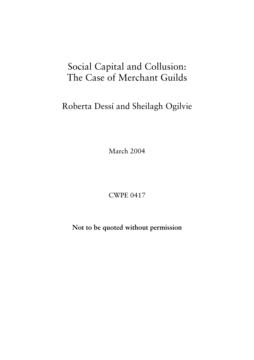# Social Capital and Collusion: The Case of Merchant Guilds

Roberta Dessí and Sheilagh Ogilvie

March 2004

**CWPE 0417** 

Not to be quoted without permission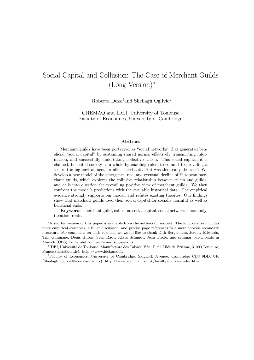# Social Capital and Collusion: The Case of Merchant Guilds  $(Long Version)*$

Roberta Dessí<sup>†</sup>and Sheilagh Ogilvie<sup>‡</sup>

GREMAQ and IDEI, University of Toulouse Faculty of Economics, University of Cambridge

#### Abstract

Merchant guilds have been portrayed as "social networks" that generated beneficial "social capital" by sustaining shared norms, effectively transmitting information, and successfully undertaking collective action. This social capital, it is claimed, benefited society as a whole by enabling rulers to commit to providing a secure trading environment for alien merchants. But was this really the case? We develop a new model of the emergence, rise, and eventual decline of European merchant guilds, which explores the collusive relationship between rulers and guilds, and calls into question the prevailing positive view of merchant guilds. We then confront the model's predictions with the available historical data. The empirical evidence strongly supports our model, and refutes existing theories. Our findings show that merchant guilds used their social capital for socially harmful as well as beneficial ends.

Keywords: merchant guild, collusion, social capital, social networks, monopoly, taxation, rents.

<sup>§</sup>A shorter version of this paper is available from the authors on request. The long version includes more empirical examples, a fuller discussion, and precise page references to a more copious secondary literature. For comments on both versions, we would like to thank Dirk Bergemann, Jeremy Edwards, Tim Guinnane, Denis Hilton, Sven Rady, Klaus Schmidt, Jean Tirole, and seminar participants in Munich (CES) for helpful comments and suggestions.

<sup>&</sup>lt;sup>†</sup>IDEI, Université de Toulouse, Manufacture des Tabacs, Bât. F, 21 Allée de Brienne, 31000 Toulouse, France (dessi@cict.fr). http://www.idei.asso.fr.

<sup>&</sup>lt;sup>‡</sup>Faculty of Economics, University of Cambridge, Sidgwick Avenue, Cambridge CB3 9DD, UK (Sheilagh.Ogilvie@econ.cam.ac.uk). http://www.econ.cam.ac.uk/faculty/ogilvie/index.htm.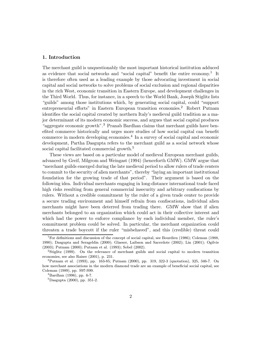#### 1. Introduction

The merchant guild is unquestionably the most important historical institution adduced as evidence that social networks and "social capital" benefit the entire economy.<sup>1</sup> It is therefore often used as a leading example by those advocating investment in social capital and social networks to solve problems of social exclusion and regional disparities in the rich West, economic transition in Eastern Europe, and development challenges in the Third World. Thus, for instance, in a speech to the World Bank, Joseph Stiglitz lists "guilds" among those institutions which, by generating social capital, could "support" entrepreneurial efforts" in Eastern European transition economies.<sup>2</sup> Robert Putnam identifies the social capital created by northern Italy's medieval guild tradition as a major determinant of its modern economic success, and argues that social capital produces "aggregate economic growth".<sup>3</sup> Pranab Bardhan claims that merchant guilds have benefited commerce historically and urges more studies of how social capital can benefit commerce in modern developing economies.<sup>4</sup> In a survey of social capital and economic development, Partha Dasgupta refers to the merchant guild as a social network whose social capital facilitated commercial growth.<sup>5</sup>

These views are based on a particular model of medieval European merchant guilds, advanced by Greif, Milgrom and Weingast (1994) (henceforth GMW). GMW argue that \merchant guilds emerged during the late medieval period to allow rulers of trade centers to commit to the security of alien merchants", thereby "laying an important institutional foundation for the growing trade of that period". Their argument is based on the following idea. Individual merchants engaging in long-distance international trade faced high risks resulting from general commercial insecurity and arbitrary confiscations by rulers. Without a credible commitment by the ruler of a given trade center to provide a secure trading environment and himself refrain from confiscations, individual alien merchants might have been deterred from trading there. GMW show that if alien merchants belonged to an organization which could act in their collective interest and which had the power to enforce compliance by each individual member, the ruler's commitment problem could be solved. In particular, the merchant organization could threaten a trade boycott if the ruler \misbehaved", and this (credible) threat could

<sup>&</sup>lt;sup>1</sup>For definitions and discussion of the concept of social capital, see Bourdieu (1986); Coleman (1988, 1990); Dasgupta and Serageldin (2000); Glaeser, Laibson and Sacerdote (2002); Lin (2001); Ogilvie (2003); Putnam (2000); Putnam et al. (1993); Sobel (2002).<br><sup>2</sup>Stiglitz (1999). On the relevance of merchant guilds and social capital to modern transition

economies, see also Raiser (2001), p. 231.<br><sup>3</sup>Putnam et al. (1993), pp. 163-85; Putnam (2000), pp. 319, 322-3 (quotation), 325, 346-7. On

how merchant associations in the modern diamond trade are an example of beneficial social capital, see Coleman (1989), pp. S97-S99. <sup>4</sup>Bardhan (1996), pp. 6-7.

<sup>5</sup>Dasgupta (2000), pp. 351-2.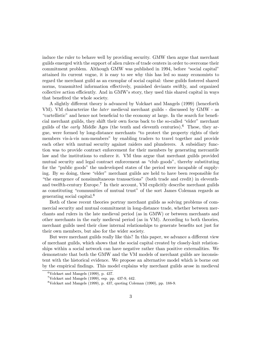induce the ruler to behave well by providing security. GMW then argue that merchant guilds emerged with the support of alien rulers of trade centers in order to overcome their commitment problem. Although GMW was published in 1994, before "social capital" attained its current vogue, it is easy to see why this has led so many economists to regard the merchant guild as an exemplar of social capital: these guilds fostered shared norms, transmitted information effectively, punished deviants swiftly, and organized collective action efficiently. And in GMW's story, they used this shared capital in ways that benefited the whole society.

A slightly different theory is advanced by Volckart and Mangels (1999) (henceforth VM). VM characterize the later medieval merchant guilds - discussed by GMW - as "cartellistic" and hence not beneficial to the economy at large. In the search for beneficial merchant guilds, they shift their own focus back to the so-called \elder" merchant guilds of the *early* Middle Ages (the tenth and eleventh centuries).<sup>6</sup> These, they argue, were formed by long-distance merchants \to protect the property rights of their members vis-à-vis non-members" by enabling traders to travel together and provide each other with mutual security against raiders and plunderers. A subsidiary function was to provide contract enforcement for their members by generating mercantile law and the institutions to enforce it. VM thus argue that merchant guilds provided mutual security and legal contract enforcement as "club goods", thereby substituting for the "public goods" the undeveloped states of the period were incapable of supplying. By so doing, these "elder" merchant guilds are held to have been responsible for \the emergence of nonsimultaneous transactions" (both trade and credit) in eleventhand twelfth-century Europe.<sup>7</sup> In their account, VM explicitly describe merchant guilds as constituting "communities of mutual trust" of the sort James Coleman regards as generating social capital.<sup>8</sup>

Both of these recent theories portray merchant guilds as solving problems of commercial security and mutual commitment in long-distance trade, whether between merchants and rulers in the late medieval period (as in GMW) or between merchants and other merchants in the early medieval period (as in VM). According to both theories, merchant guilds used their close internal relationships to generate benefits not just for their own members, but also for the wider society.

But were merchant guilds really like this? In this paper, we advance a different view of merchant guilds, which shows that the social capital created by closely-knit relationships within a social network can have negative rather than positive externalities. We demonstrate that both the GMW and the VM models of merchant guilds are inconsistent with the historical evidence. We propose an alternative model which is borne out by the empirical findings. This model explains why merchant guilds arose in medieval

 $6$ Volckart and Mangels (1999), p. 437.

 $7$ Volckart and Mangels (1999), esp. pp. 437-9, 442.

 $8$ Volckart and Mangels (1999), p. 437, quoting Coleman (1990), pp. 188-9.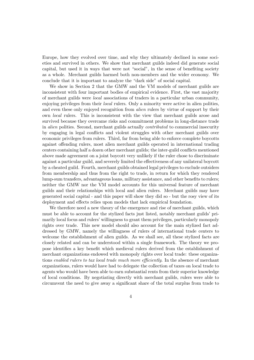Europe, how they evolved over time, and why they ultimately declined in some societies and survived in others. We show that merchant guilds indeed did generate social capital, but used it in ways that were not "social", in the sense of benefiting society as a whole. Merchant guilds harmed both non-members and the wider economy. We conclude that it is important to analyze the "dark side" of social capital.

We show in Section 2 that the GMW and the VM models of merchant guilds are inconsistent with four important bodies of empirical evidence. First, the vast majority of merchant guilds were local associations of traders in a particular urban community, enjoying privileges from their *local* rulers. Only a minority were active in alien polities, and even these only enjoyed recognition from *alien* rulers by virtue of support by their own local rulers. This is inconsistent with the view that merchant guilds arose and survived because they overcame risks and commitment problems in long-distance trade in alien polities. Second, merchant guilds actually contributed to commercial insecurity by engaging in legal conflicts and violent struggles with other merchant guilds over economic privileges from rulers. Third, far from being able to enforce complete boycotts against offending rulers, most alien merchant guilds operated in international trading centers containing half a dozen other merchant guilds; the inter-guild conflicts mentioned above made agreement on a joint boycott very unlikely if the ruler chose to discriminate against a particular guild, and severely limited the eÆectiveness of any unilateral boycott by a cheated guild. Fourth, merchant guilds obtained legal privileges to exclude outsiders from membership and thus from the right to trade, in return for which they rendered lump-sum transfers, advantageous loans, military assistance, and other benefits to rulers; neither the GMW nor the VM model accounts for this universal feature of merchant guilds and their relationships with local and alien rulers. Merchant guilds may have generated social capital - and this paper will show they did so - but the rosy view of its deployment and effects relies upon models that lack empirical foundation.

We therefore need a new theory of the emergence and rise of merchant guilds, which must be able to account for the stylized facts just listed, notably merchant guilds' primarily local focus and rulers' willingness to grant them privileges, particularly monopoly rights over trade. This new model should also account for the main stylized fact addressed by GMW, namely the willingness of rulers of international trade centers to welcome the establishment of alien guilds. As we shall see, all these stylized facts are closely related and can be understood within a single framework. The theory we propose identifies a key benefit which medieval rulers derived from the establishment of merchant organizations endowed with monopoly rights over local trade: these organizations enabled rulers to tax local trade much more efficiently. In the absence of merchant organizations, rulers would have had to delegate the collection of taxes on local trade to agents who would have been able to earn substantial rents from their superior knowledge of local conditions. By negotiating directly with merchant guilds, rulers were able to circumvent the need to give away a significant share of the total surplus from trade to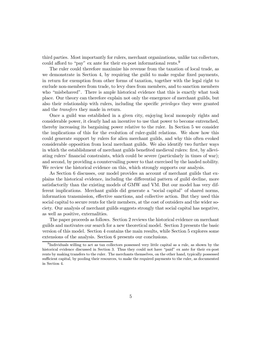third parties. Most importantly for rulers, merchant organizations, unlike tax collectors, could afford to "pay" ex ante for their ex-post informational rents.<sup>9</sup>

The ruler could therefore maximize his revenue from the taxation of local trade, as we demonstrate in Section 4, by requiring the guild to make regular fixed payments, in return for exemption from other forms of taxation, together with the legal right to exclude non-members from trade, to levy dues from members, and to sanction members who "misbehaved". There is ample historical evidence that this is exactly what took place. Our theory can therefore explain not only the emergence of merchant guilds, but also their relationship with rulers, including the specific *privileges* they were granted and the transfers they made in return.

Once a guild was established in a given city, enjoying local monopoly rights and considerable power, it clearly had an incentive to use that power to become entrenched, thereby increasing its bargaining power relative to the ruler. In Section 5 we consider the implications of this for the evolution of ruler-guild relations. We show how this could generate support by rulers for alien merchant guilds, and why this often evoked considerable opposition from local merchant guilds. We also identify two further ways in which the establishment of merchant guilds benefited medieval rulers: first, by alleviating rulers' financial constraints, which could be severe (particularly in times of war); and second, by providing a countervailing power to that exercised by the landed nobility. We review the historical evidence on this, which strongly supports our analysis.

As Section 6 discusses, our model provides an account of merchant guilds that explains the historical evidence, including the diÆerential pattern of guild decline, more satisfactorily than the existing models of GMW and VM. But our model has very different implications. Merchant guilds did generate a "social capital" of shared norms, information transmission, effective sanctions, and collective action. But they used this social capital to secure rents for their members, at the cost of outsiders and the wider society. Our analysis of merchant guilds suggests strongly that social capital has negative, as well as positive, externalities.

The paper proceeds as follows. Section 2 reviews the historical evidence on merchant guilds and motivates our search for a new theoretical model. Section 3 presents the basic version of this model. Section 4 contains the main results, while Section 5 explores some extensions of the analysis. Section 6 presents our conclusions.

<sup>9</sup>Individuals willing to act as tax collectors possessed very little capital as a rule, as shown by the historical evidence discussed in Section 3. Thus they could not have "paid" ex ante for their ex-post rents by making transfers to the ruler. The merchants themselves, on the other hand, typically possessed sufficient capital, by pooling their resources, to make the required payments to the ruler, as documented in Section 4.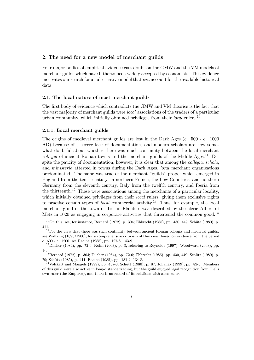#### 2. The need for a new model of merchant guilds

Four major bodies of empirical evidence cast doubt on the GMW and the VM models of merchant guilds which have hitherto been widely accepted by economists. This evidence motivates our search for an alternative model that can account for the available historical data.

#### 2.1. The local nature of most merchant guilds

The first body of evidence which contradicts the GMW and VM theories is the fact that the vast majority of merchant guilds were local associations of the traders of a particular urban community, which initially obtained privileges from their local rulers.<sup>10</sup>

#### 2.1.1. Local merchant guilds

The origins of medieval merchant guilds are lost in the Dark Ages (c. 500 - c. 1000 AD) because of a severe lack of documentation, and modern scholars are now somewhat doubtful about whether there was much continuity between the local merchant *collegia* of ancient Roman towns and the merchant guilds of the Middle Ages.<sup>11</sup> Despite the paucity of documentation, however, it is clear that among the *collegia, schola*, and ministeria attested in towns during the Dark Ages, local merchant organizations predominated. The same was true of the merchant \guilds" proper which emerged in England from the tenth century, in northern France, the Low Countries, and northern Germany from the eleventh century, Italy from the twelfth century, and Iberia from the thirteenth.<sup>12</sup> These were associations among the merchants of a particular locality, which initially obtained privileges from their *local* rulers, giving them exclusive rights to practise certain types of *local* commercial activity.<sup>13</sup> Thus, for example, the local merchant guild of the town of Tiel in Flanders was described by the cleric Albert of Metz in 1020 as engaging in corporate activities that threatened the common good.<sup>14</sup>

 $10$ On this, see, for instance, Bernard (1972), p. 304; Ehbrecht (1985), pp. 430, 449; Schütt (1980), p. 411.<br> $11F$ or the view that there was such continuity between ancient Roman collegia and medieval guilds,

see Waltzing (1895/1900); for a comprehensive criticism of this view, based on evidence from the period c. 600 - c. 1200, see Racine (1985), pp. 127-8, 143-9.<br><sup>12</sup>Dilcher (1984), pp. 72-6; Kohn (2003), p. 3, referring to Reynolds (1997); Woodward (2003), pp.

<sup>1-3.&</sup>lt;br><sup>13</sup>Bernard (1972), p. 304; Dilcher (1984), pp. 72-6; Ehbrecht (1985), pp. 430, 449; Schütt (1980), p.<br>79; Schütt (1985), p. 411; Racine (1985), pp. 131-2, 134-8.

 $14}$ Volckart and Mangels (1999), pp. 437-8; Schütt (1980), p. 87; Johanek (1999), pp. 82-3. Members of this guild were also active in long-distance trading, but the guild enjoyed legal recognition from Tiel's own ruler (the Emperor), and there is no record of its relations with alien rulers.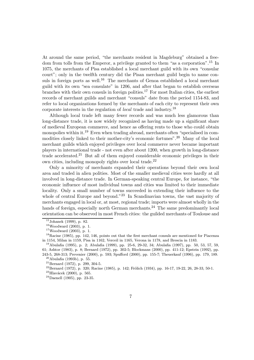At around the same period, "the merchants resident in Magdeburg" obtained a freedom from tolls from the Emperor, a privilege granted to them "as a corporation".<sup>15</sup> In 1075, the merchants of Pisa established a local merchant guild with its own \consular court"; only in the twelfth century did the Pisan merchant guild begin to name consuls in foreign ports as well.<sup>16</sup> The merchants of Genoa established a local merchant guild with its own "sea consulate" in 1206, and after that began to establish overseas branches with their own consuls in foreign polities.<sup>17</sup> For most Italian cities, the earliest records of merchant guilds and merchant "consuls" date from the period 1154-83, and refer to local organizations formed by the merchants of each city to represent their own corporate interests in the regulation of *local* trade and industry.<sup>18</sup>

Although local trade left many fewer records and was much less glamorous than long-distance trade, it is now widely recognized as having made up a significant share of medieval European commerce, and hence as offering rents to those who could obtain monopolies within it.<sup>19</sup> Even when trading abroad, merchants often "specialised in commodities closely linked to their mother-city's economic fortunes".<sup>20</sup> Many of the local merchant guilds which enjoyed privileges over local commerce never became important players in international trade - not even after about 1200, when growth in long-distance trade accelerated.<sup>21</sup> But all of them enjoyed considerable economic privileges in their own cities, including monopoly rights over local trade.<sup>22</sup>

Only a minority of merchants expanded their operations beyond their own local area and traded in alien polities. Most of the smaller medieval cities were hardly at all involved in long-distance trade. In German-speaking central Europe, for instance, \the economic influence of most individual towns and cities was limited to their immediate locality. Only a small number of towns succeeded in extending their influence to the whole of central Europe and beyond."<sup>23</sup> In Scandinavian towns, the vast majority of merchants engaged in local or, at most, regional trade; imports were almost wholly in the hands of foreign, especially north German merchants.<sup>24</sup> The same predominantly local orientation can be observed in most French cities: the guilded merchants of Toulouse and

<sup>&</sup>lt;sup>15</sup>Johanek (1999), p. 82.<br><sup>16</sup>Woodward (2003), p. 1.<br><sup>17</sup>Woodward (2003), p. 1.<br><sup>18</sup>Racine (1985), pp. 142, 146, points out that the first merchant consuls are mentioned for Piacenza in 1154, Milan in 1159, Pisa in 1162, Verceil in 1165, Verona in 1178, and Brescia in 1183.<br><sup>19</sup>Abulafia (1995), p. 2; Abulafia (1999), pp. 25-6, 29-32, 34; Abulafia (1997), pp. 50, 53, 57, 59,

<sup>61;</sup> Ashtor (1983), p. 8; Bernard (1972), pp. 302-5; Blockmans (2000), pp. 411-12; Epstein (1992), pp. 243-5, 268-313; Prevenier (2000), p. 593; Spufford (2000), pp. 155-7; Theuerkauf (1996), pp. 179, 189.<br><sup>20</sup> Abulafia (1993b), p. 55.<br><sup>21</sup> Bernard (1972), p. 299, 304-5.<br><sup>21</sup> Bernard (1972), p. 299, 304-5.<br><sup>22</sup> Bernard (19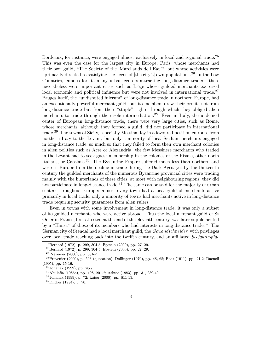Bordeaux, for instance, were engaged almost exclusively in local and regional trade.<sup>25</sup> This was even the case for the largest city in Europe, Paris, whose merchants had their own guild, "The Society of the 'Marchands de l'Eau"', but whose activities were "primarily directed to satisfying the needs of  $[the city's]$  own population".<sup>26</sup> In the Low Countries, famous for its many urban centers attracting long-distance traders, there nevertheless were important cities such as Liège whose guilded merchants exercised local economic and political influence but were not involved in international trade.<sup>27</sup> Bruges itself, the "undisputed fulcrum" of long-distance trade in northern Europe, had an exceptionally powerful merchant guild, but its members drew their profits not from long-distance trade but from their "staple" rights through which they obliged alien merchants to trade through their sole intermediation.<sup>28</sup> Even in Italy, the undenied center of European long-distance trade, there were very large cities, such as Rome, whose merchants, although they formed a guild, did not participate in international trade.<sup>29</sup> The towns of Sicily, especially Messina, lay in a favoured position en route from northern Italy to the Levant, but only a minority of local Sicilian merchants engaged in long-distance trade, so much so that they failed to form their own merchant colonies in alien polities such as Acre or Alexandria: the few Messinese merchants who traded in the Levant had to seek guest membership in the colonies of the Pisans, other north Italians, or Catalans.<sup>30</sup> The Byzantine Empire suffered much less than northern and western Europe from the decline in trade during the Dark Ages, yet by the thirteenth century the guilded merchants of the numerous Byzantine provincial cities were trading mainly with the hinterlands of these cities, at most with neighbouring regions; they did not participate in long-distance trade.<sup>31</sup> The same can be said for the majority of urban centers throughout Europe: almost every town had a local guild of merchants active primarily in local trade; only a minority of towns had merchants active in long-distance trade requiring security guarantees from alien rulers.

Even in towns with some involvement in long-distance trade, it was only a subset of its guilded merchants who were active abroad. Thus the local merchant guild of St Omer in France, first attested at the end of the eleventh century, was later supplemented by a "Hansa" of those of its members who had interests in long-distance trade.<sup>32</sup> The German city of Stendal had a local merchant guild, the Gewandschneider, with privileges over local trade reaching back into the twelfth century, and an affiliated Seefahrergilde

<sup>&</sup>lt;sup>25</sup>Bernard (1972), p. 299, 304-5; Epstein (2000), pp. 27, 29.<br><sup>26</sup>Bernard (1972), p. 299, 304-5; Epstein (2000), pp. 27, 29.<br><sup>27</sup>Prevenier (2000), pp. 581-2.<br><sup>28</sup>Prevenier (2000), p. 593 (quotation); Dollinger (1970), pp (1905), pp. 15-16.<br><sup>29</sup>Johanek (1999), pp. 76-7.<br><sup>30</sup>Abulafia (1986a), pp. 198, 201-2; Ashtor (1983), pp. 31, 239-40.<br><sup>31</sup>Johanek (1999), p. 72; Laiou (2000), pp. 811-13.<br><sup>32</sup>Dilcher (1984), p. 70.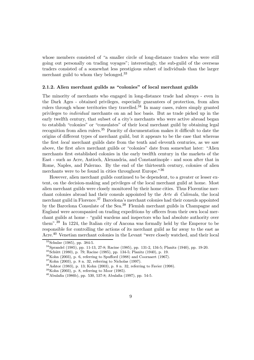whose members consisted of "a smaller circle of long-distance traders who were still going out personally on trading voyages"; interestingly, the sub-guild of the overseas traders consisted of a somewhat less prestigious subset of individuals than the larger merchant guild to whom they belonged.<sup>33</sup>

# $2.1.2.$  Alien merchant guilds as "colonies" of local merchant guilds

The minority of merchants who engaged in long-distance trade had always - even in the Dark Ages - obtained privileges, especially guarantees of protection, from alien rulers through whose territories they travelled.<sup>34</sup> In many cases, rulers simply granted privileges to individual merchants on an ad hoc basis. But as trade picked up in the early twelfth century, that subset of a city's merchants who were active abroad began to establish "colonies" or "consulates" of their local merchant guild by obtaining legal recognition from alien rulers.<sup>35</sup> Paucity of documentation makes it difficult to date the origins of diÆerent types of merchant guild, but it appears to be the case that whereas the first *local* merchant guilds date from the tenth and eleventh centuries, as we saw above, the first *alien* merchant guilds or "colonies" date from somewhat later: "Alien merchants first established colonies in the early twelfth century in the markets of the East - such as Acre, Antioch, Alexandria, and Constantinople - and soon after that in Rome, Naples, and Palermo. By the end of the thirteenth century, colonies of alien merchants were to be found in cities throughout Europe."<sup>36</sup>

However, alien merchant guilds continued to be dependent, to a greater or lesser extent, on the decision-making and privileges of the local merchant guild at home. Most alien merchant guilds were closely monitored by their home cities. Thus Florentine merchant colonies abroad had their consuls appointed by the Arte di Calimala, the local merchant guild in Florence.<sup>37</sup> Barcelona's merchant colonies had their consuls appointed by the Barcelona Consulate of the Sea.<sup>38</sup> Flemish merchant guilds in Champagne and England were accompanied on trading expeditions by officers from their own local merchant guilds at home - "guild wardens and inspectors who had absolute authority over them".<sup>39</sup> In 1224, the Italian city of Ancona was formally held by the Emperor to be responsible for controlling the actions of its merchant guild as far away to the east as Acre.<sup>40</sup> Venetian merchant colonies in the Levant "were closely watched, and their local

<sup>&</sup>lt;sup>33</sup>Schulze (1985), pp. 384-5.<br><sup>34</sup>Sprandel (1985), pp. 11-13, 27-8; Racine (1985), pp. 131-2, 134-5; Planitz (1940), pp. 19-20.<br><sup>35</sup>Schütt (1980), p. 79; Racine (1985), pp. 134-5; Planitz (1940), p. 19.<br><sup>35</sup>Schütt (1980)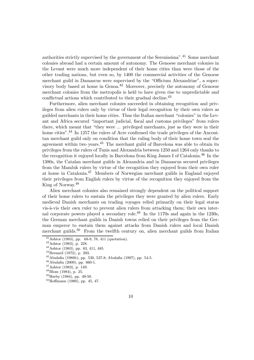authorities strictly supervised by the government of the Serenissima".<sup>41</sup> Some merchant colonies abroad had a certain amount of autonomy. The Genoese merchant colonies in the Levant were much more independent of their home cities than were those of the other trading nations, but even so, by 1400 the commercial activities of the Genoese merchant guild in Damascus were supervised by the "Officium Alexandriae", a supervisory body based at home in Genoa.<sup>42</sup> Moreover, precisely the autonomy of Genoese merchant colonies from the metropolis is held to have given rise to unpredictable and conflictual actions which contributed to their gradual decline.<sup>43</sup>

Furthermore, alien merchant colonies succeeded in obtaining recognition and privileges from alien rulers only by virtue of their legal recognition by their own rulers as guilded merchants in their home cities. Thus the Italian merchant \colonies" in the Levant and Africa secured "important judicial, fiscal and customs privileges" from rulers there, which meant that "they were ... privileged merchants, just as they were in their home cities".<sup>44</sup> In 1257 the rulers of Acre confirmed the trade privileges of the Anconitan merchant guild only on condition that the ruling body of their home town seal the agreement within two years. $45$  The merchant guild of Barcelona was able to obtain its privileges from the rulers of Tunis and Alexandria between 1250 and 1264 only thanks to the recognition it enjoyed locally in Barcelona from King James I of Catalonia.<sup>46</sup> In the 1380s, the Catalan merchant guilds in Alexandria and in Damascus secured privileges from the Mamluk rulers by virtue of the recognition they enjoyed from their own ruler at home in Catalonia.<sup>47</sup> Members of Norwegian merchant guilds in England enjoyed their privileges from English rulers by virtue of the recognition they enjoyed from the King of Norway.<sup>48</sup>

Alien merchant colonies also remained strongly dependent on the political support of their home rulers to sustain the privileges they were granted by alien rulers. Early medieval Danish merchants on trading voyages relied primarily on their legal status vis-à-vis their own ruler to prevent alien rulers from attacking them; their own internal corporate powers played a secondary role.<sup>49</sup> In the 1170s and again in the 1230s, the German merchant guilds in Danish towns relied on their privileges from the German emperor to sustain them against attacks from Danish rulers and local Danish merchant guilds.<sup>50</sup> From the twelfth century on, alien merchant guilds from Italian

<sup>&</sup>lt;sup>41</sup> Ashtor (1983), pp. 68-9, 78, 411 (quotation).<br><sup>42</sup> Ashtor (1983), p. 228.<br><sup>43</sup> Ashtor (1983), pp. 83, 411, 485.<br><sup>44</sup> Bernard (1972), p. 293.<br><sup>45</sup> Abulafia (1986b), pp. 530, 537-8; Abulafia (1997), pp. 54-5.<br><sup>46</sup> Abul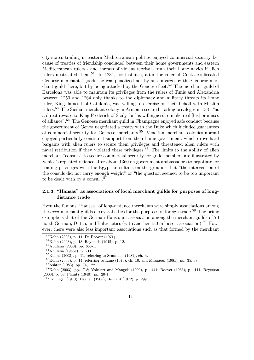city-states trading in eastern Mediterranean polities enjoyed commercial security because of treaties of friendship concluded between their home governments and eastern Mediterranean rulers - and threats of violent reprisals from their home navies if alien rulers mistreated them.<sup>51</sup> In 1231, for instance, after the ruler of Cueta confiscated Genoese merchants' goods, he was penalized not by an embargo by the Genoese merchant guild there, but by being attacked by the Genoese fleet.<sup>52</sup> The merchant guild of Barcelona was able to maintain its privileges from the rulers of Tunis and Alexandria between 1250 and 1264 only thanks to the diplomacy and military threats its home ruler, King James I of Catalonia, was willing to exercise on their behalf with Muslim rulers.<sup>53</sup> The Sicilian merchant colony in Armenia secured trading privileges in 1331 "as a direct reward to King Frederick of Sicily for his willingness to make real [his] promises of alliance".<sup>54</sup> The Genoese merchant guild in Champagne enjoyed safe conduct because the government of Genoa negotiated a treaty with the Duke which included guarantees of commercial security for Genoese merchants.<sup>55</sup> Venetian merchant colonies abroad enjoyed particularly consistent support from their home government, which drove hard bargains with alien rulers to secure them privileges and threatened alien rulers with naval retribution if they violated these privileges.<sup>56</sup> The limits to the ability of alien merchant "consuls" to secure commercial security for guild members are illustrated by Venice's repeated reliance after about 1360 on government ambassadors to negotiate for trading privileges with the Egyptian sultans on the grounds that \the intervention of the consuls did not carry enough weight" or \the question seemed to be too important to be dealt with by a consul".<sup>57</sup>

# 2.1.3. "Hansas" as associations of local merchant guilds for purposes of longdistance trade

Even the famous "Hansas" of long-distance merchants were simply associations among the *local* merchant guilds of several cities for the purposes of foreign trade.<sup>58</sup> The prime example is that of the German Hansa, an association among the merchant guilds of 70 north German, Dutch, and Baltic cities (with another 130 in looser association).<sup>59</sup> However, there were also less important associations such as that formed by the merchant

<sup>&</sup>lt;sup>51</sup>Kohn (2003), p. 11; De Roover (1971).<br><sup>52</sup>Kohn (2003), p. 13; Reynolds (1945), p. 12.<br><sup>53</sup>Abulafia (2000), pp. 660-1.<br><sup>54</sup>Abulafia (1986a), p. 211.<br><sup>55</sup>Kohne (2003), p. 11, referring to Scammell (1981), ch. 4.<br><sup>55</sup>Koh (2000), p. 68; Planitz (1940), pp. 20-1.<br><sup>59</sup>Dollinger (1970); Daenell (1905); Bernard (1972), p. 299.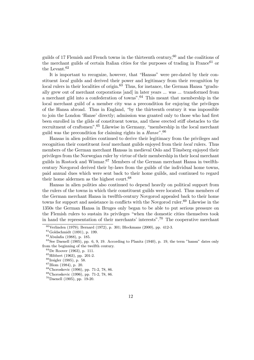guilds of 17 Flemish and French towns in the thirteenth century,  $60$  and the coalitions of the merchant guilds of certain Italian cities for the purposes of trading in France<sup>61</sup> or the Levant.<sup>62</sup>

It is important to recognize, however, that "Hansas" were pre-dated by their constituent local guilds and derived their power and legitimacy from their recognition by local rulers in their localities of origin.<sup>63</sup> Thus, for instance, the German Hansa "gradually grew out of merchant corporations [and] in later years ... was ... transformed from a merchant gild into a confederation of towns".<sup>64</sup> This meant that membership in the local merchant guild of a member city was a precondition for enjoying the privileges of the Hansa abroad. Thus in England, \by the thirteenth century it was impossible to join the London 'Hanse' directly; admission was granted only to those who had first been enrolled in the gilds of constituent towns, and these erected stiff obstacles to the recruitment of craftsmen".<sup>65</sup> Likewise in Germany, "membership in the local merchant guild was the precondition for claiming rights in a Hanse".<sup>66</sup>

Hansas in alien polities continued to derive their legitimacy from the privileges and recognition their constituent *local* merchant guilds enjoyed from their *local* rulers. Thus members of the German merchant Hansas in medieval Oslo and Tönsberg enjoyed their privileges from the Norwegian ruler by virtue of their membership in their local merchant guilds in Rostock and Wismar.<sup>67</sup> Members of the German merchant Hansa in twelfthcentury Novgorod derived their by-laws from the guilds of the individual home towns, paid annual dues which were sent back to their home guilds, and continued to regard their home aldermen as the highest court.<sup>68</sup>

Hansas in alien polities also continued to depend heavily on political support from the rulers of the towns in which their constituent guilds were located. Thus members of the German merchant Hansa in twelfth-century Novgorod appealed back to their home towns for support and assistance in conflicts with the Novgorod ruler.<sup>69</sup> Likewise in the 1350s the German Hansa in Bruges only began to be able to put serious pressure on the Flemish rulers to sustain its privileges \when the domestic cities themselves took in hand the representation of their merchants' interests".<sup>70</sup> The cooperative merchant

<sup>&</sup>lt;sup>60</sup>Verlinden (1979); Bernard (1972), p. 301; Blockmans (2000), pp. 412-3.<br><sup>61</sup>Goldschmidt (1891), p. 199.<br><sup>62</sup>Abulafia (1988), p. 185.<br><sup>63</sup>See Daenell (1905), pp. 6, 9, 19. According to Planitz (1940), p. 19, the term "h from the beginning of the twelfth century.<br>
<sup>64</sup>De Roover (1963), p. 111.<br>
<sup>65</sup>Hibbert (1963), pp. 201-2.<br>
<sup>66</sup>Irsigler (1985), p. 58.<br>
<sup>67</sup>Blom (1984), p. 20.<br>
<sup>68</sup>Choroskevic (1996), pp. 71-2, 78, 86.<br>
<sup>69</sup>Choroskevic (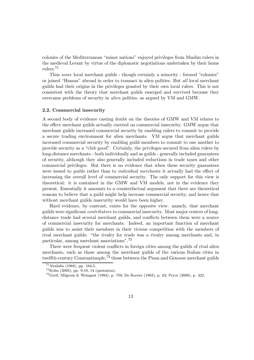colonies of the Mediterranean \minor nations" enjoyed privileges from Muslim rulers in the medieval Levant by virtue of the diplomatic negotiations undertaken by their home rulers.<sup>71</sup>

Thus some local merchant guilds - though certainly a minority - formed "colonies" or joined "Hansas" abroad in order to transact in alien polities. But all local merchant guilds had their origins in the privileges granted by their own local rulers. This is not consistent with the theory that merchant guilds emerged and survived because they overcame problems of security in alien polities, as argued by VM and GMW.

#### 2.2. Commercial insecurity

A second body of evidence casting doubt on the theories of GMW and VM relates to the effect merchant guilds actually exerted on commercial insecurity. GMW argue that merchant guilds increased commercial security by enabling rulers to commit to provide a secure trading environment for alien merchants. VM argue that merchant guilds increased commercial security by enabling guild members to commit to one another to provide security as a \club good". Certainly, the privileges secured from alien rulers by long-distance merchants - both individually and as guilds - generally included guarantees of security, although they also generally included reductions in trade taxes and other commercial privileges. But there is no evidence that when these security guarantees were issued to *quilds* rather than to *individual merchants* it actually had the effect of increasing the overall level of commercial security. The only support for this view is theoretical: it is contained in the GMW and VM models, not in the evidence they present. Essentially it amounts to a counterfactual argument that there are theoretical reasons to believe that a guild might help increase commercial security, and hence that without merchant guilds insecurity would have been higher.

Hard evidence, by contrast, exists for the opposite view: namely, that merchant guilds were significant *contributors* to commercial insecurity. Most major centers of longdistance trade had several merchant guilds, and conflicts between them were a source of commercial insecurity for merchants. Indeed, an important function of merchant guilds was to assist their members in their vicious competition with the members of rival merchant guilds: \the rivalry for trade was a rivalry among merchants and, in particular, among merchant associations".<sup>72</sup>

There were frequent violent conflicts in foreign cities among the guilds of rival alien merchants, such as those among the merchant guilds of the various Italian cities in twelfth-century Constantinople,<sup>73</sup> those between the Pisan and Genoese merchant guilds

<sup>&</sup>lt;sup>71</sup>Abulafia (1988), pp. 184-5.<br><sup>72</sup>Kohn (2003), pp. 9-10, 14 (quotation).<br><sup>73</sup>Greif, Milgrom & Weingast (1994), p. 750; De Roover (1963), p. 62; Pryor (2000), p. 422.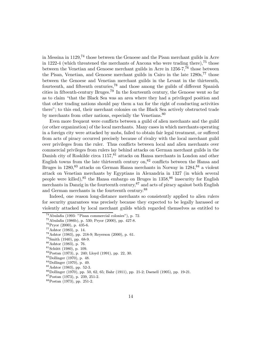in Messina in 1129,<sup>74</sup> those between the Genoese and the Pisan merchant guilds in Acre in 1222-4 (which threatened the merchants of Ancona who were trading there),<sup>75</sup> those between the Venetian and Genoese merchant guilds in Acre in 1256-7,<sup>76</sup> those between the Pisan, Venetian, and Genoese merchant guilds in Cairo in the late  $1280s$ ,  $77$  those between the Genoese and Venetian merchant guilds in the Levant in the thirteenth, fourteenth, and fifteenth centuries,<sup>78</sup> and those among the guilds of different Spanish cities in fifteenth-century Bruges.<sup>79</sup> In the fourteenth century, the Genoese went so far as to claim "that the Black Sea was an area where they had a privileged position and that other trading nations should pay them a tax for the right of conducting activities there"; to this end, their merchant colonies on the Black Sea actively obstructed trade by merchants from other nations, especially the Venetians.<sup>80</sup>

Even more frequent were conflicts between a guild of alien merchants and the guild (or other organization) of the local merchants. Many cases in which merchants operating in a foreign city were attacked by mobs, failed to obtain fair legal treatment, or suffered from acts of piracy occurred precisely because of rivalry with the local merchant guild over privileges from the ruler. Thus conflicts between local and alien merchants over commercial privileges from rulers lay behind attacks on German merchant guilds in the Danish city of Roskilde circa 1157, 81 attacks on Hansa merchants in London and other English towns from the late thirteenth century on,<sup>82</sup> conflicts between the Hansa and Bruges in 1280,<sup>83</sup> attacks on German Hansa merchants in Norway in 1284,<sup>84</sup> a violent attack on Venetian merchants by Egyptians in Alexandria in 1327 (in which several people were killed),  $85$  the Hansa embargo on Bruges in  $1358$ ,  $86$  insecurity for English merchants in Danzig in the fourteenth century,  $87$  and acts of piracy against both English and German merchants in the fourteenth century.<sup>88</sup>

Indeed, one reason long-distance merchants so consistently applied to alien rulers for security guarantees was precisely because they expected to be legally harassed or violently attacked by local merchant guilds which regarded themselves as entitled to

<sup>&</sup>lt;sup>74</sup>Abulafia (1993: "Pisan commercial colonies"), p. 72.<br>
<sup>75</sup>Abulafia (1986b), p. 530; Pryor (2000), pp. 427-8.<br>
<sup>76</sup>Pryor (2000), p. 435-6.<br>
<sup>77</sup>Ashtor (1983), p. 14.<br>
<sup>78</sup>Ashtor (1983), p. 128-9; Reyerson (2000), p. 61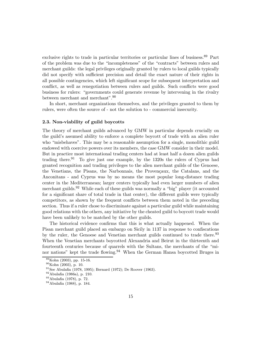exclusive rights to trade in particular territories or particular lines of business.<sup>89</sup> Part of the problem was due to the \incompleteness" of the \contracts" between rulers and merchant guilds: the legal privileges originally granted by rulers to local guilds typically did not specify with sufficient precision and detail the exact nature of their rights in all possible contingencies, which left significant scope for subsequent interpretation and conflict, as well as renegotiation between rulers and guilds. Such conflicts were good business for rulers: "governments could generate revenue by intervening in the rivalry between merchant and merchant".<sup>90</sup>

In short, merchant organizations themselves, and the privileges granted to them by rulers, were often the source of - not the solution to - commercial insecurity.

#### 2.3. Non-viability of guild boycotts

The theory of merchant guilds advanced by GMW in particular depends crucially on the guild's assumed ability to enforce a complete boycott of trade with an alien ruler who "misbehaves". This may be a reasonable assumption for a single, monolithic guild endowed with coercive powers over its members, the case GMW consider in their model. But in practice most international trading centers had at least half a dozen alien guilds trading there.<sup>91</sup> To give just one example, by the 1320s the rulers of Cyprus had granted recognition and trading privileges to the alien merchant guilds of the Genoese, the Venetians, the Pisans, the Narbonnais, the Provencaux, the Catalans, and the Anconitans - and Cyprus was by no means the most popular long-distance trading center in the Mediterranean; larger centers typically had even larger numbers of alien merchant guilds.<sup>92</sup> While each of these guilds was normally a "big" player (it accounted for a significant share of total trade in that center), the different guilds were typically competitors, as shown by the frequent conflicts between them noted in the preceding section. Thus if a ruler chose to discriminate against a particular guild while maintaining good relations with the others, any initiative by the cheated guild to boycott trade would have been unlikely to be matched by the other guilds.

The historical evidence confirms that this is what actually happened. When the Pisan merchant guild placed an embargo on Sicily in 1137 in response to confiscations by the ruler, the Genoese and Venetian merchant guilds continued to trade there.<sup>93</sup> When the Venetian merchants boycotted Alexandria and Beirut in the thirteenth and fourteenth centuries because of quarrels with the Sultans, the merchants of the \minor nations" kept the trade flowing.<sup>94</sup> When the German Hansa boycotted Bruges in

<sup>&</sup>lt;sup>89</sup>Kohn (2003), pp. 15-16.<br><sup>90</sup>Kohn (2003), p. 10.<br><sup>91</sup>See Abulafia (1978, 1995); Bernard (1972); De Roover (1963).<br><sup>92</sup>Abulafia (1986a), p. 210.<br><sup>93</sup>Abulafia (1978), p. 72.<br><sup>94</sup>Abulafia (1988), p. 184.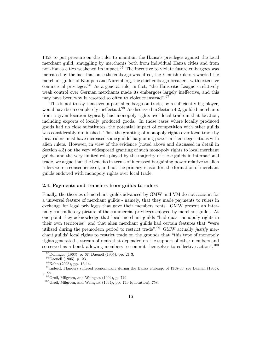1358 to put pressure on the ruler to maintain the Hansa's privileges against the local merchant guild, smuggling by merchants both from individual Hansa cities and from non-Hansa cities weakened its impact.<sup>95</sup> The incentive to violate future embargoes was increased by the fact that once the embargo was lifted, the Flemish rulers rewarded the merchant guilds of Kampen and Nuremberg, the chief embargo-breakers, with extensive commercial privileges. $96$  As a general rule, in fact, "the Hanseatic League's relatively weak control over German merchants made its embargoes largely ineffective, and this may have been why it resorted so often to violence instead".<sup>97</sup>

This is not to say that even a partial embargo on trade, by a sufficiently big player, would have been completely ineffectual.<sup>98</sup> As discussed in Section 4.2, guilded merchants from a given location typically had monopoly rights over local trade in that location, including exports of locally produced goods. In those cases where locally produced goods had no close substitutes, the potential impact of competition with other guilds was considerably diminished. Thus the granting of monopoly rights over local trade by local rulers must have increased some guilds' bargaining power in their negotiations with alien rulers. However, in view of the evidence (noted above and discussed in detail in Section 4.3) on the very widespread granting of such monopoly rights to local merchant guilds, and the very limited role played by the majority of these guilds in international trade, we argue that the benefits in terms of increased bargaining power relative to alien rulers were a consequence of, and not the primary reason for, the formation of merchant guilds endowed with monopoly rights over local trade.

#### 2.4. Payments and transfers from guilds to rulers

Finally, the theories of merchant guilds advanced by GMW and VM do not account for a universal feature of merchant guilds - namely, that they made payments to rulers in exchange for legal privileges that gave their members rents. GMW present an internally contradictory picture of the commercial privileges enjoyed by merchant guilds. At one point they acknowledge that local merchant guilds "had quasi-monopoly rights in their own territories" and that alien merchant guilds had certain features that \were utilized during the premodern period to restrict trade".<sup>99</sup> GMW actually justify merchant guilds' local rights to restrict trade on the grounds that \this type of monopoly rights generated a stream of rents that depended on the support of other members and so served as a bond, allowing members to commit themselves to collective action".<sup>100</sup>

<sup>&</sup>lt;sup>95</sup>Dollinger (1963), p. 67; Daenell (1905), pp. 21-3.<br><sup>96</sup>Daenell (1905), p. 23.<br><sup>97</sup>Kohn (2003), pp. 13-14.<br><sup>98</sup>Indeed, Flanders suffered economically during the Hansa embargo of 1358-60; see Daenell (1905), p. 22.<br><sup>99</sup>Greif, Milgrom, and Weingast (1994), p. 749.<br><sup>100</sup>Greif, Milgrom, and Weingast (1994), pp. 749 (quotation), 758.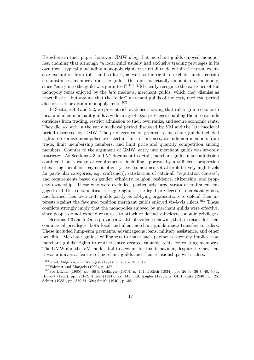Elsewhere in their paper, however, GMW deny that merchant guilds enjoyed monopolies, claiming that although "a local guild usually had exclusive trading privileges in its own town, typically including monopoly rights over retail trade within the town, exclusive exemption from tolls, and so forth, as well as the right to exclude, under certain circumstances, members from the guild", this did not actually amount to a monopoly, since "entry into the guild was permitted".<sup>101</sup> VM clearly recognize the existence of the monopoly rents enjoyed by the *late* medieval merchant guilds, which they dismiss as "cartellistic", but assume that the "elder" merchant guilds of the early medieval period did not seek or obtain monopoly rents.<sup>102</sup>

In Sections 4.3 and 5.2, we present rich evidence showing that rulers granted to both local and alien merchant guilds a wide array of legal privileges enabling them to exclude outsiders from trading, restrict admission to their own ranks, and secure economic rents. They did so both in the early medieval period discussed by VM and the late medieval period discussed by GMW. The privileges rulers granted to merchant guilds included rights to exercise monopolies over certain lines of business, exclude non-members from trade, limit membership numbers, and limit price and quantity competition among members. Counter to the argument of GMW, entry into merchant guilds was severely restricted. As Sections 4.3 and 5.2 document in detail, merchant guilds made admission contingent on a range of requirements, including approval by a sufficient proportion of existing members, payment of entry fees (sometimes set at prohibitively high levels for particular categories, e.g. craftsmen), satisfaction of catch-all "reputation clauses", and requirements based on gender, ethnicity, religion, residence, citizenship, and property ownership. Those who were excluded, particularly large strata of craftsmen, engaged in bitter sociopolitical struggle against the legal privileges of merchant guilds, and formed their own craft guilds partly as lobbying organizations to defend their interests against the favoured position merchant guilds enjoyed vis- $\alpha$ -vis rulers.<sup>103</sup> These conflicts strongly imply that the monopolies enjoyed by merchant guilds were effective, since people do not expend resources to attack or defend valueless economic privileges.

Sections 4.3 and 5.2 also provide a wealth of evidence showing that, in return for their commercial privileges, both local and alien merchant guilds made transfers to rulers. These included lump-sum payments, advantageous loans, military assistance, and other benefits. Merchant guilds' willingness to make such payments strongly implies that merchant guilds' rights to restrict entry created valuable rents for existing members. The GMW and the VM models fail to account for this behaviour, despite the fact that it was a universal feature of merchant guilds and their relationships with rulers.

<sup>&</sup>lt;sup>101</sup>Greif, Milgrom, and Weingast (1994), p. 757 with n. 12.<br><sup>102</sup>Volckart and Mangels (1999), p. 437.<br><sup>103</sup>See Dilcher (1985), pp. 88-9; Dollinger (1970), p. 161; Frölich (1934), pp. 26-33, 36-7, 40, 50-1; Hibbert (1963), pp. 201-2; Hilton (1984), pp. 145, 149; Irsigler (1985), p. 64; Planitz (1940), p. 25; Schütt (1985), pp. 379-81, 394; Smith (1940), p. 38.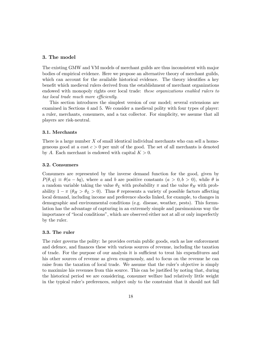#### 3. The model

The existing GMW and VM models of merchant guilds are thus inconsistent with major bodies of empirical evidence. Here we propose an alternative theory of merchant guilds, which can account for the available historical evidence. The theory identifies a key benefit which medieval rulers derived from the establishment of merchant organizations endowed with monopoly rights over local trade: these organizations enabled rulers to tax local trade much more efficiently.

This section introduces the simplest version of our model; several extensions are examined in Sections 4 and 5. We consider a medieval polity with four types of player: a ruler, merchants, consumers, and a tax collector. For simplicity, we assume that all players are risk-neutral.

#### 3.1. Merchants

There is a large number  $X$  of small identical individual merchants who can sell a homogeneous good at a cost  $c > 0$  per unit of the good. The set of all merchants is denoted by A. Each merchant is endowed with capital  $K > 0$ .

#### 3.2. Consumers

Consumers are represented by the inverse demand function for the good, given by  $P(\theta, q) \equiv \theta(a - bq)$ , where a and b are positive constants  $(a > 0, b > 0)$ , while  $\theta$  is a random variable taking the value  $\theta_L$  with probability  $\pi$  and the value  $\theta_H$  with probability  $1 - \pi (\theta_H > \theta_L > 0)$ . Thus  $\theta$  represents a variety of possible factors affecting local demand, including income and preference shocks linked, for example, to changes in demographic and environmental conditions (e.g. disease, weather, pests). This formulation has the advantage of capturing in an extremely simple and parsimonious way the importance of "local conditions", which are observed either not at all or only imperfectly by the ruler.

#### 3.3. The ruler

The ruler governs the polity: he provides certain public goods, such as law enforcement and defence, and finances these with various sources of revenue, including the taxation of trade. For the purpose of our analysis it is sufficient to treat his expenditures and his other sources of revenue as given exogenously, and to focus on the revenue he can raise from the taxation of local trade. We assume that the ruler's objective is simply to maximize his revenues from this source. This can be justified by noting that, during the historical period we are considering, consumer welfare had relatively little weight in the typical ruler's preferences, subject only to the constraint that it should not fall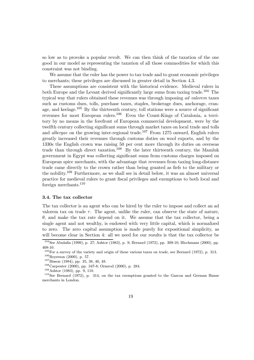so low as to provoke a popular revolt. We can then think of the taxation of the one good in our model as representing the taxation of all those commodities for which this constraint was not binding.

We assume that the ruler has the power to tax trade and to grant economic privileges to merchants; these privileges are discussed in greater detail in Section 4.3.

These assumptions are consistent with the historical evidence. Medieval rulers in both Europe and the Levant derived significantly large sums from taxing trade.<sup>104</sup> The typical way that rulers obtained these revenues was through imposing ad valorem taxes such as customs dues, tolls, purchase taxes, staples, brokerage dues, anchorage, cranage, and keelage.<sup>105</sup> By the thirteenth century, toll stations were a source of significant revenues for most European rulers.<sup>106</sup> Even the Count-Kings of Catalonia, a territory by no means in the forefront of European commercial development, were by the twelfth century collecting significant sums through market taxes on local trade and tolls and *albergae* on the growing inter-regional trade.<sup>107</sup> From 1275 onward, English rulers greatly increased their revenues through customs duties on wool exports, and by the 1330s the English crown was raising 50 per cent more through its duties on overseas trade than through direct taxation.<sup>108</sup> By the later thirteenth century, the Mamluk government in Egypt was collecting significant sums from customs charges imposed on European spice merchants, with the advantage that revenues from taxing long-distance trade came directly to the crown rather than being granted as fiefs to the military or the nobility.<sup>109</sup> Furthermore, as we shall see in detail below, it was an almost universal practice for medieval rulers to grant fiscal privileges and exemptions to both local and foreign merchants.<sup>110</sup>

#### 3.4. The tax collector

The tax collector is an agent who can be hired by the ruler to impose and collect an ad valorem tax on trade  $\tau$ . The agent, unlike the ruler, can observe the state of nature,  $\theta$ , and make the tax rate depend on it. We assume that the tax collector, being a single agent and not wealthy, is endowed with very little capital, which is normalized to zero. The zero capital assumption is made purely for expositional simplicity, as will become clear in Section 4: all we need for our results is that the tax collector be

 $104$ See Abulafia (1999), p. 27; Ashtor (1983), p. 9; Bernard (1972), pp. 309-10; Blockmans (2000), pp. 408-10.

 $^{105}\text{For a survey of the variety and origin of these various taxes on trade, see Bernard (1972), p. 313.}\n $^{106}\text{Reyerson}$  (2000), p. 57.\n $^{107}\text{Bisson}$  (1984), pp. 35, 38, 46, 48.\n $^{108}\text{Carpenter}$  (2000), pp. 347-8; Ormrod (2000), p. 284.\n $^{108}\text{Ashtor}$  (1983), pp. 9, 110.\n $^{110}\text{See Bernard}$  (1$ 

merchants in London.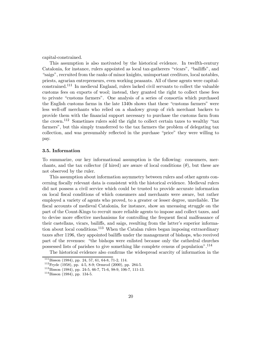capital-constrained.

This assumption is also motivated by the historical evidence. In twelfth-century Catalonia, for instance, rulers appointed as local tax-gatherers "vicars", "bailiffs", and "saigs", recruited from the ranks of minor knights, unimportant creditors, local notables, priests, agrarian entrepreneurs, even working peasants. All of these agents were capitalconstrained.<sup>111</sup> In medieval England, rulers lacked civil servants to collect the valuable customs fees on exports of wool; instead, they granted the right to collect these fees to private "customs farmers". One analysis of a series of consortia which purchased the English customs farms in the late 1340s shows that these "customs farmers" were less well-oÆ merchants who relied on a shadowy group of rich merchant backers to provide them with the Ønancial support necessary to purchase the customs farm from the crown.<sup>112</sup> Sometimes rulers sold the right to collect certain taxes to wealthy "tax farmers", but this simply transferred to the tax farmers the problem of delegating tax collection, and was presumably reflected in the purchase "price" they were willing to pay.

#### 3.5. Information

To summarize, our key informational assumption is the following: consumers, merchants, and the tax collector (if hired) are aware of local conditions  $(\theta)$ , but these are not observed by the ruler.

This assumption about information asymmetry between rulers and other agents concerning fiscally relevant data is consistent with the historical evidence. Medieval rulers did not possess a civil service which could be trusted to provide accurate information on local Øscal conditions of which consumers and merchants were aware, but rather employed a variety of agents who proved, to a greater or lesser degree, unreliable. The fiscal accounts of medieval Catalonia, for instance, show an unceasing struggle on the part of the Count-Kings to recruit more reliable agents to impose and collect taxes, and to devise more effective mechanisms for controlling the frequent fiscal malfeasance of their castellans, vicars, bailiffs, and saigs, resulting from the latter's superior information about local conditions.<sup>113</sup> When the Catalan rulers began imposing extraordinary taxes after 1196, they appointed bailiffs under the management of bishops, who received part of the revenues: \the bishops were enlisted because only the cathedral churches possessed lists of parishes to give something like complete census of population".<sup>114</sup>

The historical evidence also confirms the widespread scarcity of information in the

<sup>&</sup>lt;sup>111</sup>Bisson (1984), pp. 24, 57, 61, 64-8, 71-2, 114.<br><sup>112</sup>Fryde (1958), pp. 4-5, 8-9; Ormrod (2000), pp. 284-5.<br><sup>113</sup>Bisson (1984), pp. 24-5, 66-7, 71-6, 98-9, 106-7, 111-13.<br><sup>114</sup>Bisson (1984), pp. 134-5.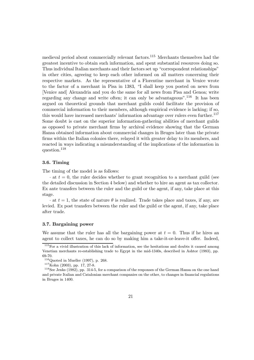medieval period about commercially relevant factors.<sup>115</sup> Merchants themselves had the greatest incentive to obtain such information, and spent substantial resources doing so. Thus individual Italian merchants and their factors set up "correspondent relationships" in other cities, agreeing to keep each other informed on all matters concerning their respective markets. As the representative of a Florentine merchant in Venice wrote to the factor of a merchant in Pisa in 1383, "I shall keep you posted on news from [Venice and] Alexandria and you do the same for all news from Pisa and Genoa; write regarding any change and write often; it can only be advantageous".<sup>116</sup> It has been argued on theoretical grounds that merchant guilds could facilitate the provision of commercial information to their members, although empirical evidence is lacking; if so, this would have increased merchants' information advantage over rulers even further.<sup>117</sup> Some doubt is cast on the superior information-gathering abilities of merchant guilds as opposed to private merchant firms by archival evidence showing that the German Hansa obtained information about commercial changes in Bruges later than the private firms within the Italian colonies there, relayed it with greater delay to its members, and reacted in ways indicating a misunderstanding of the implications of the information in question.<sup>118</sup>

#### 3.6. Timing

The timing of the model is as follows:

 $\cdot$  at  $t = 0$ , the ruler decides whether to grant recognition to a merchant guild (see the detailed discussion in Section 4 below) and whether to hire an agent as tax collector. Ex ante transfers between the ruler and the guild or the agent, if any, take place at this stage.

 $\cdot$  at  $t = 1$ , the state of nature  $\theta$  is realized. Trade takes place and taxes, if any, are levied. Ex post transfers between the ruler and the guild or the agent, if any, take place after trade.

#### 3.7. Bargaining power

We assume that the ruler has all the bargaining power at  $t = 0$ . Thus if he hires an agent to collect taxes, he can do so by making him a take-it-or-leave-it offer. Indeed,

 $115$  For a vivid illustration of this lack of information, see the hesitations and doubts it caused among Venetian merchants re-establishing trade to Egypt in the mid-1340s, described in Ashtor (1983), pp. 69-70.

<sup>&</sup>lt;sup>116</sup>Quoted in Mueller (1997), p. 268.<br><sup>117</sup>Kohn (2003), pp. 17, 27-8.<br><sup>118</sup>See Jenks (1982), pp. 314-5, for a comparison of the responses of the German Hansa on the one hand and private Italian and Catalonian merchant companies on the other, to changes in financial regulations in Bruges in 1400.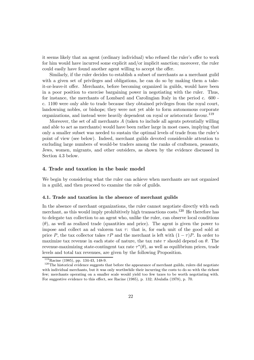it seems likely that an agent (ordinary individual) who refused the ruler's offer to work for him would have incurred some explicit and/or implicit sanction; moreover, the ruler could easily have found another agent willing to accept the offer.

Similarly, if the ruler decides to establish a subset of merchants as a merchant guild with a given set of privileges and obligations, he can do so by making them a takeit-or-leave-it offer. Merchants, before becoming organized in guilds, would have been in a poor position to exercise bargaining power in negotiating with the ruler. Thus, for instance, the merchants of Lombard and Carolingian Italy in the period c. 600 c. 1100 were only able to trade because they obtained privileges from the royal court, landowning nobles, or bishops; they were not yet able to form autonomous corporate organizations, and instead were heavily dependent on royal or aristocratic favour.<sup>119</sup>

Moreover, the set of all merchants  $A$  (taken to include all agents potentially willing and able to act as merchants) would have been rather large in most cases, implying that only a smaller subset was needed to sustain the optimal levels of trade from the ruler's point of view (see below). Indeed, merchant guilds devoted considerable attention to excluding large numbers of would-be traders among the ranks of craftsmen, peasants, Jews, women, migrants, and other outsiders, as shown by the evidence discussed in Section 4.3 below.

#### 4. Trade and taxation in the basic model

We begin by considering what the ruler can achieve when merchants are not organized in a guild, and then proceed to examine the role of guilds.

#### 4.1. Trade and taxation in the absence of merchant guilds

In the absence of merchant organizations, the ruler cannot negotiate directly with each merchant, as this would imply prohibitively high transactions costs.<sup>120</sup> He therefore has to delegate tax collection to an agent who, unlike the ruler, can observe local conditions  $(\theta)$ , as well as realized trade (quantities and price). The agent is given the power to impose and collect an ad valorem tax  $\tau$ : that is, for each unit of the good sold at price P, the tax collector takes  $\tau P$  and the merchant is left with  $(1 - \tau)P$ . In order to maximize tax revenue in each state of nature, the tax rate  $\tau$  should depend on  $\theta$ . The revenue-maximizing state-contingent tax rate  $\tau^*(\theta)$ , as well as equilibrium prices, trade levels and total tax revenues, are given by the following Proposition.

<sup>&</sup>lt;sup>119</sup>Racine (1985), pp. 134-43, 148-9.<br><sup>120</sup>The historical evidence suggests that before the appearance of merchant guilds, rulers did negotiate with individual merchants, but it was only worthwhile their incurring the costs to do so with the richest few; merchants operating on a smaller scale would yield too few taxes to be worth negotiating with. For suggestive evidence to this effect, see Racine (1985), p. 132; Abulafia (1978), p. 70.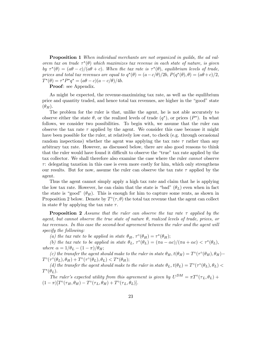Proposition 1 When individual merchants are not organized in guilds, the ad valorem tax on trade  $\tau^*(\theta)$  which maximizes tax revenue in each state of nature, is given by  $\tau^*(\theta)=(a\theta-c)/(a\theta+c)$ . When the tax rate is  $\tau^*(\theta)$ , equilibrium levels of trade, prices and total tax revenues are equal to  $q^*(\theta)=(a-c/\theta)/2b$ ,  $P(q^*(\theta), \theta)=(a\theta+c)/2$ ,  $T^*(\theta) = \tau^* P^* q^* = (a\theta - c)(a - c/\theta)/4b.$ 

Proof: see Appendix.

As might be expected, the revenue-maximizing tax rate, as well as the equilibrium price and quantity traded, and hence total tax revenues, are higher in the "good" state  $(\theta_H)$ .

The problem for the ruler is that, unlike the agent, he is not able accurately to observe either the state  $\theta$ , or the realized levels of trade  $(q^*)$ , or prices  $(P^*)$ . In what follows, we consider two possibilities. To begin with, we assume that the ruler can observe the tax rate  $\tau$  applied by the agent. We consider this case because it might have been possible for the ruler, at relatively low cost, to check (e.g. through occasional random inspections) whether the agent was applying the tax rate  $\tau$  rather than any arbitrary tax rate. However, as discussed below, there are also good reasons to think that the ruler would have found it difficult to observe the "true" tax rate applied by the tax collector. We shall therefore also examine the case where the ruler cannot observe  $\tau$ : delegating taxation in this case is even more costly for him, which only strengthens our results. But for now, assume the ruler can observe the tax rate  $\tau$  applied by the agent.

Thus the agent cannot simply apply a high tax rate and claim that he is applying the low tax rate. However, he can claim that the state is "bad"  $(\theta_L)$  even when in fact the state is "good"  $(\theta_H)$ . This is enough for him to capture some rents, as shown in Proposition 2 below. Denote by  $T^{\circ}(\tau,\theta)$  the total tax revenue that the agent can collect in state  $\theta$  by applying the tax rate  $\tau$ .

**Proposition 2** Assume that the ruler can observe the tax rate  $\tau$  applied by the agent, but cannot observe the true state of nature  $\theta$ , realized levels of trade, prices, or tax revenues. In this case the second-best agreement between the ruler and the agent will specify the following:

(a) the tax rate to be applied in state  $\theta_H$ ,  $\tau^{\circ}(\theta_H) = \tau^*(\theta_H);$ 

(b) the tax rate to be applied in state  $\theta_L$ ,  $\tau^{\circ}(\theta_L)=(\pi a - \alpha c)/(\pi a + \alpha c) < \tau^*(\theta_L)$ , where  $\alpha = 1/\theta_L - (1-\pi)/\theta_H;$ 

(c) the transfer the agent should make to the ruler in state  $\theta_H$ ,  $t(\theta_H) = T^{\circ}(\tau^{\circ}(\theta_H), \theta_H) T^{\circ}(\tau^{\circ}(\theta_L), \theta_H) + T^{\circ}(\tau^{\circ}(\theta_L), \theta_L) < T^*(\theta_H);$ 

(d) the transfer the agent should make to the ruler in state  $\theta_L$ ,  $t(\theta_L) = T^{\circ}(\tau^{\circ}(\theta_L), \theta_L)$  $T^*(\theta_L)$ .

The ruler's expected utility from this agreement is given by  $U^{DM} = \pi T^{\circ}(\tau_L, \theta_L) +$  $(1 - \pi)[T^{\circ}(\tau_H, \theta_H) - T^{\circ}(\tau_L, \theta_H) + T^{\circ}(\tau_L, \theta_L)].$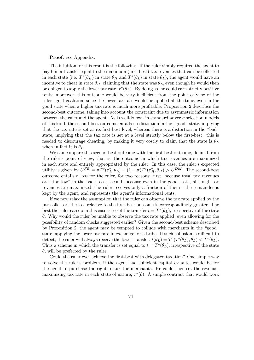#### Proof: see Appendix.

The intuition for this result is the following. If the ruler simply required the agent to pay him a transfer equal to the maximum (first-best) tax revenues that can be collected in each state (i.e.  $T^*(\theta_H)$  in state  $\theta_H$  and  $T^*(\theta_L)$  in state  $\theta_L$ ), the agent would have an incentive to cheat in state  $\theta_H$ , claiming that the state was  $\theta_L$ , even though he would then be obliged to apply the lower tax rate,  $\tau^*(\theta_L)$ . By doing so, he could earn strictly positive rents; moreover, this outcome would be very inefficient from the point of view of the ruler-agent coalition, since the lower tax rate would be applied all the time, even in the good state when a higher tax rate is much more profitable. Proposition 2 describes the second-best outcome, taking into account the constraint due to asymmetric information between the ruler and the agent. As is well-known in standard adverse selection models of this kind, the second-best outcome entails no distortion in the \good" state, implying that the tax rate is set at its first-best level, whereas there is a distortion in the "bad" state, implying that the tax rate is set at a level strictly below the first-best: this is needed to discourage cheating, by making it very costly to claim that the state is  $\theta_L$ when in fact it is  $\theta_H$ .

We can compare this second-best outcome with the first-best outcome, defined from the ruler's point of view; that is, the outcome in which tax revenues are maximized in each state and entirely appropriated by the ruler. In this case, the ruler's expected utility is given by  $U^{FB} = \pi T^{\circ}(\tau_L^*, \theta_L) + (1 - \pi) T^{\circ}(\tau_H^*, \theta_H) > U^{DM}$ . The second-best outcome entails a loss for the ruler, for two reasons: first, because total tax revenues are "too low" in the bad state; second, because even in the good state, although tax revenues are maximized, the ruler receives only a fraction of them - the remainder is kept by the agent, and represents the agent's informational rents.

If we now relax the assumption that the ruler can observe the tax rate applied by the tax collector, the loss relative to the first-best outcome is correspondingly greater. The best the ruler can do in this case is to set the transfer  $t = T^*(\theta_L)$ , irrespective of the state  $\theta$ . Why would the ruler be unable to observe the tax rate applied, even allowing for the possibility of random checks suggested earlier? Given the second-best scheme described by Proposition 2, the agent may be tempted to collude with merchants in the "good" state, applying the lower tax rate in exchange for a bribe. If such collusion is difficult to detect, the ruler will always receive the lower transfer,  $t(\theta_L) = T^{\circ}(\tau^{\circ}(\theta_L), \theta_L) < T^*(\theta_L)$ . Thus a scheme in which the transfer is set equal to  $t = T^*(\theta_L)$ , irrespective of the state  $\theta$ , will be preferred by the ruler.

Could the ruler ever achieve the first-best with delegated taxation? One simple way to solve the ruler's problem, if the agent had sufficient capital ex ante, would be for the agent to purchase the right to tax the merchants. He could then set the revenuemaximizing tax rate in each state of nature,  $\tau^*(\theta)$ . A simple contract that would work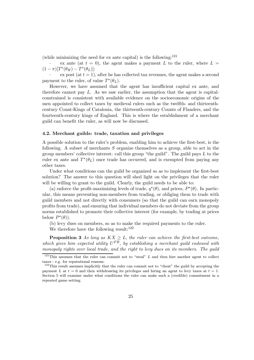(while minimizing the need for  $ex$  ante capital) is the following:<sup>121</sup>

ex ante (at  $t = 0$ ), the agent makes a payment L to the ruler, where  $L =$  $(1 - \pi)[T^*(\theta_H) - T^*(\theta_L)];$ 

 $\alpha$  ex post (at  $t = 1$ ), after he has collected tax revenues, the agent makes a second payment to the ruler, of value  $T^*(\theta_L)$ .

However, we have assumed that the agent has insufficient capital ex ante, and therefore cannot pay  $L$ . As we saw earlier, the assumption that the agent is capitalconstrained is consistent with available evidence on the socioeconomic origins of the men appointed to collect taxes by medieval rulers such as the twelfth- and thirteenthcentury Count-Kings of Catalonia, the thirteenth-century Counts of Flanders, and the fourteenth-century kings of England. This is where the establishment of a merchant guild can benefit the ruler, as will now be discussed.

#### 4.2. Merchant guilds: trade, taxation and privileges

A possible solution to the ruler's problem, enabling him to achieve the first-best, is the following. A subset of merchants S organize themselves as a group, able to act in the group members' collective interest: call this group "the guild". The guild pays  $L$  to the ruler ex ante and  $T^*(\theta_L)$  once trade has occurred, and is exempted from paying any other taxes.

Under what conditions can the guild be organized so as to implement the first-best solution? The answer to this question will shed light on the privileges that the ruler will be willing to grant to the guild. Clearly, the guild needs to be able to:

(a) enforce the profit-maximizing levels of trade,  $q^*(\theta)$ , and prices,  $P^*(\theta)$ . In particular, this means preventing non-members from trading, or obliging them to trade with guild members and not directly with consumers (so that the guild can earn monopoly profits from trade), and ensuring that individual members do not deviate from the group norms established to promote their collective interest (for example, by trading at prices below  $P^*(\theta)$ ).

(b) levy dues on members, so as to make the required payments to the ruler.

We therefore have the following result:  $122$ 

**Proposition 3** As long as  $KX \geq L$ , the ruler can achieve the first-best outcome, which gives him expected utility  $U^{FB}$ , by establishing a merchant guild endowed with monopoly rights over local trade, and the right to levy dues on its members. The guild

 $121$ This assumes that the ruler can commit not to "steal" L and then hire another agent to collect taxes - e.g. for reputational reasons.

 $122$ This result assumes implicitly that the ruler can commit not to "cheat" the guild by accepting the payment L at  $t = 0$  and then withdrawing its privileges and hiring an agent to levy taxes at  $t = 1$ . Section 5 will examine under what conditions the ruler can make such a (credible) commitment in a repeated game setting.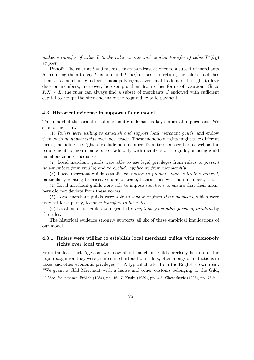makes a transfer of value L to the ruler ex ante and another transfer of value  $T^*(\theta_L)$ ex post.

**Proof:** The ruler at  $t = 0$  makes a take-it-or-leave-it offer to a subset of merchants S, requiring them to pay L ex ante and  $T^*(\theta_L)$  ex post. In return, the ruler establishes them as a merchant guild with monopoly rights over local trade and the right to levy dues on members; moreover, he exempts them from other forms of taxation. Since  $KX \geq L$ , the ruler can always find a subset of merchants S endowed with sufficient capital to accept the offer and make the required ex ante payment. $\Box$ 

#### 4.3. Historical evidence in support of our model

This model of the formation of merchant guilds has six key empirical implications. We should find that:

(1) Rulers were willing to establish and support local merchant guilds, and endow them with *monopoly rights* over local trade. These monopoly rights might take different forms, including the right to exclude non-members from trade altogether, as well as the requirement for non-members to trade only with members of the guild, or using guild members as intermediaries.

(2) Local merchant guilds were able to use legal privileges from rulers to prevent non-members from trading and to exclude applicants from membership.

(3) Local merchant guilds established norms to promote their collective interest, particularly relating to prices, volume of trade, transactions with non-members, etc.

(4) Local merchant guilds were able to impose sanctions to ensure that their members did not deviate from these norms.

(5) Local merchant guilds were able to levy dues from their members, which were used, at least partly, to make transfers to the ruler.

(6) Local merchant guilds were granted exemptions from other forms of taxation by the ruler.

The historical evidence strongly supports all six of these empirical implications of our model.

## 4.3.1. Rulers were willing to establish local merchant guilds with monopoly rights over local trade

From the late Dark Ages on, we know about merchant guilds precisely because of the legal recognition they were granted in charters from rulers, often alongside reductions in taxes and other economic privileges.<sup>123</sup> A typical charter from the English crown read: "We grant a Gild Merchant with a hanse and other customs belonging to the Gild,

 $123$ See, for instance, Frölich (1934), pp. 16-17; Kuske (1939), pp. 4-5; Choroskevic (1996), pp. 78-9.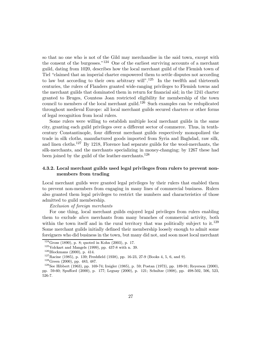so that no one who is not of the Gild may merchandise in the said town, except with the consent of the burgesses." $124$  One of the earliest surviving accounts of a merchant guild, dating from 1020, describes how the local merchant guild of the Flemish town of Tiel "claimed that an imperial charter empowered them to settle disputes not according to law but according to their own arbitrary will".<sup>125</sup> In the twelfth and thirteenth centuries, the rulers of Flanders granted wide-ranging privileges to Flemish towns and the merchant guilds that dominated them in return for financial aid; in the 1241 charter granted to Bruges, Countess Joan restricted eligibility for membership of the town council to members of the local merchant guild.<sup>126</sup> Such examples can be reduplicated throughout medieval Europe: all local merchant guilds secured charters or other forms of legal recognition from local rulers.

Some rulers were willing to establish multiple local merchant guilds in the same city, granting each guild privileges over a diÆerent sector of commerce. Thus, in tenthcentury Constantinople, four different merchant guilds respectively monopolized the trade in silk cloths, manufactured goods imported from Syria and Baghdad, raw silk, and linen cloths.<sup>127</sup> By 1218, Florence had separate guilds for the wool-merchants, the silk-merchants, and the merchants specializing in money-changing; by 1267 these had been joined by the guild of the leather-merchants.<sup>128</sup>

# 4.3.2. Local merchant guilds used legal privileges from rulers to prevent nonmembers from trading

Local merchant guilds were granted legal privileges by their rulers that enabled them to prevent non-members from engaging in many lines of commercial business. Rulers also granted them legal privileges to restrict the numbers and characteristics of those admitted to guild membership.

Exclusion of foreign merchants

For one thing, local merchant guilds enjoyed legal privileges from rulers enabling them to exclude alien merchants from many branches of commercial activity, both within the town itself and in the rural territory that was politically subject to it.<sup>129</sup> Some merchant guilds initially defined their membership loosely enough to admit some foreigners who did business in the town, but many did not, and soon most local merchant

<sup>&</sup>lt;sup>124</sup>Gross (1890), p. 8; quoted in Kohn (2003), p. 17.<br><sup>125</sup>Volckart and Mangels (1999), pp. 437-8 with n. 39.<br><sup>126</sup>Blockmans (2000), p. 414.<br><sup>127</sup>Racine (1985), p. 139; Freshfield (1938), pp. 16-23, 27-9 (Books 4, 5, 6, pp. 59-60; SpuÆord (2000), p. 177; Leguay (2000), p. 121; Schultze (1908), pp. 498-502, 506, 523, 526-7.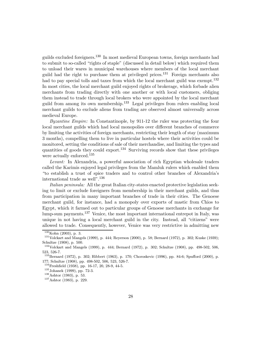guilds excluded foreigners.<sup>130</sup> In most medieval European towns, foreign merchants had to submit to so-called "rights of staple" (discussed in detail below) which required them to unload their wares in municipal warehouses where members of the local merchant guild had the right to purchase them at privileged prices.<sup>131</sup> Foreign merchants also had to pay special tolls and taxes from which the local merchant guild was exempt.<sup>132</sup> In most cities, the local merchant guild enjoyed rights of brokerage, which forbade alien merchants from trading directly with one another or with local customers, obliging them instead to trade through local brokers who were appointed by the local merchant guild from among its own membership.<sup>133</sup> Legal privileges from rulers enabling local merchant guilds to exclude aliens from trading are observed almost universally across medieval Europe.

Byzantine Empire: In Constantinople, by 911-12 the ruler was protecting the four local merchant guilds which had local monopolies over different branches of commerce by limiting the activities of foreign merchants, restricting their length of stay (maximum 3 months), compelling them to live in particular hostels where their activities could be monitored, setting the conditions of sale of their merchandise, and limiting the types and quantities of goods they could export.<sup>134</sup> Surviving records show that these privileges were actually enforced.<sup>135</sup>

Levant: In Alexandria, a powerful association of rich Egyptian wholesale traders called the Karimis enjoyed legal privileges from the Mamluk rulers which enabled them \to establish a trust of spice traders and to control other branches of Alexandria's international trade as well".<sup>136</sup>

Italian peninsula: All the great Italian city-states enacted protective legislation seeking to limit or exclude foreigners from membership in their merchant guilds, and thus from participation in many important branches of trade in their cities. The Genoese merchant guild, for instance, had a monopoly over exports of mastic from Chios to Egypt, which it farmed out to particular groups of Genoese merchants in exchange for lump-sum payments.<sup>137</sup> Venice, the most important international entrepot in Italy, was unique in not having a local merchant guild in the city. Instead, all "citizens" were allowed to trade. Consequently, however, Venice was very restrictive in admitting new

<sup>&</sup>lt;sup>130</sup>Kohn (2003), p. 3.<br><sup>131</sup>Volckart and Mangels (1999), p. 444; Reyerson (2000), p. 58; Bernard (1972), p. 302; Kuske (1939); Schultze (1908), p. 500.

<sup>&</sup>lt;sup>132</sup>Volckart and Mangels (1999), p. 444; Bernard (1972), p. 302; Schultze (1908), pp. 498-502, 506, 523, 526-7.

 $^{133}$ Bernard (1972), p. 302; Hibbert (1963), p. 170; Choroskevic (1996), pp. 84-6; Spufford (2000), p. 177; Schultze (1908), pp. 498-502, 506, 523, 526-7.

<sup>&</sup>lt;sup>134</sup>Freshfield (1938), pp. 16-17, 20, 28-9, 44-5.<br><sup>135</sup>Johanek (1999), pp. 72-3.<br><sup>136</sup>Ashtor (1983), p. 53.<br><sup>137</sup>Ashtor (1983), p. 229.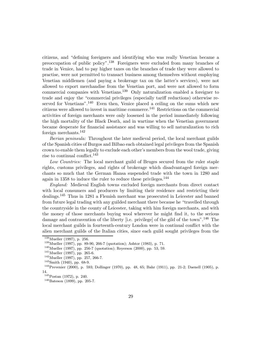citizens, and "defining foreigners and identifying who was really Venetian became a preoccupation of public policy".<sup>138</sup> Foreigners were excluded from many branches of trade in Venice, had to pay higher taxes on the branches of trade they were allowed to practise, were not permitted to transact business among themselves without employing Venetian middlemen (and paying a brokerage tax on the latter's services), were not allowed to export merchandise from the Venetian port, and were not allowed to form commercial companies with Venetians.<sup>139</sup> Only naturalization enabled a foreigner to trade and enjoy the "commercial privileges (especially tariff reductions) otherwise reserved for Venetians".<sup>140</sup> Even then, Venice placed a ceiling on the sums which new citizens were allowed to invest in maritime commerce.<sup>141</sup> Restrictions on the commercial activities of foreign merchants were only loosened in the period immediately following the high mortality of the Black Death, and in wartime when the Venetian government became desperate for financial assistance and was willing to sell naturalization to rich foreign merchants.<sup>142</sup>

Iberian peninsula: Throughout the later medieval period, the local merchant guilds of the Spanish cities of Burgos and Bilbao each obtained legal privileges from the Spanish crown to enable them legally to exclude each other's members from the wool trade, giving rise to continual conflict.<sup>143</sup>

Low Countries: The local merchant guild of Bruges secured from the ruler staple rights, customs privileges, and rights of brokerage which disadvantaged foreign merchants so much that the German Hansa suspended trade with the town in 1280 and again in 1358 to induce the ruler to reduce these privileges.<sup>144</sup>

England: Medieval English towns excluded foreign merchants from direct contact with local consumers and producers by limiting their residence and restricting their dealings.<sup>145</sup> Thus in 1281 a Flemish merchant was prosecuted in Leicester and banned from future legal trading with any guilded merchant there because he "travelled through the countryside in the county of Leicester, taking with him foreign merchants, and with the money of those merchants buying wool wherever he might find it, to the serious damage and contravention of the liberty [i.e. privilege] of the gild of the town".<sup>146</sup> The local merchant guilds in fourteenth-century London were in continual conflict with the alien merchant guilds of the Italian cities, since each guild sought privileges from the

<sup>&</sup>lt;sup>138</sup> Mueller (1997), p. 256.<br>
<sup>139</sup> Mueller (1997), pp. 89-90, 266-7 (quotation); Ashtor (1983), p. 71.<br>
<sup>140</sup> Mueller (1997), pp. 256-7 (quotation); Reyerson (2000), pp. 53, 59.<br>
<sup>141</sup> Mueller (1997), pp. 265-6.<br>
<sup>142</sup> 14.<br> $145$ Postan (1972), p. 240.

 $146B$ ateson (1899), pp. 205-7.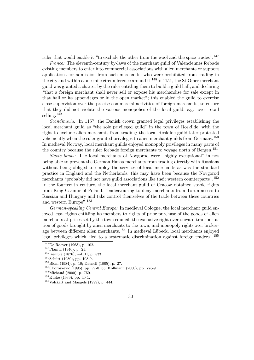ruler that would enable it "to exclude the other from the wool and the spice trades".<sup>147</sup>

France: The eleventh-century by-laws of the merchant guild of Valenciennes forbade existing members to enter into commercial associations with alien merchants or support applications for admission from such merchants, who were prohibited from trading in the city and within a one-mile circumference around it.<sup>148</sup>In 1151, the St Omer merchant guild was granted a charter by the ruler entitling them to build a guild hall, and declaring \that a foreign merchant shall never sell or expose his merchandise for sale except in that hall or its appendages or in the open market"; this enabled the guild to exercise close supervision over the precise commercial activities of foreign merchants, to ensure that they did not violate the various monopolies of the local guild, e.g. over retail selling.<sup>149</sup>

Scandinavia: In 1157, the Danish crown granted legal privileges establishing the local merchant guild as "the sole privileged guild" in the town of Roskilde, with the right to exclude alien merchants from trading; the local Roskilde guild later protested vehemently when the ruler granted privileges to alien merchant guilds from Germany.<sup>150</sup> In medieval Norway, local merchant guilds enjoyed monopoly privileges in many parts of the country because the ruler forbade foreign merchants to voyage north of Bergen.<sup>151</sup>

Slavic lands: The local merchants of Novgorod were \highly exceptional" in not being able to prevent the German Hansa merchants from trading directly with Russians without being obliged to employ the services of local merchants as was the standard practice in England and the Netherlands; this may have been because the Novgorod merchants "probably did not have guild associations like their western counterparts".<sup>152</sup> In the fourteenth century, the local merchant guild of Cracow obtained staple rights from King Casimir of Poland, "endeavouring to deny merchants from Torun access to Russian and Hungary and take control themselves of the trade between these countries and western Europe".<sup>153</sup>

German-speaking Central Europe: In medieval Cologne, the local merchant guild enjoyed legal rights entitling its members to rights of prior purchase of the goods of alien merchants at prices set by the town council, the exclusive right over onward transportation of goods brought by alien merchants to the town, and monopoly rights over brokerage between different alien merchants.<sup>154</sup> In medieval Lübeck, local merchants enjoyed legal privileges which "led to a systematic discrimination against foreign traders".<sup>155</sup>

<sup>&</sup>lt;sup>147</sup>De Roover (1963), p. 102.<br>
<sup>148</sup>Planitz (1940), p. 25.<br>
<sup>149</sup>Kemble (1876), vol. II, p. 533.<br>
<sup>150</sup>Schütt (1980), pp. 108-9.<br>
<sup>151</sup>Blom (1984), p. 19; Daenell (1905), p. 27.<br>
<sup>151</sup>SChoroskevic (1996), pp. 77-8, 83; K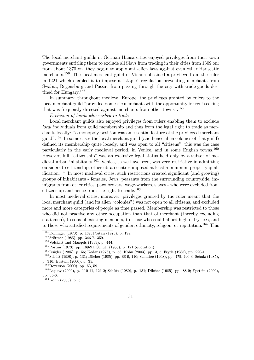The local merchant guilds in German Hansa cities enjoyed privileges from their town governments entitling them to exclude all Slavs from trading in their cities from 1309 on; from about 1370 on, they began to apply anti-alien laws against even other Hanseatic merchants.<sup>156</sup> The local merchant guild of Vienna obtained a privilege from the ruler in 1221 which enabled it to impose a "staple" regulation preventing merchants from Swabia, Regensburg and Passau from passing through the city with trade-goods destined for Hungary.<sup>157</sup>

In summary, throughout medieval Europe, the privileges granted by rulers to the local merchant guild "provided domestic merchants with the opportunity for rent seeking that was frequently directed against merchants from other towns".<sup>158</sup>

Exclusion of locals who wished to trade

Local merchant guilds also enjoyed privileges from rulers enabling them to exclude local individuals from guild membership and thus from the legal right to trade as merchants locally: "a monopoly position was an essential feature of the privileged merchant guild".<sup>159</sup> In some cases the local merchant guild (and hence alien colonies of that guild) defined its membership quite loosely, and was open to all "citizens"; this was the case particularly in the early medieval period, in Venice, and in some English towns.<sup>160</sup> However, full "citizenship" was an exclusive legal status held only by a subset of medieval urban inhabitants.<sup>161</sup> Venice, as we have seen, was very restrictive in admitting outsiders to citizenship; other ubran centres imposed at least a minimum property qualification.<sup>162</sup> In most medieval cities, such restrictions created significant (and growing) groups of inhabitants - females, Jews, peasants from the surrounding countryside, immigrants from other cities, pawnbrokers, wage-workers, slaves - who were excluded from citizenship and hence from the right to trade.<sup>163</sup>

In most medieval cities, moreover, privileges granted by the ruler meant that the local merchant guild (and its alien "colonies") was not open to all citizens, and excluded more and more categories of people as time passed. Membership was restricted to those who did not practise any other occupation than that of merchant (thereby excluding craftsmen), to sons of existing members, to those who could afford high entry fees, and to those who satisfied requirements of gender, ethnicity, religion, or reputation.<sup>164</sup> This

<sup>163</sup>Leguay (2000), p. 110-11, 121-2; Schütt (1980), p. 131; Dilcher (1985), pp. 88-9; Epstein (2000), pp. 35-6.

 $164$ Kohn (2003), p. 3.

<sup>&</sup>lt;sup>156</sup>Dollinger (1970), p. 132; Postan (1973), p. 198.<br>
<sup>157</sup>Störmer (1985), pp. 346-7. 359.<br>
<sup>158</sup>Volckart and Mangels (1999), p. 444.<br>
<sup>159</sup>Postan (1973), pp. 189-91; Schütt (1980), p. 121 (quotation).<br>
<sup>159</sup>Postan (1973 p. 316; Epstein (2000), p. 35.<br><sup>162</sup>Reyerson (2000), pp. 53, 59.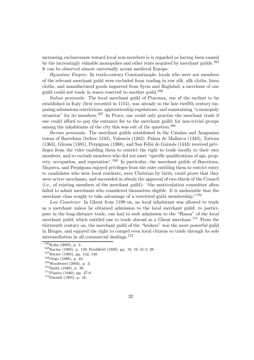increasing exclusiveness toward local non-members is is regarded as having been caused by the increasingly valuable monopolies and other rents acquired by merchant guilds.<sup>165</sup> It can be observed almost universally across medieval Europe.

Byzantine Empire: In tenth-century Constantinople, locals who were not members of the relevant merchant guild were excluded from trading in raw silk, silk cloths, linen cloths, and manufactured goods imported from Syria and Baghdad; a merchant of one guild could not trade in wares reserved to another guild.<sup>166</sup>

Italian peninsula: The local merchant guild of Piacenza, one of the earliest to be established in Italy (first recorded in 1154), was already in the late twelfth century imposing admissions restrictions, apprenticeship regulations, and maintaining "a monopoly situation" for its members.<sup>167</sup> In Prato, one could only practise the merchant trade if one could aÆord to pay the entrance fee to the merchant guild; for non-trivial groups among the inhabitants of the city this was out of the question.<sup>168</sup>

Iberian peninsula: The merchant guilds established in the Catalan and Aragonian towns of Barcelona (before 1243), Valencia (1283), Palma de Mallorca (1343), Tortosa  $(1363)$ , Girona  $(1385)$ , Perpignan  $(1388)$ , and San Feliú de Guixols  $(1443)$  received privileges from the ruler enabling them to restrict the right to trade locally to their own members, and to exclude members who did not meet "specific qualifications of age, property, occupation, and reputation".<sup>169</sup> In particular, the merchant guilds of Barcelona, Majorca, and Perpignan enjoyed privileges from the ruler entitling them to restrict entry to candidates who were local residents, were Christian by birth, could prove that they were active merchants, and succeeded in obtain the approval of two-thirds of the Council (i.e., of existing members of the merchant guild): \the matriculation committee often failed to admit merchants who considered themselves eligible. It is undeniable that the merchant class sought to take advantage of a restricted guild membership."<sup>170</sup>

Low Countries: In Ghent from 1199 on, no local inhabitant was allowed to trade as a merchant unless he obtained admission to the local merchant guild; to participate in the long-distance trade, one had to seek admission to the \Hansa" of the local merchant guild, which entitled one to trade abroad as a Ghent merchant.<sup>171</sup> From the thirteenth century on, the merchant guild of the \brokers" was the most powerful guild in Bruges, and enjoyed the right to compel even local citizens to trade through its sole intermediation in all commercial dealings.<sup>172</sup>

<sup>&</sup>lt;sup>165</sup>Kohn (2003), p. 3.<br>
<sup>166</sup>Racine (1985), p. 139; Freshfield (1938), pp. 16, 19, 21-3, 28.<br>
<sup>167</sup>Racine (1985), pp. 142, 148.<br>
<sup>168</sup>Woodward (2003), p. 3.<br>
<sup>169</sup>Woodward (2003), p. 3.<br>
<sup>170</sup>Smith (1940), p. 38.<br>
<sup>171</sup>P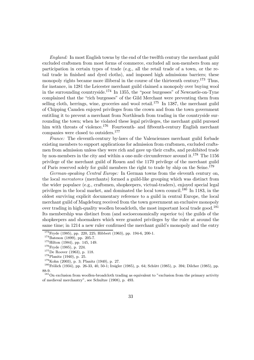England: In most English towns by the end of the twelfth century the merchant guild excluded craftsmen from most forms of commerce, excluded all non-members from any participation in certain types of trade (e.g., all the retail trade of a town, or the retail trade in finished and dyed cloths), and imposed high admissions barriers; these monopoly rights became more illiberal in the course of the thirteenth century.<sup>173</sup> Thus, for instance, in 1281 the Leicester merchant guild claimed a monopoly over buying wool in the surrounding countryside.<sup>174</sup> In 1355, the "poor burgesses" of Newcastle-on-Tyne complained that the "rich burgesses" of the Gild Merchant were preventing them from selling cloth, herrings, wine, groceries and wool retail.<sup>175</sup> In 1387, the merchant guild of Chipping Camden enjoyed privileges from the crown and from the town government entitling it to prevent a merchant from Northleach from trading in the countryside surrounding the town; when he violated these legal privileges, the merchant guild pursued him with threats of violence.<sup>176</sup> Fourteenth- and fifteenth-century English merchant companies were closed to outsiders.<sup>177</sup>

France: The eleventh-century by-laws of the Valenciennes merchant guild forbade existing members to support applications for admission from craftsmen, excluded craftsmen from admission unless they were rich and gave up their crafts, and prohibited trade by non-members in the city and within a one-mile circumference around it.<sup>178</sup> The 1156 privilege of the merchant guild of Rouen and the 1170 privilege of the merchant guild of Paris reserved solely for guild members the right to trade by ship on the Seine.<sup>179</sup>

German-speaking Central Europe: In German towns from the eleventh century on, the local mercatores (merchants) formed a guild-like grouping which was distinct from the wider populace (e.g., craftsmen, shopkeepers, victual-traders), enjoyed special legal privileges in the local market, and dominated the local town council.<sup>180</sup> In 1183, in the oldest surviving explicit documentary reference to a guild in central Europe, the local merchant guild of Magdeburg received from the town government an exclusive monopoly over trading in high-quality woollen broadcloth, the most important local trade good.<sup>181</sup> Its membership was distinct from (and socioeconomically superior to) the guilds of the shopkeepers and shoemakers which were granted privileges by the ruler at around the same time; in 1214 a new ruler confirmed the merchant guild's monopoly and the entry

<sup>&</sup>lt;sup>173</sup> Fryde (1985), pp. 220, 225; Hibbert (1963), pp. 194-6, 200-1.<br><sup>174</sup> Bateson (1899), pp. 205-7.<br><sup>175</sup> Hilton (1984), pp. 145, 149.<br><sup>176</sup> Fryde (1985), p. 224.<br><sup>176</sup> Fryde (1985), p. 224.<br><sup>178</sup> Planitz (1940), p. 25.<br> 88-9.

<sup>&</sup>lt;sup>181</sup>On exclusion from woollen-broadcloth trading as equivalent to "exclusion from the primary activity of medieval merchantry", see Schultze (1908), p. 493.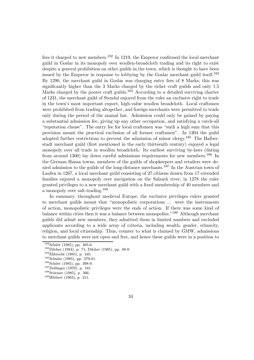fees it charged to new members.<sup>182</sup> In 1219, the Emperor confirmed the local merchant guild in Goslar in its monopoly over woollen-broadcloth trading and its right to exist despite a general prohibition on other guilds in the town, which is thought to have been issued by the Emperor in response to lobbying by the Goslar merchant guild itself.<sup>183</sup> By 1290, the merchant guild in Goslar was charging entry fees of 8 Marks; this was significantly higher than the 3 Marks charged by the richer craft guilds and only 1.5 Marks charged by the poorer craft guilds.<sup>184</sup> According to a detailed surviving charter of 1231, the merchant guild of Stendal enjoyed from the ruler an exclusive right to trade in the town's most important export, high-value woollen broadcloth. Local craftsmen were prohibited from trading altogether, and foreign merchants were permitted to trade only during the period of the annual fair. Admission could only be gained by paying a substantial admission fee, giving up any other occupation, and satisfying a catch-all "reputation clause". The entry fee for local craftsmen was "such a high sum that this provision meant the practical exclusion of all former craftsmen". In 1304 the guild adopted further restrictions to prevent the admission of minor clergy.<sup>185</sup> The Halberstadt merchant guild (first mentioned in the early thirteenth century) enjoyed a legal monopoly over all trade in woollen broadcloth. Its earliest surviving by-laws (dating from around 1300) lay down careful admissions requirements for new members.<sup>186</sup> In the German Hansa towns, members of the guilds of shopkeepers and retailers were denied admission to the guilds of the long-distance merchants.<sup>187</sup> In the Austrian town of Laufen in 1267, a local merchant guild consisting of 27 citizens drawn from 17 extended families enjoyed a monopoly over navigation on the Salzach river; in 1278 the ruler granted privileges to a new merchant guild with a fixed membership of 40 members and a monopoly over salt-trading.<sup>188</sup>

In summary, throughout medieval Europe, the exclusive privileges rulers granted to merchant guilds meant that \monopolistic corporations ... were the instruments of action, monopolistic privileges were the ends of action. If there was some kind of balance within cities then it was a balance between monopolies."<sup>189</sup> Although merchant guilds did admit new members, they admitted them in limited numbers and excluded applicants according to a wide array of criteria, including wealth, gender, ethnicity, religion, and local citizenship. Thus, counter to what is claimed by GMW, admissions to merchant guilds were not open and free, and hence these guilds were in a position to

<sup>&</sup>lt;sup>182</sup>Schütt (1985), pp. 405-6.<br><sup>183</sup>Dilcher (1984), p. 71; Dilcher (1985), pp. 88-9.<br><sup>184</sup>Ehbrecht (1985), p. 445.<br><sup>185</sup>Schulze (1985), pp. 379-81.<br><sup>186</sup>Schütt (1985), pp. 398-9.<br><sup>187</sup>Dollinger (1970), p. 161.<br><sup>188</sup>Störme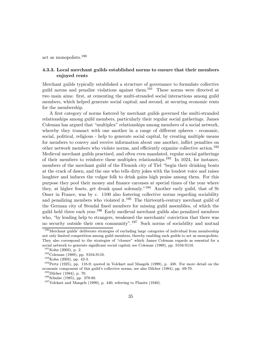act as monopolists.<sup>190</sup>

## 4.3.3. Local merchant guilds established norms to ensure that their members enjoyed rents

Merchant guilds typically established a structure of governance to formulate collective guild norms and penalize violations against them.<sup>191</sup> These norms were directed at two main aims: first, at cementing the multi-stranded social interactions among guild members, which helped generate social capital; and second, at securing economic rents for the membership.

A first category of norms fostered by merchant guilds governed the multi-stranded relationships among guild members, particularly their regular social gatherings. James Coleman has argued that "multiplex" relationships among members of a social network, whereby they transact with one another in a range of different spheres - economic, social, political, religious - help to generate social capital, by creating multiple means for members to convey and receive information about one another, inflict penalties on other network members who violate norms, and efficiently organize collective action.<sup>192</sup> Medieval merchant guilds practised, and often even mandated, regular social gatherings of their members to reinforce these multiplex relationships.<sup>193</sup> In 1024, for instance, members of the merchant guild of the Flemish city of Tiel "begin their drinking bouts at the crack of dawn, and the one who tells dirty jokes with the loudest voice and raises laughter and induces the vulgar folk to drink gains high praise among them. For this purpose they pool their money and finance carouses at special times of the year where they, at higher feasts, get drunk quasi solemnly."<sup>194</sup> Another early guild, that of St Omer in France, was by c. 1100 also fostering collective norms regarding sociability and penalizing members who violated it.<sup>195</sup> The thirteenth-century merchant guild of the German city of Stendal fined members for missing guild assemblies, of which the guild held three each year.<sup>196</sup> Early medieval merchant guilds also penalized members who, "by lending help to strangers, weakened the merchants' conviction that there was no security outside their own community".<sup>197</sup> Such norms of sociability and mutual

<sup>&</sup>lt;sup>190</sup>Merchant guilds' deliberate strategies of excluding large categories of individual from membership not only limited competition among guild members, thereby enabling such guilds to act as monopolists. They also correspond to the strategies of "closure" which James Coleman regards as essential for a social network to generate significant social capital; see Coleman (1989), pp. S104-S110.

<sup>&</sup>lt;sup>191</sup>Kohn (2003), p. 2.<br><sup>192</sup>Coleman (1989), pp. S104-S110.<br><sup>193</sup>Kohn (2003), pp. 42-3.<br><sup>194</sup>Pertz (1925), pp. 118-9; quoted in Volckart and Mangels (1999), p. 438. For more detail on the economic component of this guild's collective norms, see also Dilcher (1984), pp. 69-70.  $^{195}$  Dilcher (1984), p. 70.

<sup>&</sup>lt;sup>196</sup>Schulze (1985), pp. 379-80. <sup>197</sup>Volckart and Mangels (1999), p. 440; referring to Planitz (1940).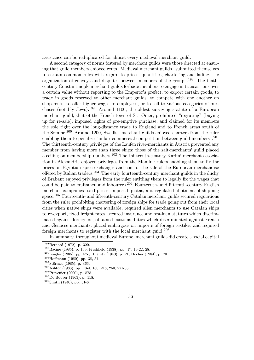assistance can be reduplicated for almost every medieval merchant guild.

A second category of norms fostered by merchant guilds were those directed at ensuring that guild members enjoyed rents. Medieval merchant guilds "submitted themselves" to certain common rules with regard to prices, quantities, chartering and lading, the organization of convoys and disputes between members of the group".<sup>198</sup> The tenthcentury Constantinople merchant guilds forbade members to engage in transactions over a certain value without reporting to the Emperor's prefect, to export certain goods, to trade in goods reserved to other merchant guilds, to compete with one another on shop-rents, to offer higher wages to employees, or to sell to various categories of purchaser (notably Jews).<sup>199</sup> Around 1100, the oldest surviving statute of a European merchant guild, that of the French town of St. Omer, prohibited "regrating" (buying up for re-sale), imposed rights of pre-emptive purchase, and claimed for its members the sole right over the long-distance trade to England and to French areas south of the Somme.<sup>200</sup> Around 1200, Swedish merchant guilds enjoyed charters from the ruler enabling them to penalize "unfair commercial competition between guild members".  $201$ The thirteenth-century privileges of the Laufen river-merchants in Austria prevented any member from having more than three ships; those of the salt-merchants' guild placed a ceiling on membership numbers.<sup>202</sup> The thirteenth-century Karimi merchant association in Alexandria enjoyed privileges from the Mamluk rulers enabling them to fix the prices on Egyptian spice exchanges and control the sale of the European merchandise offered by Italian traders.<sup>203</sup> The early fourteenth-century merchant guilds in the duchy of Brabant enjoyed privileges from the ruler entitling them to legally fix the wages that could be paid to craftsmen and labourers.<sup>204</sup> Fourteenth- and fifteenth-century English merchant companies fixed prices, imposed quotas, and regulated allotment of shipping space.<sup>205</sup> Fourteenth- and fifteenth-century Catalan merchant guilds secured regulations from the ruler prohibiting chartering of foreign ships for trade going out from their local cities when native ships were available, required alien merchants to use Catalan ships to re-export, fixed freight rates, secured insurance and sea-loan statutes which discriminated against foreigners, obtained customs duties which discriminated against French and Genoese merchants, placed embargoes on imports of foreign textiles, and required foreign merchants to register with the local merchant guild.<sup>206</sup>

In summary, throughout medieval Europe, merchant guilds did create a social capital

<sup>&</sup>lt;sup>198</sup>Bernard (1972), p. 320.<br>
<sup>199</sup>Racine (1985), p. 139; Freshfield (1938), pp. 17, 19-22, 28.<br>
<sup>200</sup>Irsigler (1985), pp. 57-8; Planitz (1940), p. 21; Dilcher (1984), p. 70.<br>
<sup>201</sup>Hoffmann (1980), pp. 38, 51.<br>
<sup>202</sup>Störm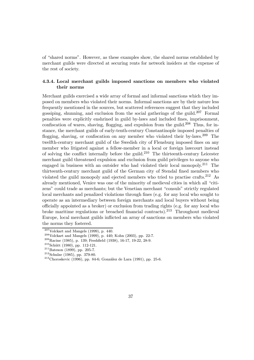of "shared norms". However, as these examples show, the shared norms established by merchant guilds were directed at securing rents for network insiders at the expense of the rest of society.

# 4.3.4. Local merchant guilds imposed sanctions on members who violated their norms

Merchant guilds exercised a wide array of formal and informal sanctions which they imposed on members who violated their norms. Informal sanctions are by their nature less frequently mentioned in the sources, but scattered references suggest that they included gossiping, shunning, and exclusion from the social gatherings of the guild.<sup>207</sup> Formal penalties were explicitly enshrined in guild by-laws and included fines, imprisonment, confiscation of wares, shaving, flogging, and expulsion from the guild.<sup>208</sup> Thus, for instance, the merchant guilds of early-tenth-century Constantinople imposed penalties of flogging, shaving, or confiscation on any member who violated their by-laws.<sup>209</sup> The twelfth-century merchant guild of the Swedish city of Flensburg imposed fines on any member who litigated against a fellow-member in a local or foreign lawcourt instead of solving the conflict internally before the guild.<sup>210</sup> The thirteenth-century Leicester merchant guild threatened expulsion and exclusion from guild privileges to anyone who engaged in business with an outsider who had violated their local monopoly.<sup>211</sup> The thirteenth-century merchant guild of the German city of Stendal fined members who violated the guild monopoly and ejected members who tried to practise crafts.<sup>212</sup> As already mentioned, Venice was one of the minority of medieval cities in which all "citizens" could trade as merchants; but the Venetian merchant "consuls" strictly regulated local merchants and penalized violations through fines (e.g. for any local who sought to operate as an intermediary between foreign merchants and local buyers without being officially appointed as a broker) or exclusion from trading rights (e.g. for any local who broke maritime regulations or breached financial contracts).<sup>213</sup> Throughout medieval Europe, local merchant guilds inflicted an array of sanctions on members who violated the norms they fostered.

<sup>&</sup>lt;sup>207</sup>Volckart and Mangels (1999), p. 440.<br><sup>208</sup>Volckart and Mangels (1999), p. 440; Kohn (2003), pp. 22-7.<br><sup>209</sup>Racine (1985), p. 139; Freshfield (1938), 16-17, 19-22, 28-9.<br><sup>210</sup>Schütt (1980), pp. 112-121.<br><sup>211</sup>Bateson (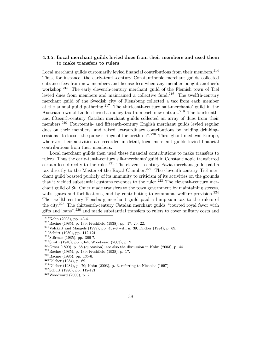# 4.3.5. Local merchant guilds levied dues from their members and used them to make transfers to rulers

Local merchant guilds customarily levied financial contributions from their members. $^{214}$ Thus, for instance, the early-tenth-century Constantinople merchant guilds collected entrance fees from new members and license fees when any member bought another's workshop.<sup>215</sup> The early eleventh-century merchant guild of the Flemish town of Tiel levied dues from members and maintained a collective fund.<sup>216</sup> The twelfth-century merchant guild of the Swedish city of Flensburg collected a tax from each member at the annual guild gathering.<sup>217</sup> The thirteenth-century salt-merchants' guild in the Austrian town of Laufen levied a money tax from each new entrant.<sup>218</sup> The fourteenthand fifteenth-century Catalan merchant guilds collected an array of dues from their members.<sup>219</sup> Fourteenth- and fifteenth-century English merchant guilds levied regular dues on their members, and raised extraordinary contributions by holding drinkingsessions "to loosen the purse-strings of the brethren".<sup>220</sup> Throughout medieval Europe, wherever their activities are recorded in detail, local merchant guilds levied financial contributions from their members.

Local merchant guilds then used these financial contributions to make transfers to rulers. Thus the early-tenth-century silk-merchants' guild in Constantinople transferred certain fees directly to the ruler.<sup>221</sup> The eleventh-century Pavia merchant guild paid a tax directly to the Master of the Royal Chamber.<sup>222</sup> The eleventh-century Tiel merchant guild boasted publicly of its immunity to criticism of its activities on the grounds that it yielded substantial customs revenues to the ruler.<sup>223</sup> The eleventh-century merchant guild of St. Omer made transfers to the town government by maintaining streets, walls, gates and fortifications, and by contributing to communal welfare provision. $^{224}$ The twelfth-century Flensburg merchant guild paid a lump-sum tax to the rulers of the city. $225$  The thirteenth-century Catalan merchant guilds "courted royal favor with gifts and loans",<sup>226</sup> and made substantial transfers to rulers to cover military costs and

<sup>&</sup>lt;sup>214</sup>Kohn (2003), pp. 43-4.<br>
<sup>215</sup>Racine (1985), p. 139; Freshfield (1938), pp. 17, 20, 22.<br>
<sup>216</sup>Volckart and Mangels (1999), pp. 437-8 with n. 39; Dilcher (1984), p. 69.<br>
<sup>217</sup>Schütt (1980), pp. 112-121.<br>
<sup>218</sup>Störmer (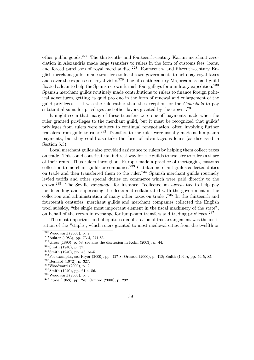other public goods.<sup>227</sup> The thirteenth- and fourteenth-century Karimi merchant association in Alexandria made large transfers to rulers in the form of customs fees, loans, and forced purchases of royal merchandise.<sup>228</sup> Fourteenth- and fifteenth-century English merchant guilds made transfers to local town governments to help pay royal taxes and cover the expenses of royal visits.<sup>229</sup> The fifteenth-century Majorca merchant guild floated a loan to help the Spanish crown furnish four galleys for a military expedition.<sup>230</sup> Spanish merchant guilds routinely made contributions to rulers to finance foreign political adventures, getting "a quid pro quo in the form of renewal and enlargement of the guild privileges ... it was the rule rather than the exception for the Consulado to pay substantial sums for privileges and other favors granted by the crown".<sup>231</sup>

It might seem that many of these transfers were one-off payments made when the ruler granted privileges to the merchant guild, but it must be recognized that guilds' privileges from rulers were subject to continual renegotiation, often involving further transfers from guild to ruler.<sup>232</sup> Transfers to the ruler were usually made as lump-sum payments, but they could also take the form of advantageous loans (as discussed in Section 5.3).

Local merchant guilds also provided assistance to rulers by helping them collect taxes on trade. This could constitute an indirect way for the guilds to transfer to rulers a share of their rents. Thus rulers throughout Europe made a practice of mortgaging customs collection to merchant guilds or companies.<sup>233</sup> Catalan merchant guilds collected duties on trade and then transferred them to the ruler. $^{234}$  Spanish merchant guilds routinely levied tariffs and other special duties on commerce which were paid directly to the crown.<sup>235</sup> The Seville *consulado*, for instance, "collected an *averia* tax to help pay for defending and supervising the fleets and collaborated with the government in the collection and administration of many other taxes on trade".<sup>236</sup> In the thirteenth and fourteenth centuries, merchant guilds and merchant companies collected the English wool subsidy, "the single most important element in the fiscal machinery of the state", on behalf of the crown in exchange for lump-sum transfers and trading privileges.<sup>237</sup>

The most important and ubiquitous manifestation of this arrangement was the institution of the "staple", which rulers granted to most medieval cities from the twelfth or

<sup>&</sup>lt;sup>227</sup>Woodward (2003), p. 2.<br><sup>228</sup>Ashtor (1983), pp. 73-4, 271-83.<br><sup>229</sup>Gross (1890), p. 58; see also the discussion in Kohn (2003), p. 44.<br><sup>230</sup>Smith (1940), p. 37.<br><sup>231</sup>Smith (1940), pp. 48, 64-5.<br><sup>232</sup>For examples, see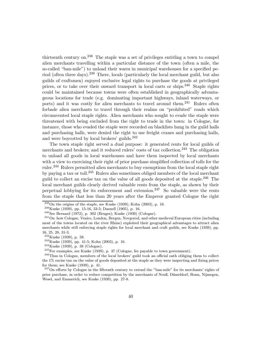thirteenth century on.<sup>238</sup> The staple was a set of privileges entitling a town to compel alien merchants travelling within a particular distance of the town (often a mile, the so-called "ban-mile") to unload their wares in municipal warehouses for a specified period (often three days).<sup>239</sup> There, locals (particularly the local merchant guild, but also guilds of craftsmen) enjoyed exclusive legal rights to purchase the goods at privileged prices, or to take over their onward transport in local carts or ships.<sup>240</sup> Staple rights could be maintained because towns were often established in geographically advantageous locations for trade (e.g. dominating important highways, inland waterways, or ports) and it was costly for alien merchants to travel around them.<sup>241</sup> Rulers often forbade alien merchants to travel through their realms on "prohibited" roads which circumvented local staple rights. Alien merchants who sought to evade the staple were threatened with being excluded from the right to trade in the town: in Cologne, for instance, those who evaded the staple were recorded on blacklists hung in the guild halls and purchasing halls, were denied the right to use freight cranes and purchasing halls, and were boycotted by local brokers' guilds.<sup>242</sup>

The town staple right served a dual purpose: it generated rents for local guilds of merchants and brokers; and it reduced rulers' costs of tax collection.<sup>243</sup> The obligation to unload all goods in local warehouses and have them inspected by local merchants with a view to exercising their right of prior purchase simplified collection of tolls for the ruler.<sup>244</sup> Rulers permitted alien merchants to buy exemptions from the local staple right by paying a tax or toll.<sup>245</sup> Rulers also sometimes obliged members of the local merchant guild to collect an excise tax on the value of all goods deposited at the staple.<sup>246</sup> The local merchant guilds clearly derived valuable rents from the staple, as shown by their perpetual lobbying for its enforcement and extension.<sup>247</sup> So valuable were the rents from the staple that less than 20 years after the Emperor granted Cologne the right

<sup>&</sup>lt;sup>238</sup>On the origins of the staple, see Kuske (1939); Kohn (2003), p. 16.<br><sup>239</sup>Kuske (1939), pp. 15-16, 33-5; Daenell (1905), p. 16.<br><sup>240</sup>See Bernard (1972), p. 302 (Bruges); Kuske (1939) (Cologne).<br><sup>241</sup>On how Cologne, Ve most of the towns located on the river Rhine) exploited their geographical advantages to attract alien merchants while still enforcing staple rights for local merchant and craft guilds, see Kuske (1939), pp.

 $\substack{16, \ 25, \ 28, \ 31-3. \\ 242 \ \text{Kuske (1939), p. 38.}}$ 

<sup>&</sup>lt;sup>243</sup>Kuske (1939), pp. 41-5; Kohn (2003), p. 16.<br><sup>244</sup>Kuske (1939), p. 38 (Cologne).<br><sup>245</sup>For examples, see Kuske (1939), p. 37 (Cologne, fee payable to town government).<br><sup>246</sup>Thus in Cologne, members of the local brokers

the  $1\%$  excise tax on the value of goods deposited at the staple as they were inspecting and fixing prices for them; see Kuske (1939), p. 41.

 $247$ On efforts by Cologne in the fifteenth century to extend the "ban-mile" for its merchants' rights of prior purchase, in order to reduce competition by the merchants of Neuß, Düsseldorf, Bonn, Nijmegen, Wesel, and Emmerich, see Kuske (1939), pp. 27-8.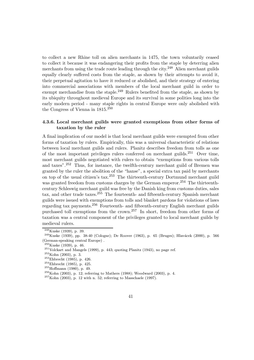to collect a new Rhine toll on alien merchants in 1475, the town voluntarily ceased to collect it because it was endangering their profits from the staple by deterring alien merchants from using the trade route leading through the city.<sup>248</sup> Alien merchant guilds equally clearly suffered costs from the staple, as shown by their attempts to avoid it, their perpetual agitation to have it reduced or abolished, and their strategy of entering into commercial associations with members of the local merchant guild in order to exempt merchandise from the staple.<sup>249</sup> Rulers benefited from the staple, as shown by its ubiquity throughout medieval Europe and its survival in some polities long into the early modern period - many staple rights in central Europe were only abolished with the Congress of Vienna in 1815.<sup>250</sup>

## 4.3.6. Local merchant guilds were granted exemptions from other forms of taxation by the ruler

A final implication of our model is that local merchant guilds were exempted from other forms of taxation by rulers. Empirically, this was a universal characteristic of relations between local merchant guilds and rulers. Planitz describes freedom from tolls as one of the most important privileges rulers conferred on merchant guilds.<sup>251</sup> Over time, most merchant guilds negotiated with rulers to obtain "exemptions from various tolls and taxes".<sup>252</sup> Thus, for instance, the twelfth-century merchant guild of Bremen was granted by the ruler the abolition of the "hanse", a special extra tax paid by merchants on top of the usual citizen's tax.<sup>253</sup> The thirteenth-century Dortmund merchant guild was granted freedom from customs charges by the German emperor.<sup>254</sup> The thirteenthcentury Schleswig merchant guild was free by the Danish king from customs duties, sales tax, and other trade taxes.<sup>255</sup> The fourteenth- and fifteenth-century Spanish merchant guilds were issued with exemptions from tolls and blanket pardons for violations of laws regarding tax payments.<sup>256</sup> Fourteenth- and fifteenth-century English merchant guilds purchased toll exemptions from the crown.<sup>257</sup> In short, freedom from other forms of taxation was a central component of the privileges granted to local merchant guilds by medieval rulers.

 $\frac{248}{249}$ Kuske (1939), p. 39.<br><sup>249</sup>Kuske (1939), pp. 38-40 (Cologne); De Roover (1963), p. 65 (Bruges); Hlavácek (2000), p. 566 (German-speaking central Europe) .  $^{250}_{250}$ Kuske (1939), p. 46.

<sup>&</sup>lt;sup>251</sup>Volckart and Mangels (1999), p. 443; quoting Planitz (1943), no page ref.<br><sup>252</sup>Kohn (2003), p. 3.<br><sup>253</sup>Ehbrecht (1985), p. 426.<br><sup>254</sup>Ehbrecht (1985), p. 425.<br><sup>255</sup>Hoffmann (1980), p. 49.<br><sup>256</sup>Kohn (2003), p. 12; refe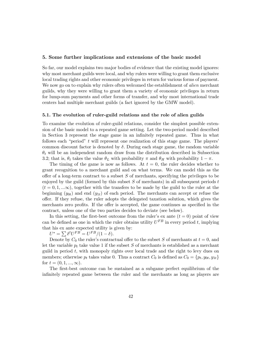### 5. Some further implications and extensions of the basic model

So far, our model explains two major bodies of evidence that the existing model ignores: why most merchant guilds were local, and why rulers were willing to grant them exclusive local trading rights and other economic privileges in return for various forms of payment. We now go on to explain why rulers often welcomed the establishment of *alien* merchant guilds, why they were willing to grant them a variety of economic privileges in return for lump-sum payments and other forms of transfer, and why most international trade centers had multiple merchant guilds (a fact ignored by the GMW model).

### 5.1. The evolution of ruler-guild relations and the role of alien guilds

To examine the evolution of ruler-guild relations, consider the simplest possible extension of the basic model to a repeated game setting. Let the two-period model described in Section 3 represent the stage game in an infinitely repeated game. Thus in what follows each "period"  $t$  will represent one realization of this stage game. The players' common discount factor is denoted by  $\delta$ . During each stage game, the random variable  $\theta_t$  will be an independent random draw from the distribution described in Subsection 3.2; that is,  $\theta_t$  takes the value  $\theta_L$  with probability  $\pi$  and  $\theta_H$  with probability  $1 - \pi$ .

The timing of the game is now as follows. At  $t = 0$ , the ruler decides whether to grant recognition to a merchant guild and on what terms. We can model this as the offer of a long-term contract to a subset  $S$  of merchants, specifying the privileges to be enjoyed by the guild (formed by this subset  $S$  of merchants) in all subsequent periods  $t$  $(t = 0, 1, \ldots \infty)$ , together with the transfers to be made by the guild to the ruler at the beginning  $(y_{0t})$  and end  $(y_{1t})$  of each period. The merchants can accept or refuse the oÆer. If they refuse, the ruler adopts the delegated taxation solution, which gives the merchants zero profits. If the offer is accepted, the game continues as specified in the contract, unless one of the two parties decides to deviate (see below).

In this setting, the first-best outcome from the ruler's ex ante  $(t = 0)$  point of view can be defined as one in which the ruler obtains utility  $U^{FB}$  in every period t, implying that his ex ante expected utility is given by:

t his ex ante expected utility is<br>  $U^* = \sum \delta^t U^{FB} = U^{FB}/(1 - \delta).$ 

Denote by  $C_0$  the ruler's contractual offer to the subset S of merchants at  $t = 0$ , and let the variable  $p_t$  take value 1 if the subset S of merchants is established as a merchant guild in period  $t$ , with monopoly rights over local trade and the right to levy dues on members; otherwise  $p_t$  takes value 0. Thus a contract  $C_0$  is defined as  $C_0 = \{p_t, y_{0t}, y_{1t}\}$ for  $t = (0, 1, ..., \infty)$ .

The first-best outcome can be sustained as a subgame perfect equilibrium of the infinitely repeated game between the ruler and the merchants as long as players are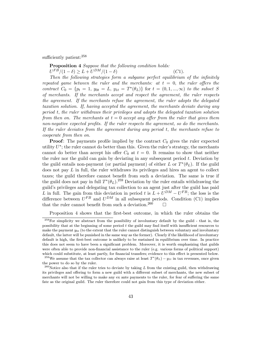sufficiently patient: $258$ 

Proposition 4 Suppose that the following condition holds:  $U^{FB}/(1 - \delta) > L + U^{DM}/(1 - \delta)$  (C1).

Then the following strategies form a subgame perfect equilibrium of the infinitely repeated game between the ruler and the merchants: at  $t = 0$ , the ruler offers the contract  $C_0 = \{p_t = 1, y_{0t} = L, y_{1t} = T^*(\theta_L)\}\$  for  $t = (0, 1, ..., \infty)$  to the subset S of merchants. If the merchants accept and respect the agreement, the ruler respects the agreement. If the merchants refuse the agreement, the ruler adopts the delegated taxation solution. If, having accepted the agreement, the merchants deviate during any period t, the ruler withdraws their privileges and adopts the delegated taxation solution from then on. The merchants at  $t = 0$  accept any offer from the ruler that gives them non-negative expected profits. If the ruler respects the agreement, so do the merchants. If the ruler deviates from the agreement during any period t, the merchants refuse to cooperate from then on.

**Proof:** The payments profile implied by the contract  $C_0$  gives the ruler expected utility  $U^*$ ; the ruler cannot do better than this. Given the ruler's strategy, the merchants cannot do better than accept his offer  $C_0$  at  $t = 0$ . It remains to show that neither the ruler nor the guild can gain by deviating in any subsequent period  $t$ . Deviation by the guild entails non-payment (or partial payment) of either L or  $T^*(\theta_L)$ . If the guild does not pay  $L$  in full, the ruler withdraws its privileges and hires an agent to collect taxes; the guild therefore cannot benefit from such a deviation. The same is true if the guild does not pay in full  $T^*(\theta_L)$ .<sup>259</sup> Deviation by the ruler entails withdrawing the guild's privileges and delegating tax collection to an agent just after the guild has paid L in full. The gain from this deviation in period t is  $L + U^{DM} - U^{FB}$ ; the loss is the difference between  $U^{FB}$  and  $U^{DM}$  in all subsequent periods. Condition (C1) implies that the ruler cannot benefit from such a deviation.<sup>260</sup>  $\Box$ 

Proposition 4 shows that the first-best outcome, in which the ruler obtains the

<sup>&</sup>lt;sup>258</sup>For simplicity we abstract from the possibility of involuntary default by the guild - that is, the possibility that at the beginning of some period t the guild may find itself with insufficient resources to make the payment  $y_{0t}$  (to the extent that the ruler cannot distinguish between voluntary and involuntary default, the latter will be punished in the same way as the former). Clearly if the likelihood of involuntary default is high, the first-best outcome is unlikely to be sustained in equilibrium over time. In practice this does not seem to have been a significant problem. Moreover, it is worth emphasizing that guilds were often able to provide non-financial assistance to the ruler (e.g. various forms of political support) which could substitute, at least partly, for financial transfers; evidence to this effect is presented below.

<sup>&</sup>lt;sup>259</sup>We assume that the tax collector can always raise at least  $T^*(\theta_L) - y_{1t}$  in tax revenues, once given the power to do so by the ruler.

<sup>&</sup>lt;sup>260</sup>Notice also that if the ruler tries to deviate by taking L from the existing guild, then withdrawing its privileges and offering to form a new guild with a different subset of merchants, the new subset of merchants will not be willing to make any ex ante payments to the ruler, for fear of suffering the same fate as the original guild. The ruler therefore could not gain from this type of deviation either.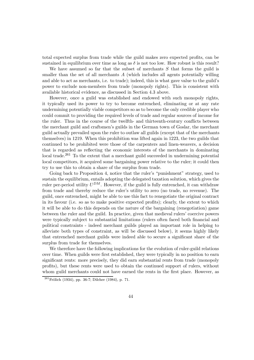total expected surplus from trade while the guild makes zero expected profits, can be sustained in equilibrium over time as long as  $\delta$  is not too low. How robust is this result?

We have assumed so far that the subset of merchants  $S$  that forms the guild is smaller than the set of all merchants  $A$  (which includes all agents potentially willing and able to act as merchants, i.e. to trade); indeed, this is what gave value to the guild's power to exclude non-members from trade (monopoly rights). This is consistent with available historical evidence, as discussed in Section 4.3 above.

However, once a guild was established and endowed with such monopoly rights, it typically used its power to try to become entrenched, eliminating or at any rate undermining potentially viable competitors so as to become the only credible player who could commit to providing the required levels of trade and regular sources of income for the ruler. Thus in the course of the twelfth- and thirteenth-century conflicts between the merchant guild and craftsmen's guilds in the German town of Goslar, the merchant guild actually prevailed upon the ruler to outlaw all guilds (except that of the merchants themselves) in 1219. When this prohibition was lifted again in 1223, the two guilds that continued to be prohibited were those of the carpenters and linen-weavers, a decision that is regarded as reflecting the economic interests of the merchants in dominating local trade.<sup>261</sup> To the extent that a merchant guild succeeded in undermining potential local competitors, it acquired some bargaining power relative to the ruler; it could then try to use this to obtain a share of the surplus from trade.

Going back to Proposition 4, notice that the ruler's "punishment" strategy, used to sustain the equilibrium, entails adopting the delegated taxation solution, which gives the ruler per-period utility  $U^{DM}$ . However, if the guild is fully entrenched, it can withdraw from trade and thereby reduce the ruler's utility to zero (no trade, no revenue). The guild, once entrenched, might be able to use this fact to renegotiate the original contract in its favour (i.e. so as to make positive expected profits); clearly, the extent to which it will be able to do this depends on the nature of the bargaining (renegotiation) game between the ruler and the guild. In practice, given that medieval rulers' coercive powers were typically subject to substantial limitations (rulers often faced both financial and political constraints - indeed merchant guilds played an important role in helping to alleviate both types of constraint, as will be discussed below), it seems highly likely that entrenched merchant guilds were indeed able to secure a significant share of the surplus from trade for themselves.

We therefore have the following implications for the evolution of ruler-guild relations over time. When guilds were first established, they were typically in no position to earn significant rents: more precisely, they did earn substantial rents from trade (monopoly profits), but these rents were used to obtain the continued support of rulers, without whom guild merchants could not have earned the rents in the first place. However, as

 $261$  Frölich (1934), pp. 36-7; Dilcher (1984), p. 71.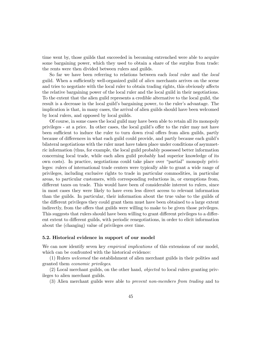time went by, those guilds that succeeded in becoming entrenched were able to acquire some bargaining power, which they used to obtain a share of the surplus from trade: the rents were then divided between rulers and guilds.

So far we have been referring to relations between each local ruler and the local guild. When a sufficiently well-organized guild of *alien* merchants arrives on the scene and tries to negotiate with the local ruler to obtain trading rights, this obviously affects the relative bargaining power of the local ruler and the local guild in their negotiations. To the extent that the alien guild represents a credible alternative to the local guild, the result is a decrease in the local guild's bargaining power, to the ruler's advantage. The implication is that, in many cases, the arrival of alien guilds should have been welcomed by local rulers, and opposed by local guilds.

Of course, in some cases the local guild may have been able to retain all its monopoly privileges - at a price. In other cases, the local guild's oÆer to the ruler may not have been sufficient to induce the ruler to turn down rival offers from alien guilds, partly because of diÆerences in what each guild could provide, and partly because each guild's bilateral negotiations with the ruler must have taken place under conditions of asymmetric information (thus, for example, the local guild probably possessed better information concerning local trade, while each alien guild probably had superior knowledge of its own costs). In practice, negotiations could take place over \partial" monopoly privileges: rulers of international trade centers were typically able to grant a wide range of privileges, including exclusive rights to trade in particular commodities, in particular areas, to particular customers, with corresponding reductions in, or exemptions from, different taxes on trade. This would have been of considerable interest to rulers, since in most cases they were likely to have even less direct access to relevant information than the guilds. In particular, their information about the true value to the guilds of the different privileges they could grant them must have been obtained to a large extent indirectly, from the offers that guilds were willing to make to be given those privileges. This suggests that rulers should have been willing to grant different privileges to a different extent to diÆerent guilds, with periodic renegotiations, in order to elicit information about the (changing) value of privileges over time.

## 5.2. Historical evidence in support of our model

We can now identify seven key *empirical implications* of this extensions of our model, which can be confronted with the historical evidence:

(1) Rulers welcomed the establishment of alien merchant guilds in their polities and granted them economic privileges.

(2) Local merchant guilds, on the other hand, objected to local rulers granting privileges to alien merchant guilds.

(3) Alien merchant guilds were able to prevent non-members from trading and to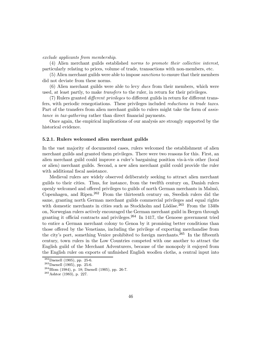### exclude applicants from membership.

(4) Alien merchant guilds established norms to promote their collective interest, particularly relating to prices, volume of trade, transactions with non-members, etc.

(5) Alien merchant guilds were able to impose sanctions to ensure that their members did not deviate from these norms.

(6) Alien merchant guilds were able to levy dues from their members, which were used, at least partly, to make *transfers* to the ruler, in return for their privileges.

(7) Rulers granted *different privileges* to different guilds in return for different transfers, with periodic renegotiations. These privileges included reductions in trade taxes. Part of the transfers from alien merchant guilds to rulers might take the form of *assis*tance in tax-gathering rather than direct financial payments.

Once again, the empirical implications of our analysis are strongly supported by the historical evidence.

## 5.2.1. Rulers welcomed alien merchant guilds

In the vast majority of documented cases, rulers welcomed the establishment of alien merchant guilds and granted them privileges. There were two reasons for this. First, an alien merchant guild could improve a ruler's bargaining position vis-à-vis other (local or alien) merchant guilds. Second, a new alien merchant guild could provide the ruler with additional fiscal assistance.

Medieval rulers are widely observed deliberately seeking to attract alien merchant guilds to their cities. Thus, for instance, from the twelfth century on, Danish rulers openly welcomed and offered privileges to guilds of north German merchants in Malmö, Copenhagen, and Ripen.<sup>262</sup> From the thirteenth century on, Swedish rulers did the same, granting north German merchant guilds commercial privileges and equal rights with domestic merchants in cities such as Stockholm and Lödöse.<sup>263</sup> From the  $1340s$ on, Norwegian rulers actively encouraged the German merchant guild in Bergen through granting it official contracts and privileges.<sup>264</sup> In 1417, the Genoese government tried to entice a German merchant colony to Genoa by it promising better conditions than those offered by the Venetians, including the privilege of exporting merchandise from the city's port, something Venice prohibited to foreign merchants.<sup>265</sup> In the fifteenth century, town rulers in the Low Countries competed with one another to attract the English guild of the Merchant Adventurers, because of the monopoly it enjoyed from the English ruler on exports of unfinished English woollen cloths, a central input into

<sup>&</sup>lt;sup>262</sup>Daenell (1905), pp. 25-6.<br><sup>263</sup>Daenell (1905), pp. 25-6.<br><sup>264</sup>Blom (1984), p. 18; Daenell (1905), pp. 26-7.<br><sup>265</sup>Ashtor (1983), p. 227.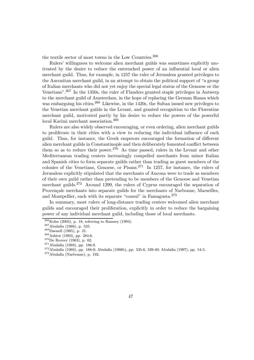the textile sector of most towns in the Low Countries.<sup>266</sup>

Rulers' willingness to welcome alien merchant guilds was sometimes explicitly motivated by the desire to reduce the entrenched power of an influential local or alien merchant guild. Thus, for example, in 1257 the ruler of Jerusalem granted privileges to the Anconitan merchant guild, in an attempt to obtain the political support of "a group" of Italian merchants who did not yet enjoy the special legal status of the Genoese or the Venetians".<sup>267</sup> In the 1350s, the ruler of Flanders granted staple privileges in Antwerp to the merchant guild of Amsterdam, in the hope of replacing the German Hansa which was embargoing his cities.  $268$  Likewise, in the 1420s, the Sultan issued new privileges to the Venetian merchant guilds in the Levant, and granted recognition to the Florentine merchant guild, motivated partly by his desire to reduce the powers of the powerful local Karimi merchant association.<sup>269</sup>

Rulers are also widely observed encouraging, or even ordering, alien merchant guilds to proliferate in their cities with a view to reducing the individual influence of each guild. Thus, for instance, the Greek emperors encouraged the formation of different alien merchant guilds in Constantinople and then deliberately fomented conflict between them so as to reduce their power.<sup>270</sup> As time passed, rulers in the Levant and other Mediterranean trading centers increasingly compelled merchants from minor Italian and Spanish cities to form separate guilds rather than trading as guest members of the colonies of the Venetians, Genoese, or Pisans.<sup>271</sup> In 1257, for instance, the rulers of Jerusalem explicitly stipulated that the merchants of Ancona were to trade as members of their own guild rather than pretending to be members of the Genoese and Venetian merchant guilds.<sup>272</sup> Around 1299, the rulers of Cyprus encouraged the separation of Provencale merchants into separate guilds for the merchants of Narbonne, Marseilles, and Montpellier, each with its separate "consul" in Famagusta. $273$ 

In summary, most rulers of long-distance trading centers welcomed alien merchant guilds and encouraged their proliferation, explicitly in order to reduce the bargaining power of any individual merchant guild, including those of local merchants.

<sup>&</sup>lt;sup>266</sup>Kohn (2003), p. 18, referring to Ramsey (1994).<br>
<sup>267</sup>Abulafia (1986), p. 535.<br>
<sup>268</sup>Daenell (1905), p. 21.<br>
<sup>269</sup>Ashtor (1983), pp. 284-6.<br>
<sup>270</sup>De Roover (1963), p. 62.<br>
<sup>271</sup>Abulafia (1988), pp. 186-9.<br>
<sup>272</sup>Abula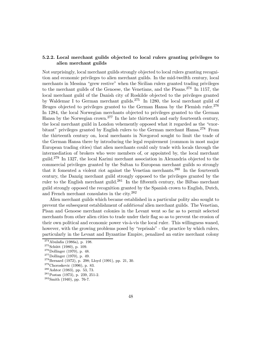## 5.2.2. Local merchant guilds objected to local rulers granting privileges to alien merchant guilds

Not surprisingly, local merchant guilds strongly objected to local rulers granting recognition and economic privileges to alien merchant guilds. In the mid-twelfth century, local merchants in Messina "grew restive" when the Sicilian rulers granted trading privileges to the merchant guilds of the Genoese, the Venetians, and the Pisans.<sup>274</sup> In 1157, the local merchant guild of the Danish city of Roskilde objected to the privileges granted by Waldemar I to German merchant guilds.<sup>275</sup> In 1280, the local merchant guild of Bruges objected to privileges granted to the German Hansa by the Flemish ruler.<sup>276</sup> In 1284, the local Norwegian merchants objected to privileges granted to the German Hansa by the Norwegian crown.<sup>277</sup> In the late thirteenth and early fourteenth century, the local merchant guild in London vehemently opposed what it regarded as the "exorbitant" privileges granted by English rulers to the German merchant Hansa.<sup>278</sup> From the thirteenth century on, local merchants in Novgorod sought to limit the trade of the German Hansa there by introducing the legal requirement (common in most major European trading cities) that alien merchants could only trade with locals through the intermediation of brokers who were members of, or appointed by, the local merchant guild.<sup>279</sup> In 1327, the local Karimi merchant association in Alexandria objected to the commercial privileges granted by the Sultan to European merchant guilds so strongly that it fomented a violent riot against the Venetian merchants.<sup>280</sup> In the fourteenth century, the Danzig merchant guild strongly opposed to the privileges granted by the ruler to the English merchant guild.<sup>281</sup> In the fifteenth century, the Bilbao merchant guild strongly opposed the recognition granted by the Spanish crown to English, Dutch, and French merchant consulates in the city.<sup>282</sup>

Alien merchant guilds which became established in a particular polity also sought to prevent the subsequent establishment of additional alien merchant guilds. The Venetian, Pisan and Genoese merchant colonies in the Levant went so far as to permit selected merchants from other alien cities to trade under their flag so as to prevent the erosion of their own political and economic power vis-à-vis the local ruler. This willingness waned, however, with the growing problems posed by "reprisals" - the practice by which rulers, particularly in the Levant and Byzantine Empire, penalized an entire merchant colony

<sup>&</sup>lt;sup>274</sup> Abulafia (1986a), p. 198.<br>
<sup>275</sup> Schütt (1980), p. 109.<br>
<sup>276</sup> Dollinger (1970), p. 48.<br>
<sup>277</sup> Dollinger (1970), p. 49.<br>
<sup>278</sup> Bernard (1972), p. 298; Lloyd (1991), pp. 21, 30.<br>
<sup>279</sup> Choroskevic (1996), p. 83.<br>
<sup>28</sup>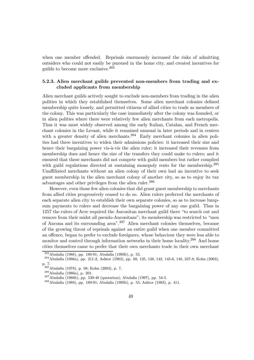when one member offended. Reprisals enormously increased the risks of admitting outsiders who could not easily be pursued in the home city, and created incentives for guilds to become more exclusive.<sup>283</sup>

# 5.2.3. Alien merchant guilds prevented non-members from trading and excluded applicants from membership

Alien merchant guilds actively sought to exclude non-members from trading in the alien polities in which they established themselves. Some alien merchant colonies defined membership quite loosely, and permitted citizens of allied cities to trade as members of the colony. This was particularly the case immediately after the colony was founded, or in alien polities where there were relatively few alien merchants from each metropolis. Thus it was most widely observed among the early Italian, Catalan, and French merchant colonies in the Levant, while it remained unusual in later periods and in centers with a greater density of alien merchants.<sup>284</sup> Early merchant colonies in alien polities had three incentives to widen their admissions policies: it increased their size and hence their bargaining power vis-à-vis the alien ruler; it increased their revenues from membership dues and hence the size of the transfers they could make to rulers; and it ensured that these merchants did not compete with guild members but rather complied with guild regulations directed at sustaining monopoly rents for the membership.<sup>285</sup> Unaffiliated merchants without an alien colony of their own had an incentive to seek guest membership in the alien merchant colony of another city, so as to enjoy its tax advantages and other privileges from the alien ruler.<sup>286</sup>

However, even those few alien colonies that did grant guest membership to merchants from allied cities progressively ceased to do so. Alien rulers preferred the merchants of each separate alien city to establish their own separate colonies, so as to increase lumpsum payments to rulers and decrease the bargaining power of any one guild. Thus in 1257 the rulers of Acre required the Anconitan merchant guild there \to search out and remove from their midst all pseudo-Anconitans"; its membership was restricted to "men of Ancona and its surrounding area".<sup>287</sup> Alien merchant colonies themselves, because of the growing threat of reprisals against an entire guild when one member committed an offence, began to prefer to exclude foreigners, whose behaviour they were less able to monitor and control through information networks in their home locality.<sup>288</sup> And home cities themselves came to prefer that their own merchants trade in their own merchant

<sup>&</sup>lt;sup>283</sup>Abulafia (1988), pp. 189-91; Abulafia (1993b), p. 55.<br><sup>284</sup>Abulafia (1986a), pp. 211-2; Ashtor (1983), pp. 68, 135, 138, 142, 145-6, 148, 237-8; Kohn (2003), p. 7.

<sup>&</sup>lt;sup>285</sup>Abulafia (1978), p. 68; Kohn (2003), p. 7.<br><sup>286</sup>Abulafia (1986a), p. 201.<br><sup>287</sup>Abulafia (1986b), pp. 539-40 (quotation); Abulafia (1997), pp. 54-5.<br><sup>288</sup>Abulafia (1988), pp. 189-91; Abulafia (1993b), p. 55; Ashtor (19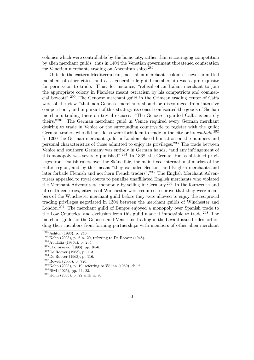colonies which were controllable by the home city, rather than encouraging competition by alien merchant guilds: thus in 1404 the Venetian government threatened confiscation for Venetian merchants trading on Anconitan ships.<sup>289</sup>

Outside the eastern Mediterranean, most alien merchant \colonies" never admitted members of other cities, and as a general rule guild membership was a pre-requisite for permission to trade. Thus, for instance, "refusal of an Italian merchant to join the appropriate colony in Flanders meant ostracism by his compatriots and commercial boycott".<sup>290</sup> The Genoese merchant guild in the Crimean trading center of CaÆa were of the view "that non-Genoese merchants should be discouraged from intensive competition", and in pursuit of this strategy its consul confiscated the goods of Sicilian merchants trading there on trivial excuses: "The Genoese regarded Caffa as entirely theirs."<sup>291</sup> The German merchant guild in Venice required every German merchant desiring to trade in Venice or the surrounding countryside to register with the guild; German traders who did not do so were forbidden to trade in the city or its *contado*.<sup>292</sup> In 1260 the German merchant guild in London placed limitation on the numbers and personal characteristics of those admitted to enjoy its privileges.<sup>293</sup> The trade between Venice and southern Germany was entirely in German hands, "and any infringement of this monopoly was severely punished".<sup>294</sup> In 1368, the German Hansa obtained privileges from Danish rulers over the Skåne fair, the main fixed international market of the Baltic region, and by this means \they excluded Scottish and English merchants and later forbade Flemish and northern French traders".<sup>295</sup> The English Merchant Adventurers appealed to royal courts to penalize unaffiliated English merchants who violated the Merchant Adventurers' monopoly by selling in Germany.<sup>296</sup> In the fourteenth and fifteenth centuries, citizens of Winchester were required to prove that they were members of the Winchester merchant guild before they were allowed to enjoy the reciprocal trading privileges negotiated in 1304 between the merchant guilds of Winchester and London.<sup>297</sup> The merchant guild of Burgos enjoyed a monopoly over Spanish trade to the Low Countries, and exclusion from this guild made it impossible to trade.<sup>298</sup> The merchant guilds of the Genoese and Venetians trading in the Levant issued rules forbidding their members from forming partnerships with members of other alien merchant

<sup>&</sup>lt;sup>289</sup>Ashtor (1983), p. 240.<br><sup>290</sup>Kohn (2003), p. 6 n. 20, referring to De Roover (1948).<br><sup>291</sup>Abulafia (1986a), p. 205.<br><sup>292</sup>Choroskevic (1996), pp. 84-6.<br><sup>293</sup>De Roover (1963), p. 113.<br><sup>294</sup>De Roover (1963), p. 116.<br><sup>295</sup>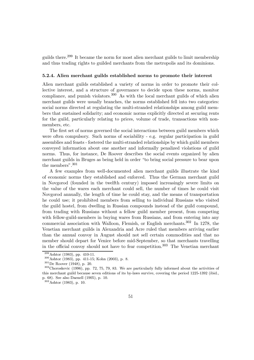guilds there.<sup>299</sup> It became the norm for most alien merchant guilds to limit membership and thus trading rights to guilded merchants from the metropolis and its dominions.

#### 5.2.4. Alien merchant guilds established norms to promote their interest

Alien merchant guilds established a variety of norms in order to promote their collective interest, and a structure of governance to decide upon these norms, monitor compliance, and punish violators.<sup>300</sup> As with the local merchant guilds of which alien merchant guilds were usually branches, the norms established fell into two categories: social norms directed at regulating the multi-stranded relationships among guild members that sustained solidarity; and economic norms explicitly directed at securing rents for the guild, particularly relating to prices, volume of trade, transactions with nonmembers, etc.

The first set of norms governed the social interactions between guild members which were often compulsory. Such norms of sociability - e.g. regular participation in guild assemblies and feasts - fostered the multi-stranded relationships by which guild members conveyed information about one another and informally penalized violations of guild norms. Thus, for instance, De Roover describes the social events organized by alien merchant guilds in Bruges as being held in order \to bring social pressure to bear upon the members".<sup>301</sup>

A few examples from well-documented alien merchant guilds illustrate the kind of economic norms they established and enforced. Thus the German merchant guild in Novgorod (founded in the twelfth century) imposed increasingly severe limits on the value of the wares each merchant could sell, the number of times he could visit Novgorod annually, the length of time he could stay, and the means of transportation he could use; it prohibited members from selling to individual Russians who visited the guild hostel, from dwelling in Russian compounds instead of the guild compound, from trading with Russians without a fellow guild member present, from competing with fellow-guild-members in buying wares from Russians, and from entering into any commercial association with Walloon, Flemish, or English merchants.<sup>302</sup> In 1278, the Venetian merchant guilds in Alexandria and Acre ruled that members arriving earlier than the annual convoy in August should not sell certain commodities and that no member should depart for Venice before mid-September, so that merchants travelling in the official convoy should not have to fear competition.<sup>303</sup> The Venetian merchant

 $^{299}_{300}$ Ashtor (1983), pp. 410-11.<br> $^{300}_{301}$ De Roover (1948), p. 20.<br> $^{301}$ De Roover (1948), p. 20.<br> $^{302}$ Choroskevic (1996), pp. 72, 75, 79, 83. We are particularly fully informed about the activities of this merchant guild because seven editions of its by-laws survive, covering the period 1225-1392 (ibid., p. 68). See also Daenell (1905), p. 10.

<sup>303</sup>Ashtor (1983), p. 10.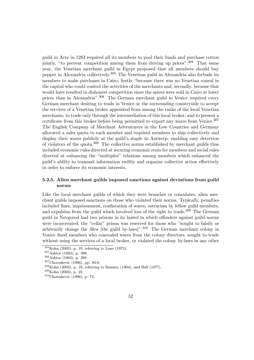guild in Acre in 1283 required all its members to pool their funds and purchase cotton jointly, "to prevent competition among them from driving up prices".  $304$  That same year, the Venetian merchant guild in Egypt proposed that all members should buy pepper in Alexandria collectively.<sup>305</sup> The Venetian guild in Alexandria also forbade its members to make purchases in Cairo, firstly "because there was no Venetian consul in the capital who could control the activities of the merchants and, secondly, because that would have resulted in dishonest competition since the spices were sold in Cairo at lower prices than in Alexandria".<sup>306</sup> The German merchant guild in Venice required every German merchant desiring to trade in Venice or the surrounding countryside to accept the services of a Venetian broker appointed from among the ranks of the local Venetian merchants, to trade only through the intermediation of this local broker, and to present a certificate from this broker before being permitted to export any wares from Venice. $307$ The English Company of Merchant Adventurers in the Low Countries and Germany allocated a sales quota to each member and required members to ship collectively and display their wares publicly at the guild's staple in Antwerp, enabling easy detection of violators of the quota.<sup>308</sup> The collective norms established by merchant guilds thus included economic rules directed at securing economic rents for members and social rules directed at enhancing the "multiplex" relations among members which enhanced the guild's ability to transmit information swiftly and organize collective action effectively in order to enforce its economic interests.

# 5.2.5. Alien merchant guilds imposed sanctions against deviations from guild norms

Like the local merchant guilds of which they were branches or consulates, alien merchant guilds imposed sanctions on those who violated their norms. Typically, penalties included fines, imprisonment, confiscation of wares, ostracism by fellow guild members, and expulsion from the guild which involved loss of the right to trade.<sup>309</sup> The German guild in Novgorod had two prisons in its hostel in which oÆenders against guild norms were incarcerated; the "cellar" prison was reserved for those who "sought to falsify or arbitrarily change the *Skra* [the guild by-laws]".<sup>310</sup> The German merchant colony in Venice fined members who concealed wares from the colony directors, sought to trade without using the services of a local broker, or violated the colony by-laws in any other

<sup>&</sup>lt;sup>304</sup>Kohn (2003), p. 19, referring to Lane (1973).<br><sup>305</sup>Ashtor (1983), p. 398.<br><sup>306</sup>Ashtor (1983), p. 398.<br><sup>307</sup>Choroskevic (1996), pp. 84-6.<br><sup>308</sup>Kohn (2003), p. 19, referring to Ramsey (1994), and Ball (1977).<br><sup>309</sup>Kohn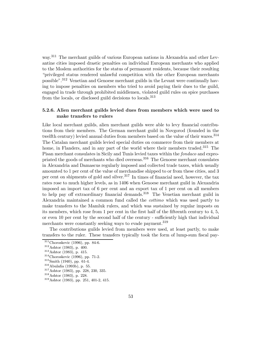way.<sup>311</sup> The merchant guilds of various European nations in Alexandria and other Levantine cities imposed drastic penalties on individual European merchants who applied to the Moslem authorities for the status of permanent residents, because their resulting \privileged status rendered unlawful competition with the other European merchants possible".<sup>312</sup> Venetian and Genoese merchant guilds in the Levant were continually having to impose penalties on members who tried to avoid paying their dues to the guild, engaged in trade through prohibited middlemen, violated guild rules on spice purchases from the locals, or disclosed guild decisions to locals.<sup>313</sup>

## 5.2.6. Alien merchant guilds levied dues from members which were used to make transfers to rulers

Like local merchant guilds, alien merchant guilds were able to levy financial contributions from their members. The German merchant guild in Novgorod (founded in the twelfth century) levied annual duties from members based on the value of their wares.<sup>314</sup> The Catalan merchant guilds levied special duties on commerce from their members at home, in Flanders, and in any part of the world where their members traded.<sup>315</sup> The Pisan merchant consulates in Sicily and Tunis levied taxes within the fondaco and expropriated the goods of merchants who died overseas.<sup>316</sup> The Genoese merchant consulates in Alexandria and Damascus regularly imposed and collected trade taxes, which usually amounted to 1 per cent of the value of merchandise shipped to or from these cities, and 3 per cent on shipments of gold and silver.<sup>317</sup> In times of financial need, however, the tax rates rose to much higher levels, as in 1406 when Genoese merchant guild in Alexandria imposed an import tax of 6 per cent and an export tax of 1 per cent on all members to help pay off extraordinary financial demands.<sup>318</sup> The Venetian merchant guild in Alexandria maintained a common fund called the cottimo which was used partly to make transfers to the Mamluk rulers, and which was sustained by regular imposts on its members, which rose from 1 per cent in the first half of the fifteenth century to  $4, 5$ , or even  $10$  per cent by the second half of the century - sufficiently high that individual merchants were constantly seeking ways to evade payment.<sup>319</sup>

The contributions guilds levied from members were used, at least partly, to make transfers to the ruler. These transfers typically took the form of lump-sum fiscal pay-

<sup>&</sup>lt;sup>311</sup>Choroskevic (1996), pp. 84-6.<br><sup>312</sup>Ashtor (1983), p. 400.<br><sup>313</sup>Ashtor (1983), p. 415.<br><sup>314</sup>Choroskevic (1996), pp. 71-2.<br><sup>315</sup>Smith (1940), pp. 61-4.<br><sup>316</sup>Abulafia (1993b), p. 55.<br><sup>317</sup>Ashtor (1983), pp. 228, 230, 33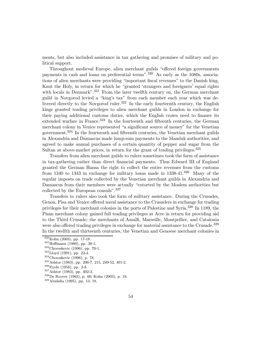ments, but also included assistance in tax gathering and promises of military and political support.

Throughout medieval Europe, alien merchant guilds "offered foreign governments payments in cash and loans on preferential terms".<sup>320</sup> As early as the 1080s, associations of alien merchants were providing \important Øscal revenues" to the Danish king, Knut the Holy, in return for which he "granted 'strangers and foreigners' equal rights with locals in Denmark".<sup>321</sup> From the later twelfth century on, the German merchant guild in Novgorod levied a \king's tax" from each member each year which was delivered directly to the Novgorod ruler.<sup>322</sup> In the early fourteenth century, the English kings granted trading privileges to alien merchant guilds in London in exchange for their paying additional customs duties, which the English crown need to finance its extended warfare in France.<sup>323</sup> In the fourteenth and fifteenth centuries, the German merchant colony in Venice represented "a significant source of money" for the Venetian government.<sup>324</sup> In the fourteenth and fifteenth centuries, the Venetian merchant guilds in Alexandria and Damascus made lump-sum payments to the Mamluk authorities, and agreed to make annual purchases of a certain quantity of pepper and sugar from the Sultan at above-market prices, in return for the grant of trading privileges.<sup>325</sup>

Transfers from alien merchant guilds to rulers sometimes took the form of assistance in tax-gathering rather than direct financial payments. Thus Edward III of England granted the German Hansa the right to collect the entire revenues from the customs from 1340 to 1343 in exchange for military loans made in  $1338-41$ .<sup>326</sup> Many of the regular imposts on trade collected by the Venetian merchant guilds in Alexandria and Damascus from their members were actually "extorted by the Moslem authorities but collected by the European consuls".<sup>327</sup>

Transfers to rulers also took the form of military assistance. During the Crusades, Genoa, Pisa and Venice offered naval assistance to the Crusaders in exchange for trading privileges for their merchant colonies in the ports of Palestine and Syria.<sup>328</sup> In 1189, the Pisan merchant colony gained full trading privileges at Acre in return for providing aid to the Third Crusade; the merchants of Amalfi, Marseille, Montpellier, and Catalonia were also offered trading privileges in exchange for material assistance to the Crusade.<sup>329</sup> In the twelfth and thirteenth centuries, the Venetian and Genoese merchant colonies in

 $\begin{array}{l} \text{$320$Kohn (2003), pp. 17-18$.}\\ \text{$321$Hoffmann (1980), pp. 30-1$.}\\ \text{$322$Choroskevic (1996), pp. 70-1$.}\\ \text{$323$Lloyd (1991), pp. 22-4$.}\\ \text{$324$Choroskevic (1996), p. 78$.}\\ \text{$325$Ashtor (1983), pp. 206-7, 215, 249-52, 401-2.}\\ \text{$326$Fryde (1958), pp. 2-8.}\\ \text{$327$Ashtor (1983), pp$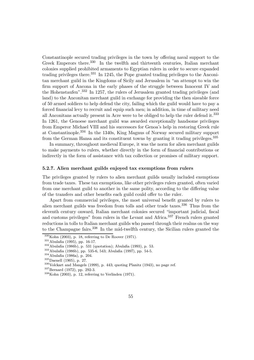Constantinople secured trading privileges in the town by offering naval support to the Greek Emperors there.<sup>330</sup> In the twelfth and thirteenth centuries, Italian merchant colonies supplied prohibited armaments to Egyptian rulers in order to secure expanded trading privileges there.<sup>331</sup> In 1245, the Pope granted trading privileges to the Anconitan merchant guild in the Kingdoms of Sicily and Jerusalem in "an attempt to win the firm support of Ancona in the early phases of the struggle between Innocent IV and the Hohenstaufen".<sup>332</sup> In 1257, the rulers of Jerusalem granted trading privileges (and land) to the Anconitan merchant guild in exchange for providing the then sizeable force of 50 armed soldiers to help defend the city, failing which the guild would have to pay a forced financial levy to recruit and equip such men; in addition, in time of military need all Anconitans actually present in Acre were to be obliged to help the ruler defend it.<sup>333</sup> In 1261, the Genoese merchant guild was awarded exceptionally handsome privileges from Emperor Michael VIII and his successors for Genoa's help in restoring Greek rule at Constantinople.<sup>334</sup> In the 1340s, King Magnus of Norway secured military support from the German Hansa and its constituent towns by granting it trading privileges.<sup>335</sup>

In summary, throughout medieval Europe, it was the norm for alien merchant guilds to make payments to rulers, whether directly in the form of financial contributions or indirectly in the form of assistance with tax collection or promises of military support.

## 5.2.7. Alien merchant guilds enjoyed tax exemptions from rulers

The privileges granted by rulers to alien merchant guilds usually included exemptions from trade taxes. These tax exemptions, like other privileges rulers granted, often varied from one merchant guild to another in the same polity, according to the differing value of the transfers and other benefits each guild could offer to the ruler.

Apart from commercial privileges, the most universal benefit granted by rulers to alien merchant guilds was freedom from tolls and other trade taxes.<sup>336</sup> Thus from the eleventh century onward, Italian merchant colonies secured "important judicial, fiscal and customs privileges" from rulers in the Levant and Africa.<sup>337</sup> French rulers granted reductions in tolls to Italian merchant guilds who passed through their realms on the way to the Champagne fairs.<sup>338</sup> In the mid-twelfth century, the Sicilian rulers granted the

<sup>&</sup>lt;sup>330</sup>Kohn (2003), p. 18, referring to De Roover (1971).<br><sup>331</sup>Abulafia (1995), pp. 16-17.<br><sup>332</sup>Abulafia (1986b), p. 531 (quotation); Abulafia (1993), p. 53.<br><sup>333</sup>Abulafia (1986b), pp. 535-6, 543; Abulafia (1997), pp. 54-5.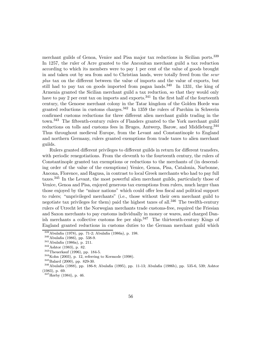merchant guilds of Genoa, Venice and Pisa major tax reductions in Sicilian ports.<sup>339</sup> In 1257, the ruler of Acre granted to the Anconitan merchant guild a tax reduction according to which its members were to pay 1 per cent of the value of goods brought in and taken out by sea from and to Christian lands, were totally freed from the seur plus tax on the diÆerent between the value of imports and the value of exports, but still had to pay tax on goods imported from pagan lands.<sup>340</sup> In 1331, the king of Armenia granted the Sicilian merchant guild a tax reduction, so that they would only have to pay 2 per cent tax on imports and exports.<sup>341</sup> In the first half of the fourteenth century, the Genoese merchant colony in the Tatar kingdom of the Golden Horde was granted reductions in customs charges.<sup>342</sup> In 1359 the rulers of Parchim in Schwerin confirmed customs reductions for three different alien merchant guilds trading in the town.<sup>343</sup> The fifteenth-century rulers of Flanders granted to the York merchant guild reductions on tolls and customs fees in Bruges, Antwerp, Barow, and Middleburg.<sup>344</sup> Thus throughout medieval Europe, from the Levant and Constantinople to England and northern Germany, rulers granted exemptions from trade taxes to alien merchant guilds.

Rulers granted different privileges to different guilds in return for different transfers, with periodic renegotiations. From the eleventh to the fourteenth century, the rulers of Constantinople granted tax exemptions or reductions to the merchants of (in descending order of the value of the exemptions) Venice, Genoa, Pisa, Catalonia, Narbonne, Ancona, Florence, and Ragusa, in contrast to local Greek merchants who had to pay full taxes.<sup>345</sup> In the Levant, the most powerful alien merchant guilds, particularly those of Venice, Genoa and Pisa, enjoyed generous tax exemptions from rulers, much larger than those enjoyed by the "minor nations" which could offer less fiscal and political support to rulers; "unprivileged merchants" (i.e., those without their own merchant guild to negotiate tax privileges for them) paid the highest taxes of all.<sup>346</sup> The twelfth-century rulers of Utrecht let the Norwegian merchants trade customs-free, required the Friesian and Saxon merchants to pay customs individually in money or wares, and charged Danish merchants a collective customs fee per ship.<sup>347</sup> The thirteenth-century Kings of England granted reductions in customs duties to the German merchant guild which

<sup>&</sup>lt;sup>339</sup> Abulafia (1978), pp. 71-2; Abulafia (1986a), p. 198.<br><sup>340</sup> Abulafia (1986), pp. 538-9.<br><sup>341</sup> Abulafia (1986a), p. 211.<br><sup>342</sup> Ashtor (1983), p. 82.<br><sup>343</sup> Theuerkauf (1996), pp. 184-5.<br><sup>343</sup> Theuerkauf (2003), p. 12, (1983), p. 69.

<sup>347</sup>Hørby (1984), p. 46.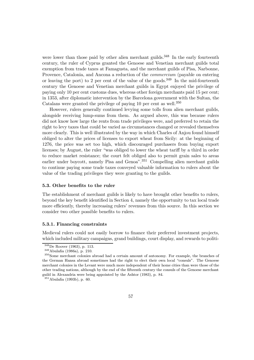were lower than those paid by other alien merchant guilds.<sup>348</sup> In the early fourteenth century, the ruler of Cyprus granted the Genoese and Venetian merchant guilds total exemption from trade taxes at Famagusta, and the merchant guilds of Pisa, Narbonne, Provence, Catalonia, and Ancona a reduction of the commercium (payable on entering or leaving the port) to 2 per cent of the value of the goods.<sup>349</sup> In the mid-fourteenth century the Genoese and Venetian merchant guilds in Egypt enjoyed the privilege of paying only 10 per cent customs dues, whereas other foreign merchants paid 15 per cent; in 1353, after diplomatic intervention by the Barcelona government with the Sultan, the Catalans were granted the privilege of paying 10 per cent as well.<sup>350</sup>

However, rulers generally continued levying some tolls from alien merchant guilds, alongside receiving lump-sums from them. As argued above, this was because rulers did not know how large the rents from trade privileges were, and preferred to retain the right to levy taxes that could be varied as circumstances changed or revealed themselves more clearly. This is well illustrated by the way in which Charles of Anjou found himself obliged to alter the prices of licenses to export wheat from Sicily: at the beginning of 1276, the price was set too high, which discouraged purchasers from buying export licenses; by August, the ruler "was obliged to lower the wheat tariff by a third in order to reduce market resistance; the court felt obliged also to permit grain sales to areas earlier under boycott, namely Pisa and Genoa".<sup>351</sup> Compelling alien merchant guilds to continue paying some trade taxes conveyed valuable information to rulers about the value of the trading privileges they were granting to the guilds.

### 5.3. Other benefits to the ruler

The establishment of merchant guilds is likely to have brought other benefits to rulers, beyond the key benefit identified in Section 4, namely the opportunity to tax local trade more efficiently, thereby increasing rulers' revenues from this source. In this section we consider two other possible benefits to rulers.

#### 5.3.1. Financing constraints

Medieval rulers could not easily borrow to finance their preferred investment projects, which included military campaigns, grand buildings, court display, and rewards to politi-

<sup>&</sup>lt;sup>348</sup>De Roover (1963), p. 113.<br><sup>349</sup>Abulafia (1986a), p. 210.<br><sup>350</sup>Some merchant colonies abroad had a certain amount of autonomy. For example, the branches of the German Hansa abroad sometimes had the right to elect their own local "consuls". The Genoese merchant colonies in the Levant were much more independent of their home cities than were those of the other trading nations, although by the end of the Øfteenth century the consuls of the Genoese merchant guild in Alexandria were being appointed by the Ashtor (1983), p. 84.

 $351$ Abulafia (1993b), p. 60.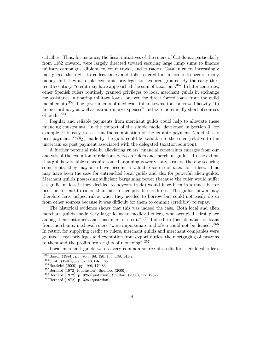cal allies. Thus, for instance, the fiscal initiatives of the rulers of Catalonia, particularly from 1162 onward, were largely directed toward securing large lump sums to finance military campaigns, diplomacy, court travel, and crusades. Catalan rulers increasingly mortgaged the right to collect taxes and tolls to creditors in order to secure ready money, but they also sold economic privileges to favoured groups. By the early thirteenth century, "credit may have approached the sum of taxation".  $352$  In later centuries, other Spanish rulers routinely granted privileges to local merchant guilds in exchange for assistance in floating military loans, or even for direct forced loans from the guild membership.<sup>353</sup> The governments of medieval Italian towns, too, borrowed heavily "to finance ordinary as well as extraordinary expenses" and were perennially short of sources of credit.<sup>354</sup>

Regular and reliable payments from merchant guilds could help to alleviate these financing constraints. In the context of the simple model developed in Section 3, for example, it is easy to see that the combination of the  $ex$  ante payment  $L$  and the  $ex$ post payment  $T^*(\theta_L)$  made by the guild could be valuable to the ruler (relative to the uncertain ex post payment associated with the delegated taxation solution).

A further potential role in alleviating rulers' financial constraints emerges from our analysis of the evolution of relations between rulers and merchant guilds. To the extent that guilds were able to acquire some bargaining power vis- $\lambda$ -vis rulers, thereby securing some rents, they may also have become a valuable source of *loans* for rulers. This may have been the case for entrenched local guilds and also for powerful alien guilds. Merchant guilds possessing sufficient bargaining power (because the ruler would suffer a significant loss if they decided to boycott trade) would have been in a much better position to lend to rulers than most other possible creditors. The guilds' power may therefore have helped rulers when they needed to borrow but could not easily do so from other sources because it was difficult for them to commit (credibly) to repay.

The historical evidence shows that this was indeed the case. Both local and alien merchant guilds made very large loans to medieval rulers, who occupied "first place among their customers and consumers of credit".<sup>355</sup> Indeed, in their demand for loans from merchants, medieval rulers "were importunate and often could not be denied".<sup>356</sup> In return for supplying credit to rulers, merchant guilds and merchant companies were granted \legal privileges and exemption from export duties, the mortgaging of customs to them and the profits from rights of moneying".  $357$ 

Local merchant guilds were a very common source of credit for their local rulers.

<sup>&</sup>lt;sup>352</sup>Bisson (1984), pp. 80-3, 88, 120, 130, 138, 141-2.<br><sup>353</sup>Smith (1940), pp. 37, 48, 64-5, 85.<br><sup>354</sup>Botticini (2000), pp. 166, 179-83.<br><sup>355</sup>Bernard (1972) (quotation); Spufford (2000).<br><sup>356</sup>Bernard (1972), p. 326 (quota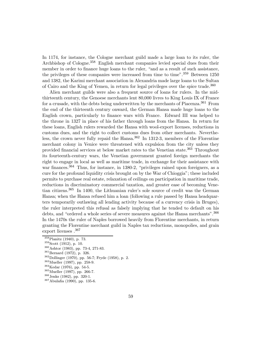In 1174, for instance, the Cologne merchant guild made a large loan to its ruler, the Archbishop of Cologne.<sup>358</sup> English merchant companies levied special dues from their member in order to finance huge loans to the ruler, "and as a result of such assistance, the privileges of these companies were increased from time to time".<sup>359</sup> Between 1250 and 1382, the Karimi merchant association in Alexandria made large loans to the Sultan of Cairo and the King of Yemen, in return for legal privileges over the spice trade.<sup>360</sup>

Alien merchant guilds were also a frequent source of loans for rulers. In the midthirteenth century, the Genoese merchants lent 80,000 livres to King Louis IX of France for a crusade, with the debts being underwritten by the merchants of Piacenza.<sup>361</sup> From the end of the thirteenth century onward, the German Hansa made huge loans to the English crown, particularly to finance wars with France. Edward III was helped to the throne in 1327 in place of his father through loans from the Hansa. In return for these loans, English rulers rewarded the Hansa with wool-export licenses, reductions in customs dues, and the right to collect customs dues from other merchants. Nevertheless, the crown never fully repaid the Hansa.<sup>362</sup> In 1312-3, members of the Florentine merchant colony in Venice were threatened with expulsion from the city unless they provided financial services at below market rates to the Venetian state.<sup>363</sup> Throughout its fourteenth-century wars, the Venetian government granted foreign merchants the right to engage in local as well as maritime trade, in exchange for their assistance with war finances.<sup>364</sup> Thus, for instance, in 1380-2, "privileges rained upon foreigners, as a cure for the profound liquidity crisis brought on by the War of Chioggia"; these included permits to purchase real estate, relaxation of ceilings on participation in maritime trade, reductions in discriminatory commercial taxation, and greater ease of becoming Venetian citizens.<sup>365</sup> In 1400, the Lithuanian ruler's sole source of credit was the German Hansa; when the Hansa refused him a loan (following a rule passed by Hansa headquarters temporarily outlawing all lending activity because of a currency crisis in Bruges), the ruler interpreted this refusal as falsely implying that he tended to default on his debts, and "ordered a whole series of severe measures against the Hansa merchants".<sup>366</sup> In the 1470s the ruler of Naples borrowed heavily from Florentine merchants, in return granting the Florentine merchant guild in Naples tax reductions, monopolies, and grain export licenses .<sup>367</sup>

<sup>&</sup>lt;sup>358</sup>Planitz (1940), p. 73.<br>
<sup>359</sup>Scott (1912), p. 10.<br>
<sup>360</sup>Ashtor (1983), pp. 73-4, 271-83.<br>
<sup>361</sup>Bernard (1972), p. 326.<br>
<sup>362</sup>Dollinger (1970), pp. 56-7; Fryde (1958), p. 2.<br>
<sup>363</sup>Mueller (1997), pp. 258-9.<br>
<sup>364</sup>Keda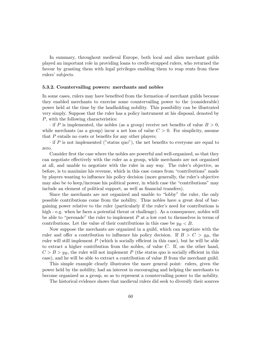In summary, throughout medieval Europe, both local and alien merchant guilds played an important role in providing loans to credit-strapped rulers, who returned the favour by granting them with legal privileges enabling them to reap rents from these rulers' subjects.

### 5.3.2. Countervailing powers: merchants and nobles

In some cases, rulers may have benefited from the formation of merchant guilds because they enabled merchants to exercise some countervailing power to the (considerable) power held at the time by the landholding nobility. This possibility can be illustrated very simply. Suppose that the ruler has a policy instrument at his disposal, denoted by P, with the following characteristics:

 $\cdot$  if P is implemented, the nobles (as a group) receive net benefits of value  $B > 0$ , while merchants (as a group) incur a net loss of value  $C > 0$ . For simplicity, assume that  $P$  entails no costs or benefits for any other players;

 $\cdot$  if P is not implemented ("status quo"), the net benefits to everyone are equal to zero.

Consider first the case where the nobles are powerful and well-organized, so that they can negotiate effectively with the ruler as a group, while merchants are not organized at all, and unable to negotiate with the ruler in any way. The ruler's objective, as before, is to maximize his revenue, which in this case comes from \contributions" made by players wanting to influence his policy decision (more generally, the ruler's objective may also be to keep/increase his political power, in which case the \contributions" may include an element of political support, as well as financial transfers).

Since the merchants are not organized and unable to "lobby" the ruler, the only possible contributions come from the nobility. Thus nobles have a great deal of bargaining power relative to the ruler (particularly if the ruler's need for contributions is high - e.g. when he faces a potential threat or challenge). As a consequence, nobles will be able to "persuade" the ruler to implement  $P$  at a low cost to themselves in terms of contributions. Let the value of their contributions in this case be  $y_B < B$ .

Now suppose the merchants are organized in a guild, which can negotiate with the ruler and offer a contribution to influence his policy decision. If  $B > C > y_B$ , the ruler will still implement  $P$  (which is socially efficient in this case), but he will be able to extract a higher contribution from the nobles, of value C. If, on the other hand,  $C > B > y_B$ , the ruler will not implement P (the status quo is socially efficient in this case), and he will be able to extract a contribution of value B from the merchant guild.

This simple example clearly illustrates the more general point: rulers, given the power held by the nobility, had an interest in encouraging and helping the merchants to become organized as a group, so as to represent a countervailing power to the nobility.

The historical evidence shows that medieval rulers did seek to diversify their sources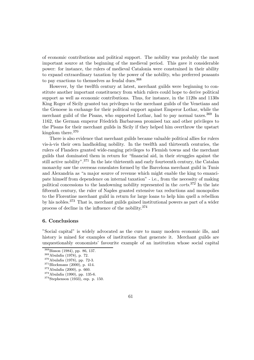of economic contributions and political support. The nobility was probably the most important source at the beginning of the medieval period. This gave it considerable power: for instance, the rulers of medieval Catalonia were constrained in their ability to expand extraordinary taxation by the power of the nobility, who preferred peasants to pay exactions to themselves as feudal dues.<sup>368</sup>

However, by the twelfth century at latest, merchant guilds were beginning to constitute another important constituency from which rulers could hope to derive political support as well as economic contributions. Thus, for instance, in the 1120s and 1130s King Roger of Sicily granted tax privileges to the merchant guilds of the Venetians and the Genoese in exchange for their political support against Emperor Lothar, while the merchant guild of the Pisans, who supported Lothar, had to pay normal taxes.<sup>369</sup> In 1162, the German emperor Friedrich Barbarossa promised tax and other privileges to the Pisans for their merchant guilds in Sicily if they helped him overthrow the upstart kingdom there.<sup>370</sup>

There is also evidence that merchant guilds became valuable political allies for rulers vis-à-vis their own landholding nobility. In the twelfth and thirteenth centuries, the rulers of Flanders granted wide-ranging privileges to Flemish towns and the merchant guilds that dominated them in return for \Ønancial aid, in their struggles against the still active nobility".<sup>371</sup> In the late thirteenth and early fourteenth century, the Catalan monarchy saw the overseas consulates formed by the Barcelona merchant guild in Tunis and Alexandria as "a major source of revenue which might enable the king to emancipate himself from dependence on internal taxation" - i.e., from the necessity of making political concessions to the landowning nobility represented in the *corts*.<sup>372</sup> In the late fifteenth century, the ruler of Naples granted extensive tax reductions and monopolies to the Florentine merchant guild in return for large loans to help him quell a rebellion by his nobles.<sup>373</sup> That is, merchant guilds gained institutional powers as part of a wider process of decline in the influence of the nobility.<sup>374</sup>

## 6. Conclusions

"Social capital" is widely advocated as the cure to many modern economic ills, and history is mined for examples of institutions that generate it. Merchant guilds are unquestionably economists' favourite example of an institution whose social capital

<sup>&</sup>lt;sup>368</sup>Bisson (1984), pp. 86, 137.<br><sup>369</sup>Abulafia (1978), p. 72.<br><sup>370</sup>Abulafia (1978), pp. 72-3.<br><sup>371</sup>Blockmans (2000), p. 414.<br><sup>372</sup>Abulafia (2000), p. 660.<br><sup>373</sup>Abulafia (1990), pp. 135-6.<br><sup>374</sup>Stephenson (1933), esp. p. 1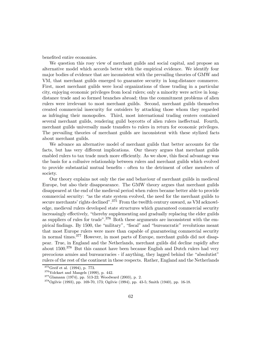benefited entire economies.

We question this rosy view of merchant guilds and social capital, and propose an alternative model which accords better with the empirical evidence. We identify four major bodies of evidence that are inconsistent with the prevailing theories of GMW and VM, that merchant guilds emerged to guarantee security in long-distance commerce. First, most merchant guilds were local organizations of those trading in a particular city, enjoying economic privileges from local rulers; only a minority were active in longdistance trade and so formed branches abroad; thus the commitment problems of alien rulers were irrelevant to most merchant guilds. Second, merchant guilds themselves created commercial insecurity for outsiders by attacking those whom they regarded as infringing their monopolies. Third, most international trading centers contained several merchant guilds, rendering guild boycotts of alien rulers ineffectual. Fourth, merchant guilds universally made transfers to rulers in return for economic privileges. The prevailing theories of merchant guilds are inconsistent with these stylized facts about merchant guilds.

We advance an alternative model of merchant guilds that better accounts for the facts, but has very different implications. Our theory argues that merchant guilds enabled rulers to tax trade much more efficiently. As we show, this fiscal advantage was the basis for a collusive relationship between rulers and merchant guilds which evolved to provide substantial mutual benefits - often to the detriment of other members of society.

Our theory explains not only the rise and behaviour of merchant guilds in medieval Europe, but also their disappearance. The GMW theory argues that merchant guilds disappeared at the end of the medieval period when rulers became better able to provide commercial security: "as the state system evolved, the need for the merchant guilds to secure merchants' rights declined".<sup>375</sup> From the twelfth century onward, as VM acknowledge, medieval rulers developed state structures which guaranteed commercial security increasingly effectively, "thereby supplementing and gradually replacing the elder guilds as suppliers of rules for trade".<sup>376</sup> Both these arguments are inconsistent with the empirical findings. By 1500, the "military", "fiscal" and "bureaucratic" revolutions meant that most Europe rulers were more than capable of guaranteeing commercial security in normal times.<sup>377</sup> However, in most parts of Europe, merchant guilds did not disappear. True, in England and the Netherlands, merchant guilds did decline rapidly after about 1500.<sup>378</sup> But this cannot have been because English and Dutch rulers had very precocious armies and bureaucracies - if anything, they lagged behind the "absolutist" rulers of the rest of the continent in these respects. Rather, England and the Netherlands

<sup>&</sup>lt;sup>375</sup>Greif et al. (1994), p. 773.<br><sup>376</sup>Volckart and Mangels (1999), p. 442.<br><sup>377</sup>Glamann (1974), pp. 513-22; Woodward (2003), p. 2.<br><sup>378</sup>Ogilvie (1993), pp. 169-70, 173; Ogilvie (1994), pp. 43-5; Smith (1940), pp. 16-18.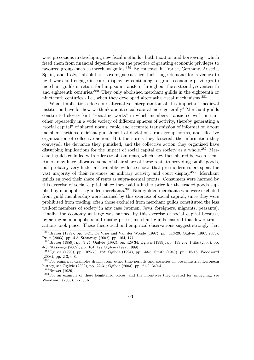were precocious in developing new fiscal methods - both taxation and borrowing - which freed them from financial dependence on the practice of granting economic privileges to favoured groups such as merchant guilds.<sup>379</sup> By contrast, in France, Germany, Austria, Spain, and Italy, "absolutist" sovereigns satisfied their huge demand for revenues to fight wars and engage in court display by continuing to grant economic privileges to merchant guilds in return for lump-sum transfers throughout the sixteenth, seventeenth and eighteenth centuries.<sup>380</sup> They only abolished merchant guilds in the eighteenth or nineteenth centuries - i.e., when they developed alternative fiscal mechanisms. $^{381}$ 

What implications does our alternative interpretation of this important medieval institution have for how we think about social capital more generally? Merchant guilds constituted closely knit "social networks" in which members transacted with one another repeatedly in a wide variety of diÆerent spheres of activity, thereby generating a "social capital" of shared norms, rapid and accurate transmission of information about members' actions, efficient punishment of deviations from group norms, and effective organization of collective action. But the norms they fostered, the information they conveyed, the deviance they punished, and the collective action they organized have disturbing implications for the impact of social capital on society as a whole.<sup>382</sup> Merchant guilds colluded with rulers to obtain rents, which they then shared between them. Rulers may have allocated some of their share of these rents to providing public goods, but probably very little: all available evidence shows that pre-modern rulers spent the vast majority of their revenues on military activity and court display.<sup>383</sup> Merchant guilds enjoyed their share of rents as supra-normal profits. Consumers were harmed by this exercise of social capital, since they paid a higher price for the traded goods supplied by monopolistic guilded merchants.<sup>384</sup> Non-guilded merchants who were excluded from guild membership were harmed by this exercise of social capital, since they were prohibited from trading; often those excluded from merchant guilds constituted the less well-off members of society in any case (women, Jews, foreigners, migrants, peasants). Finally, the economy at large was harmed by this exercise of social capital because, by acting as monopolists and raising prices, merchant guilds ensured that fewer transactions took place. These theoretical and empirical observations suggest strongly that

<sup>&</sup>lt;sup>379</sup>Brewer (1989), pp. 3-24; De Vries and Van der Woude (1997), pp. 113-29; Ogilvie (1997, 2003); Priks (2003), pp. 4-5; Stasavage (2002), pp. 164, 177.

<sup>380</sup>Brewer (1989), pp. 3-24; Ogilvie (1992), pp. 429-34; Ogilvie (1999), pp. 199-202; Priks (2003), pp. 4-5; Stasavage (2002), pp. 164, 177.Ogilvie (1992, 1999).

<sup>381</sup>Ogilvie (1993), pp. 169-70, 173; Ogilvie (1994), pp. 43-5; Smith (1940), pp. 16-18; Woodward (2003), pp. 2-3, 6-8.

<sup>&</sup>lt;sup>382</sup>For empirical examples drawn from other time-periods and societies in pre-industrial European history, see Ogilvie (2002), pp. 22-31; Ogilvie (2003), pp. 21-2, 340-4.

 $384$ For an example of these heightened prices, and the incentives they created for smuggling, see Woodward (2003), pp. 3, 5.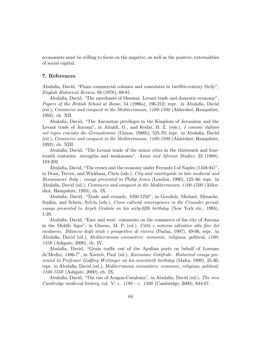economists must be willing to focus on the negative, as well as the positive, externalities of social capital.

## 7. References

Abulafia, David, "Pisan commercial colonies and consulates in twelfth-century Sicily", English Historical Review, 93 (1978), 68-81.

Abulafia, David, "The merchants of Messina: Levant trade and domestic economy", Papers of the British School at Rome, 54 (1986a), 196-212; repr. in Abulafia, David (ed.), Commerce and conquest in the Mediterranean, 1100-1500 (Aldershot, Hampshire, 1993), ch. XII.

Abulafia, David, "The Anconitan privileges in the Kingdom of Jerusalem and the Levant trade of Ancona", in Airaldi, G., and Kedar, B. Z. (eds.), I comuni italiani nel regno crociato die Gerusalemme (Genoa, 1986b), 525-70; repr. in Abulafia, David (ed.), Commerce and conquest in the Mediterranean, 1100-1500 (Aldershot, Hampshire, 1993), ch. XIII.

Abulafia, David, "The Levant trade of the minor cities in the thirteenth and fourteenth centuries: strengths and weaknesses", Asian and African Studies, 22 (1988), 183-202.

Abulafia, David, "The crown and the economy under Ferrante I of Naples  $(1458-94)$ ". in Dean, Trevor, and Wickham, Chris (eds.), City and countryside in late medieval and Renaissance Italy : essays presented to Philip Jones (London, 1990), 125-46; repr. in Abulafia, David (ed.), *Commerce and conquest in the Mediterranean*, 1100-1500 (Aldershot, Hampshire, 1993), ch. IX.

Abulafia, David, "Trade and crusade, 1050-1250", in Goodich, Michael, Menache, Sophia, and Schein, Sylvia (eds.), Cross cultural convergences in the Crusader period: essays presented to Aryeh Grabois on his sixty-fifth birthday (New York etc., 1995), 1-20.

Abulafia, David, "East and west: comments on the commerce of the city of Ancona in the Middle Ages", in Ghezzo, M. P. (ed.), Città e sistema adriatico alla fine del medioevo. Bilancio degli studi e prospettive di ricerca (Padua, 1997), 49-66, repr. in AbulaØa, David (ed.), Mediterranean encounters: economic, religious, political, 1100- 1550 (Ashgate, 2000), ch. IV.

Abulafia, David, "Grain traffic out of the Apulian ports on behalf of Lorenzo de'Medici, 1486-7", in Xuereb, Paul (ed.), Karissime Gotifride. Historical essays presented to Professor Godfrey Wettinger on his seventieth birthday (Malta, 1999), 25-36; repr. in Abulafia, David (ed.), *Mediterranean encounters: economic, religious, political*, 1100-1550 (Ashgate, 2000), ch. IX.

Abulafia, David, "The rise of Aragon-Catalonia", in Abulafia, David (ed.), The new Cambridge medieval history, vol. V: c. 1198 - c. 1300 (Cambridge, 2000), 644-67.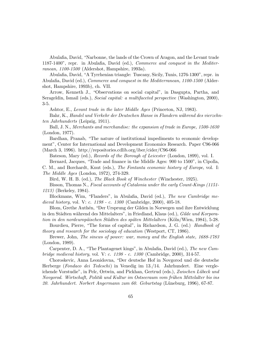Abulafia, David, "Narbonne, the lands of the Crown of Aragon, and the Levant trade  $1187-1400$ ", repr. in Abulafia, David (ed.), *Commerce and conquest in the Mediter*ranean, 1100-1500 (Aldershot, Hampshire, 1993a).

Abulafia, David, "A Tyrrhenian triangle: Tuscany, Sicily, Tunis, 1276-1300", repr. in Abulafia, David (ed.), *Commerce and conquest in the Mediterranean*, 1100-1500 (Aldershot, Hampshire, 1993b), ch. VII.

Arrow, Kenneth J., "Observations on social capital", in Dasgupta, Partha, and Serageldin, Ismail (eds.), Social capital: a multifaceted perspective (Washington, 2000), 3-5.

Ashtor, E., Levant trade in the later Middle Ages (Princeton, NJ, 1983).

Bahr, K., Handel und Verkehr der Deutschen Hanse in Flandern während des vierzehnten Jahrhunderts (Leipzig, 1911).

Ball, J. N., Merchants and merchandise: the expansion of trade in Europe, 1500-1630 (London, 1977).

Bardhan, Pranab, "The nature of institutional impediments to economic development", Center for International and Development Economics Research. Paper C96-066 (March 3, 1996). http://repositories.cdlib.org/iber/cider/C96-066

Bateson, Mary (ed.), Records of the Borough of Leicester (London, 1899), vol. I. Bernard, Jacques, "Trade and finance in the Middle Ages: 900 to 1500", in Cipolla,

C. M., and Borchardt, Knut (eds.), The Fontanta economic history of Europe, vol. I: The Middle Ages (London, 1972), 274-329.

Bird, W. H. B. (ed.), The Black Book of Winchester (Winchester, 1925).

Bisson, Thomas N., Fiscal accounts of Catalonia under the early Count-Kings (1151- 1213) (Berkeley, 1984).

Blockmans, Wim, "Flanders", in Abulafia, David (ed.), The new Cambridge medieval history, vol. V: c. 1198 - c. 1300 (Cambridge, 2000), 405-18.

Blom, Grethe Authén, "Der Ursprung der Gilden in Norwegen und ihre Entwicklung in den Städten während des Mittelalters", in Friedland, Klaus (ed.), Gilde und Korporation in den nordeuropäischen Städten des späten Mittelalters (Köln/Wien, 1984), 5-28.

Bourdieu, Pierre, "The forms of capital", in Richardson, J. G. (ed.) Handbook of theory and research for the sociology of education (Westport, CT, 1986).

Brewer, John, The sinews of power: war, money and the English state, 1688-1783 (London, 1989).

Carpenter, D. A., "The Plantagenet kings", in Abulafia, David (ed.), The new Cambridge medieval history, vol. V: c. 1198 - c. 1300 (Cambridge, 2000), 314-57.

Choroskevic, Anna Leonidovna, \Der deutsche Hof in Novgorod und die deutsche Herberge (Fondaco dei Tedeschi) in Venedig im 13./14. Jahrhundert. Eine vergleichende Vorstudie", in Pelc, Ortwin, and Pickhan, Gertrud (eds.), Zwischen Lübeck und Novgorod. Wirtschaft, Politik und Kultur im Ostseeraum vom frühen Mittelalter bis ins 20. Jahrhundert. Norbert Angermann zum 60. Geburtstag (Lƒuneburg, 1996), 67-87.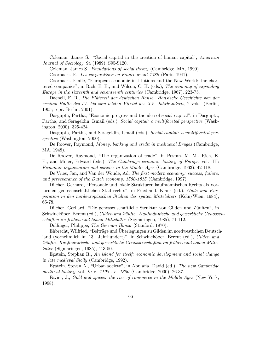Coleman, James S., "Social capital in the creation of human capital",  $American$ Journal of Sociology, 94 (1989), S95-S120.

Coleman, James S., Foundations of social theory (Cambridge, MA, 1990).

Coornaert, E., Les corporations en France avant 1789 (Paris, 1941).

Coornaert, Emile, "European economic institutions and the New World: the chartered companies", in Rich, E. E., and Wilson, C. H. (eds.), The economy of expanding Europe in the sixteenth and seventeenth centuries (Cambridge, 1967), 223-75.

Daenell, E. R., Die Blütezeit der deutschen Hanse. Hansische Geschichte von der zweiten Hälfte des IV. bis zum letzten Viertel des XV. Jahrhunderts, 2 vols. (Berlin, 1905; repr. Berlin, 2001).

Dasgupta, Partha, "Economic progress and the idea of social capital", in Dasgupta, Partha, and Serageldin, Ismail (eds.), *Social capital: a multifaceted perspective* (Washington, 2000), 325-424.

Dasgupta, Partha, and Serageldin, Ismail (eds.), Social capital: a multifaceted perspective (Washington, 2000).

De Roover, Raymond, Money, banking and credit in mediaeval Bruges (Cambridge, MA, 1948).

De Roover, Raymond, \The organization of trade", in Postan, M. M., Rich, E. E., and Miller, Edward (eds.), The Cambridge economic history of Europe, vol. III: Economic organization and policies in the Middle Ages (Cambridge, 1963), 42-118.

De Vries, Jan, and Van der Woude, Ad, The first modern economy: success, failure, and perseverance of the Dutch economy, 1500-1815 (Cambridge, 1997).

Dilcher, Gerhard, \Personale und lokale Strukturen kaufmƒannischen Rechts als Vorformen genossenschaftlichen Stadtrechts", in Friedland, Klaus (ed.), Gilde und Korporation in den nordeuropäischen Städten des späten Mittelalters (Köln/Wien, 1984), 65-78.

Dilcher, Gerhard, "Die genossenschaftliche Struktur von Gilden und Zünften", in Schwineköper, Berent (ed.), Gilden und Zünfte. Kaufmännische und gewerbliche Genossenschaften im frühen und hohen Mittelalter (Sigmaringen, 1985), 71-112.

Dollinger, Philippe, The German Hansa (Stanford, 1970).

Ehbrecht, Wilfried, "Beiträge und Uberlegungen zu Gilden im nordwestlichen Deutschland (vornehmlich im 13. Jahrhundert)", in Schwineköper, Berent (ed.), Gilden und Zünfte. Kaufmännische und gewerbliche Genossenschaften im frühen und hohen Mittelalter (Sigmaringen, 1985), 413-50.

Epstein, Stephan R., An island for itself: economic development and social change in late medieval Sicily (Cambridge, 1992).

Epstein, Steven A., "Urban society", in Abulafia, David (ed.), The new Cambridge medieval history, vol. V: c. 1198 - c. 1300 (Cambridge, 2000), 26-37.

Favier, J., Gold and spices: the rise of commerce in the Middle Ages (New York, 1998).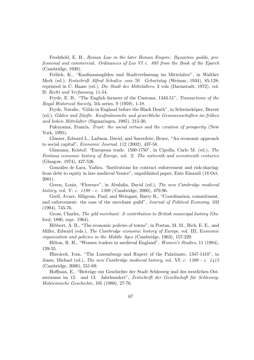Freshfield, E. H., Roman Law in the later Roman Empire: Byzantine guilds, professional and commercial. Ordinances of Leo VI c. 895 from the Book of the Eparch (Cambridge, 1938).

Frölich, K., "Kaufmannsgilden und Stadtverfassung im Mittelalter", in Walther Merk (ed.), Festschrift Alfred Schultze zum 70. Geburtstag (Weimar, 1934), 85-128; reprinted in C. Haase (ed.), Die Stadt des Mittelalters, 3 vols (Darmstadt, 1972), vol. II: Recht und Verfassung, 11-54.

Fryde, E. B., "The English farmers of the Customs, 1343-51", Transactions of the Royal Historical Society, 5th series, 9 (1959), 1-18.

Fryde, Natalie, "Gilds in England before the Black Death", in Schwineköper, Berent (ed.), Gilden und Zünfte. Kaufmännische und gewerbliche Genossenschaften im frühen und hohen Mittelalter (Sigmaringen, 1985), 215-30.

Fukuyama, Francis, Trust: the social virtues and the creation of prosperity (New York, 1995).

Glaeser, Edward L., Laibson, David, and Sacerdote, Bruce, "An economic approach to social capital", Economic Journal, 112 (2002), 437-58.

Glamann, Kristof, "European trade, 1500-1750", in Cipolla, Carlo M. (ed.), The Fontana economic history of Europe, vol. 2: The sixteenth and seventeenth centuries (Glasgow, 1974), 427-526.

González de Lara, Yadira, "Institutions for contract enforcement and risk-sharing: from debt to equity in late medieval Venice", unpublished paper, Ente Einaudi (18 Oct. 2001).

Green, Louis, "Florence", in Abulafia, David (ed.), The new Cambridge medieval history, vol. V: c. 1198 - c. 1300 (Cambridge, 2000), 479-96.

Greif, Avner, Milgrom, Paul, and Weingast, Barry R., "Coordination, commitment, and enforcement: the case of the merchant guild", *Journal of Political Economy*, 102 (1994), 745-76.

Gross, Charles, The gild merchant: A contribution to British municipal history (Oxford, 1890, repr. 1964).

Hibbert, A. B., "The economic policies of towns", in Postan, M. M., Rich, E. E., and Miller, Edward (eds.), The Cambridge economic history of Europe, vol. III, Economic organization and policies in the Middle Ages (Cambridge, 1963), 157-229.

Hilton, R. H., \Women traders in medieval England", Women's Studies, 11 (1984), 139-55.

Hlavácek, Ivan, "The Luxemburgs and Rupert of the Palatinate, 1347-1410", in Jones, Michael (ed.), The new Cambridge medieval history, vol. VI: c. 1300 - c. 1415 (Cambridge, 2000), 551-69.

Hoffman, E., "Beiträge zur Geschichte der Stadt Schleswig und des westlichen Ostseeraums im 12. und 13. Jahrhundert", Zeitschrift der Gesellschaft für Schleswig-Holsteinische Geschichte, 105 (1980), 27-76.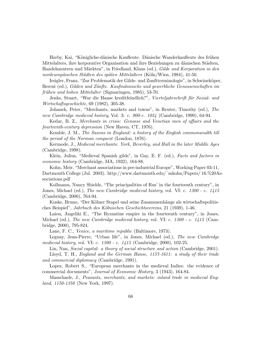Hørby, Kai, "Königliche-dänische Kaufleute. Dänische Wanderkaufleute des frühen Mittelalters, ihre korporative Organisation und ihre Beziehungen zu dänischen Städten, Handelszentren und Märkten", in Friedland, Klaus (ed.), Gilde und Korporation in den nordeuropäischen Städten des späten Mittelalters (Köln/Wien, 1984), 41-50.

Irsigler, Franz, "Zur Problematik der Gilde- und Zunftterminologie", in Schwineköper, Berent (ed.), Gilden und Zünfte. Kaufmännische und gewerbliche Genossenschaften im frƒuhen und hohen Mittelalter (Sigmaringen, 1985), 53-70.

Jenks, Stuart, "War die Hanse kreditfeindlich?", Vierteljahrschrift für Sozial- und Wirtschaftsgeschichte, 69 (1982), 305-38.

Johanek, Peter, "Merchants, markets and towns", in Reuter, Timothy (ed.), The new Cambridge medieval history, Vol. 3: c. 900-c. 1024 (Cambridge, 1999), 64-94.

Kedar, B. Z., Merchants in crisis: Genoese and Venetian men of affairs and the fourteenth-century depression (New Haven, CT, 1976).

Kemble, J. M., The Saxons in England: a history of the English commonwealth till the period of the Norman conquest (London, 1876).

Kermode, J., Medieval merchants: York, Beverley, and Hull in the later Middle Ages (Cambridge, 1998).

Klein, Julius, "Medieval Spanish gilds", in Gay, E. F. (ed.), Facts and factors in economic history (Cambridge, MA, 1932), 164-88.

Kohn, Meir, "Merchant associations in pre-industrial Europe", Working Paper 03-11, Dartmouth College (Jul. 2003). http://www.dartmouth.edu/~mkohn/Papers/ 16.%20Associations.pdf

Kollmann, Nancy Shields, "The principalities of Rus' in the fourteenth century", in Jones, Michael (ed.), The new Cambridge medieval history, vol. VI: c. 1300 - c. 1415 (Cambridge, 2000), 764-94.

Kuske, Bruno, "Der Kölner Stapel und seine Zusammenhänge als wirtschaftspolitisches Beispiel", Jahrbuch des Kölnischen Geschichtsvereins, 21 (1939), 1-46.

Laiou, Angeliki E., "The Byzantine empire in the fourteenth century", in Jones, Michael (ed.), The new Cambridge medieval history, vol. VI: c. 1300 - c. 1415 (Cambridge, 2000), 795-824.

Lane, F. C., Venice, a maritime republic (Baltimore, 1973).

Leguay, Jean-Pierre, "Urban life", in Jones, Michael (ed.), The new Cambridge medieval history, vol. VI: c. 1300 - c. 1415 (Cambridge, 2000), 102-25.

Lin, Nan, Social capital: a theory of social structure and action (Cambridge, 2001).

Lloyd, T. H., England and the German Hanse, 1157-1611: a study of their trade and commercial diplomacy (Cambridge, 1991).

Lopez, Robert S., "European merchants in the medieval Indies: the evidence of commercial documents", Journal of Economic History, 3 (1943), 164-84.

Masschaele, J., Peasants, merchants, and markets: inland trade in medieval England, 1150-1350 (New York, 1997).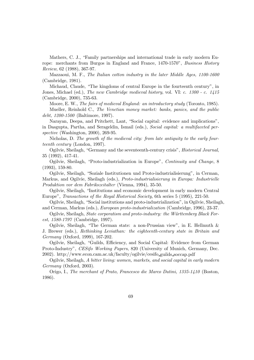Mathers, C. J., "Family partnerships and international trade in early modern Europe: merchants from Burgos in England and France, 1470-1570", Business History Review, 62 (1988), 367-97.

Mazzaoui, M. F., The Italian cotton industry in the later Middle Ages, 1100-1600 (Cambridge, 1981).

Michaud, Claude, "The kingdoms of central Europe in the fourteenth century", in Jones, Michael (ed.), The new Cambridge medieval history, vol. VI: c. 1300 - c. 1415 (Cambridge, 2000), 735-63.

Moore, E. W., The fairs of medieval England: an introductory study (Toronto, 1985). Mueller, Reinhold C., The Venetian money market: banks, panics, and the public debt, 1200-1500 (Baltimore, 1997).

Narayan, Deepa, and Pritchett, Lant, "Social capital: evidence and implications", in Dasgupta, Partha, and Serageldin, Ismail (eds.), Social capital: a multifaceted perspective (Washington, 2000), 269-95.

Nicholas, D. The growth of the medieval city: from late antiquity to the early fourteenth century (London, 1997).

Ogilvie, Sheilagh, "Germany and the seventeenth-century crisis", *Historical Journal*, 35 (1992), 417-41.

Ogilvie, Sheilagh, "Proto-industrialization in Europe", *Continuity and Change*, 8 (1993), 159-80.

Ogilvie, Sheilagh, "Soziale Institutionen und Proto-industrialisierung", in Cerman, Markus, and Ogilvie, Sheilagh (eds.), Proto-industrialisierung in Europa: Industrielle Produktion vor dem Fabrikszeitalter (Vienna, 1994), 35-50.

Ogilvie, Sheilagh, \Institutions and economic development in early modern Central Europe", Transactions of the Royal Historical Society, 6th series 5 (1995), 221-50.

Ogilvie, Sheilagh, "Social institutions and proto-industrialization", in Ogilvie, Sheilagh, and Cerman, Markus (eds.), European proto-industrialization (Cambridge, 1996), 23-37.

Ogilvie, Sheilagh, State corporatism and proto-industry: the Württemberg Black Forest, 1580-1797 (Cambridge, 1997).

Ogilvie, Sheilagh, "The German state: a non-Prussian view", in E. Hellmuth  $\&$ J. Brewer (eds.), Rethinking Leviathan: the eighteenth-century state in Britain and Germany (Oxford, 1999), 167-202.

Ogilvie, Sheilagh, "Guilds, Efficiency, and Social Capital: Evidence from German Proto-Industry", CESifo Working Papers, 820 (University of Munich, Germany, Dec. 2002). http://www.econ.cam.ac.uk/faculty/ogilvie/cesifo guilds soccap.pdf

Ogilvie, Sheilagh, A bitter living: women, markets, and social capital in early modern Germany (Oxford, 2003).

Origo, I., The merchant of Prato, Francesco die Marco Datini, 1335-1410 (Boston, 1986).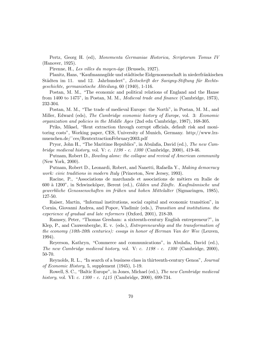Pertz, Georg H. (ed), Monvmenta Germaniae Historica, Scriptorum Tomus IV (Hanover, 1925).

Pirenne, H., Les villes du moyen-âge (Brussels, 1927).

Planitz, Hans, "Kaufmannsgilde und städtische Eidgenossenschaft in niederfränkischen Städten im 11. und 12. Jahrhundert", Zeitschrift der Savigny-Stiftung für Rechtsgeschichte, germanistische Abteilung, 60 (1940), 1-116.

Postan, M. M., "The economic and political relations of England and the Hanse from 1400 to 1475", in Postan, M. M., Medieval trade and finance (Cambridge, 1973), 232-304.

Postan, M. M., "The trade of medieval Europe: the North", in Postan, M. M., and Miller, Edward (eds), The Cambridge economic history of Europe, vol. 3: Economic organization and policies in the Middle Ages (2nd edn Cambridge, 1987), 168-305.

Priks, Mikael, "Rent extraction through corrupt officials, default risk and monitoring costs", Working paper, CES, University of Munich, Germany. http://www.lrzmuenchen.de/~ces/RentextractionFebruary2003.pdf

Pryor, John H., "The Maritime Republics", in Abulafia, David (ed.), The new Cambridge medieval history, vol. V: c. 1198 - c. 1300 (Cambridge, 2000), 419-46.

Putnam, Robert D., Bowling alone: the collapse and revival of American community (New York, 2000).

Putnam, Robert D., Leonardi, Robert, and Nanetti, Rafaella Y., Making democracy work: civic traditions in modern Italy (Princeton, New Jersey, 1993).

Racine, P., "Associations de marchands et associations de métiers en Italie de 600 à 1200", in Schwineköper, Berent (ed.), Gilden und Zünfte. Kaufmännische und gewerbliche Genossenschaften im frühen und hohen Mittelalter (Sigmaringen, 1985), 127-50.

Raiser, Martin, "Informal institutions, social capital and economic transition", in Cornia, Giovanni Andrea, and Popov, Vladimir (eds.), Transition and institutions. the experience of gradual and late reformers (Oxford, 2001), 218-39.

Ramsey, Peter, \Thomas Gresham: a sixteenth-century English entrepreneur?", in Klep, P., and Cauwenberghe, E. v. (eds.), Entrepreneurship and the transformation of the economy (10th-20th centuries): essays in honor of Herman Van der Wee (Leuven, 1994).

Reyerson, Kathryn, "Commerce and communications", in Abulafia, David (ed.), The new Cambridge medieval history, vol. V: c. 1198 - c. 1300 (Cambridge, 2000), 50-70.

Reynolds, R. L., "In search of a business class in thirteenth-century Genoa", Journal of Economic History, 5, supplement (1945), 1-19.

Rowell, S. C., "Baltic Europe", in Jones, Michael (ed.), The new Cambridge medieval history, vol. VI: c. 1300 - c. 1415 (Cambridge, 2000), 699-734.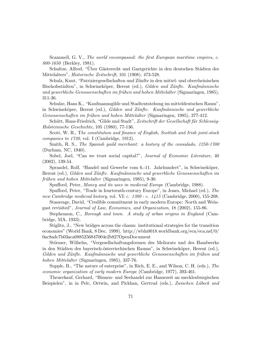Scammell, G. V., The world encompassed: the first European maritime empires, c. 800-1650 (Berkley, 1981).

Schultze, Alfred, "Über Gästerecht und Gastgerichte in den deutschen Städten des Mittelalters", Historische Zeitschrift, 101 (1908), 473-528.

Schulz, Knut, \Patriziergesellschaften und Zƒunfte in den mittel- und oberrheinischen Bischofsstädten", in Schwineköper, Berent (ed.), Gilden und Zünfte. Kaufmännische und gewerbliche Genossenschaften im frühen und hohen Mittelalter (Sigmaringen, 1985), 311-36.

Schulze, Hans K., \Kaufmannsgilde und Stadtentstehung im mitteldeutschen Raum", in Schwineköper, Berent (ed.), Gilden und Zünfte. Kaufmännische und gewerbliche Genossenschaften im frühen und hohen Mittelalter (Sigmaringen, 1985), 377-412.

Schütt, Hans-Friedrich, "Gilde und Stadt", Zeitschrift der Gesellschaft für Schleswig-Holsteinische Geschichte, 105 (1980), 77-136.

Scott, W. R., The constitution and finance of English, Scottish and Irish joint-stock companies to 1720, vol. I (Cambridge, 1912).

Smith, R. S., The Spanish guild merchant: a history of the consulado, 1250-1700 (Durham, NC, 1940).

Sobel, Joel, "Can we trust social capital?", Journal of Economic Literature, 40 (2002), 139-54.

Sprandel, Rolf, "Handel und Gewerbe vom 6.-11. Jahrhundert", in Schwineköper, Berent (ed.), Gilden und Zünfte. Kaufmännische und gewerbliche Genossenschaften im frühen und hohen Mittelalter (Sigmaringen, 1985), 9-30.

Spufford, Peter, Money and its uses in medieval Europe (Cambridge, 1988).

Spufford, Peter, "Trade in fourteenth-century Europe", in Jones, Michael (ed.), The new Cambridge medieval history, vol. VI: c. 1300 - c. 1415 (Cambridge, 2000), 155-208.

Stasavage, David, "Credible commitment in early modern Europe: North and Weingast revisited", Journal of Law, Economics, and Organization, 18 (2002), 155-86.

Stephenson, C., Borough and town. A study of urban origins in England (Cambridge, MA, 1933).

Stiglitz, J., "New bridges across the chasm: institutional strategies for the transition economies" (World Bank, 8 Dec. 1999). http://wbln0018.worldbank.org/eca/eca.nsf/0/ 0ac8adc7b03aca0885256847004e2b82?OpenDocument

Störmer, Wilhelm, "Vergesellschaftungsformen des Meliorats und des Handwerks in den Städten des bayerisch-österriechischen Raums", in Schwineköper, Berent (ed.), Gilden und Zünfte. Kaufmännische und gewerbliche Genossenschaften im frühen und hohen Mittelalter (Sigmaringen, 1985), 337-76.

Supple, B., "The nature of enterprise", in Rich, E. E., and Wilson, C. H. (eds.), The economic organization of early modern Europe (Cambridge, 1977), 393-461.

Theuerkauf, Gerhard, \Binnen- und Seehandel zur Hansezeit an mecklenburgischen Beispielen", in in Pelc, Ortwin, and Pickhan, Gertrud (eds.), Zwischen Lübeck und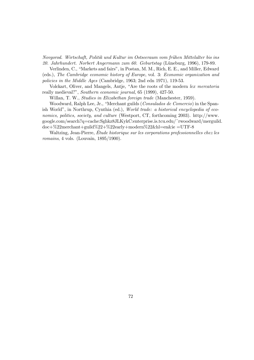Novgorod. Wirtschaft, Politik und Kultur im Ostseeraum vom frühen Mittelalter bis ins 20. Jahrhundert. Norbert Angermann zum 60. Geburtstag (Lƒuneburg, 1996), 179-89.

Verlinden, C., "Markets and fairs", in Postan, M. M., Rich, E. E., and Miller, Edward (eds.), The Cambridge economic history of Europe, vol. 3: Economic organization and policies in the Middle Ages (Cambridge, 1963; 2nd edn 1971), 119-53.

Volckart, Oliver, and Mangels, Antje, "Are the roots of the modern lex mercatoria really medieval?", Southern economic journal, 65 (1999), 427-50.

Willan, T. W., Studies in Elizabethan foreign trade (Manchester, 1959).

Woodward, Ralph Lee, Jr., "Merchant guilds (Consulados de Comercio) in the Spanish World", in Northrup, Cynthia (ed.), World trade: a historical encyclopedia of economics, politics, society, and culture (Westport, CT, forthcoming 2003). http://www. google.com/search?q=cache:Sghkz8JLKykC:enterprise.is.tcu.edu/~rwoodward/merguild. doc+%22merchant+guild%22+%22early+modern%22&hl=en&ie =UTF-8

Waltzing, Jean-Pierre, Étude historique sur les corporations professionnelles chez les romains, 4 vols. (Louvain, 1895/1900).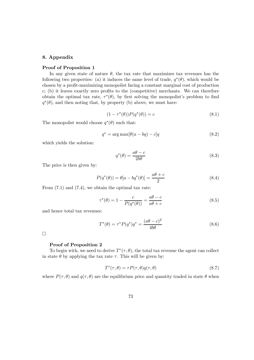## 8. Appendix

## Proof of Proposition 1

In any given state of nature  $\theta$ , the tax rate that maximizes tax revenues has the following two properties: (a) it induces the same level of trade,  $q^*(\theta)$ , which would be chosen by a profit-maximizing monopolist facing a constant marginal cost of production  $c$ ; (b) it leaves exactly zero profits to the (competitive) merchants. We can therefore obtain the optimal tax rate,  $\tau^*(\theta)$ , by first solving the monopolist's problem to find  $q^*(\theta)$ , and then noting that, by property (b) above, we must have:

$$
(1 - \tau^*(\theta))P(q^*(\theta)) = c \tag{8.1}
$$

The monopolist would choose  $q^*(\theta)$  such that:

$$
q^* = \arg \max[\theta(a - bq) - c]q \qquad (8.2)
$$

which yields the solution:

$$
q^*(\theta) = \frac{a\theta - c}{2b\theta} \tag{8.3}
$$

The price is then given by:

$$
P(q^*(\theta)) = \theta[a - bq^*(\theta)] = \frac{a\theta + c}{2}
$$
\n(8.4)

From  $(7.1)$  and  $(7.4)$ , we obtain the optimal tax rate:

$$
\tau^*(\theta) = 1 - \frac{c}{P(q^*(\theta))} = \frac{a\theta - c}{a\theta + c}
$$
\n(8.5)

and hence total tax revenues:

$$
T^*(\theta) = \tau^* P(q^*) q^* = \frac{(a\theta - c)^2}{4b\theta}
$$
\n(8.6)

 $\Box$ 

## Proof of Proposition 2

To begin with, we need to derive  $T^{\circ}(\tau,\theta)$ , the total tax revenue the agent can collect in state  $\theta$  by applying the tax rate  $\tau$ . This will be given by:

$$
T^{\circ}(\tau,\theta) = \tau P(\tau,\theta)q(\tau,\theta)
$$
\n(8.7)

where  $P(\tau,\theta)$  and  $q(\tau,\theta)$  are the equilibrium price and quantity traded in state  $\theta$  when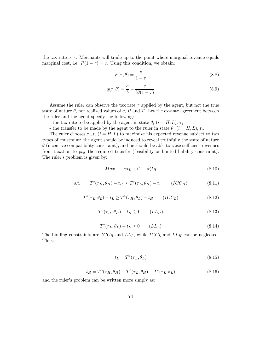the tax rate is  $\tau$ . Merchants will trade up to the point where marginal revenue equals marginal cost, i.e.  $P(1 - \tau) = c$ . Using this condition, we obtain:

$$
P(\tau, \theta) = \frac{c}{1 - \tau} \tag{8.8}
$$

$$
q(\tau,\theta) = \frac{a}{b} - \frac{c}{b\theta(1-\tau)}
$$
\n(8.9)

Assume the ruler can observe the tax rate  $\tau$  applied by the agent, but not the true state of nature  $\theta$ , nor realized values of q, P and T. Let the ex-ante agreement between the ruler and the agent specify the following:

- the tax rate to be applied by the agent in state  $\theta_i$  ( $i = H, L$ ),  $\tau_i$ ;

- the transfer to be made by the agent to the ruler in state  $\theta_i$  ( $i = H, L$ ),  $t_i$ .

The ruler chooses  $\tau_i, t_i$  ( $i = H, L$ ) to maximize his expected revenue subject to two types of constraint: the agent should be induced to reveal truthfully the state of nature  $\theta$  (incentive compatibility constraint), and he should be able to raise sufficient revenues from taxation to pay the required transfer (feasibility or limited liability constraint). The ruler's problem is given by:

$$
Max \qquad \pi t_L + (1 - \pi)t_H \tag{8.10}
$$

$$
s.t. \tT^{\circ}(\tau_H, \theta_H) - t_H \geq T^{\circ}(\tau_L, \theta_H) - t_L \t(ICC_H)
$$
\n
$$
(8.11)
$$

$$
T^{\circ}(\tau_L, \theta_L) - t_L \ge T^{\circ}(\tau_H, \theta_L) - t_H \qquad (ICC_L)
$$
\n
$$
(8.12)
$$

$$
T^{\circ}(\tau_H, \theta_H) - t_H \ge 0 \qquad (LL_H)
$$
\n
$$
(8.13)
$$

$$
T^{\circ}(\tau_L, \theta_L) - t_L \ge 0 \qquad (LL_L)
$$
\n
$$
(8.14)
$$

The binding constraints are  $ICC_H$  and  $LL_L$ , while  $ICC_L$  and  $LL_H$  can be neglected. Thus:

$$
t_L = T^{\circ}(\tau_L, \theta_L) \tag{8.15}
$$

$$
t_H = T^{\circ}(\tau_H, \theta_H) - T^{\circ}(\tau_L, \theta_H) + T^{\circ}(\tau_L, \theta_L)
$$
\n(8.16)

and the ruler's problem can be written more simply as: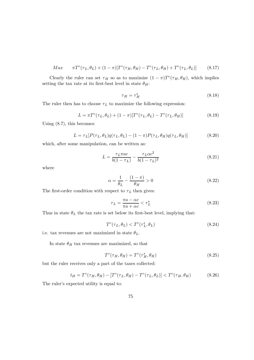$$
Max \qquad \pi T^{\circ}(\tau_L, \theta_L) + (1 - \pi)[T^{\circ}(\tau_H, \theta_H) - T^{\circ}(\tau_L, \theta_H) + T^{\circ}(\tau_L, \theta_L)] \qquad (8.17)
$$

Clearly the ruler can set  $\tau_H$  so as to maximize  $(1 - \pi)T^{\circ}(\tau_H, \theta_H)$ , which implies setting the tax rate at its first-best level in state  $\theta_H$ :

$$
\tau_H = \tau_H^* \tag{8.18}
$$

The ruler then has to choose  $\tau_L$  to maximize the following expression:

$$
L = \pi T^{\circ}(\tau_L, \theta_L) + (1 - \pi)[T^{\circ}(\tau_L, \theta_L) - T^{\circ}(\tau_L, \theta_H)] \tag{8.19}
$$

Using (8.7), this becomes:

$$
L = \tau_L[P(\tau_L, \theta_L)q(\tau_L, \theta_L) - (1 - \pi)P(\tau_L, \theta_H)q(\tau_L, \theta_H)] \tag{8.20}
$$

which, after some manipulation, can be written as:

$$
L = \frac{\tau_L \pi ac}{b(1 - \tau_L)} - \frac{\tau_L \alpha c^2}{b(1 - \tau_L)^2}
$$
(8.21)

where

$$
\alpha = \frac{1}{\theta_L} - \frac{(1 - \pi)}{\theta_H} > 0\tag{8.22}
$$

The first-order condition with respect to  $\tau_L$  then gives:

$$
\tau_L = \frac{\pi a - \alpha c}{\pi a + \alpha c} < \tau_L^* \tag{8.23}
$$

Thus in state  $\theta_L$  the tax rate is set below its first-best level, implying that:

$$
T^{\circ}(\tau_L, \theta_L) < T^{\circ}(\tau_L^*, \theta_L) \tag{8.24}
$$

i.e. tax revenues are not maximized in state  $\theta_L$ .

In state  $\theta_H$  tax revenues are maximized, so that

$$
T^{\circ}(\tau_H, \theta_H) = T^{\circ}(\tau_H^*, \theta_H) \tag{8.25}
$$

but the ruler receives only a part of the taxes collected:

$$
t_H = T^{\circ}(\tau_H, \theta_H) - [T^{\circ}(\tau_L, \theta_H) - T^{\circ}(\tau_L, \theta_L)] < T^{\circ}(\tau_H, \theta_H) \tag{8.26}
$$

The ruler's expected utility is equal to: